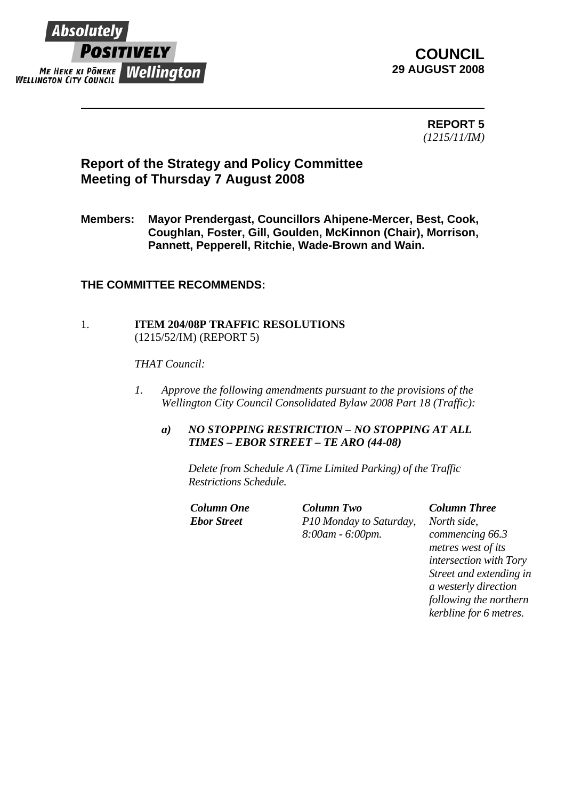

# **COUNCIL 29 AUGUST 2008**

**REPORT 5**  *(1215/11/IM)* 

# **Report of the Strategy and Policy Committee Meeting of Thursday 7 August 2008**

**Members: Mayor Prendergast, Councillors Ahipene-Mercer, Best, Cook, Coughlan, Foster, Gill, Goulden, McKinnon (Chair), Morrison, Pannett, Pepperell, Ritchie, Wade-Brown and Wain.** 

## **THE COMMITTEE RECOMMENDS:**

### 1. **ITEM 204/08P TRAFFIC RESOLUTIONS** (1215/52/IM) (REPORT 5)

*THAT Council:* 

- *1. Approve the following amendments pursuant to the provisions of the Wellington City Council Consolidated Bylaw 2008 Part 18 (Traffic):* 
	- *a) NO STOPPING RESTRICTION NO STOPPING AT ALL TIMES – EBOR STREET – TE ARO (44-08)*

*Delete from Schedule A (Time Limited Parking) of the Traffic Restrictions Schedule.* 

*Column One Column Two Column Three Ebor Street P10 Monday to Saturday, 8:00am - 6:00pm. North side,* 

*commencing 66.3 metres west of its intersection with Tory Street and extending in a westerly direction following the northern kerbline for 6 metres.*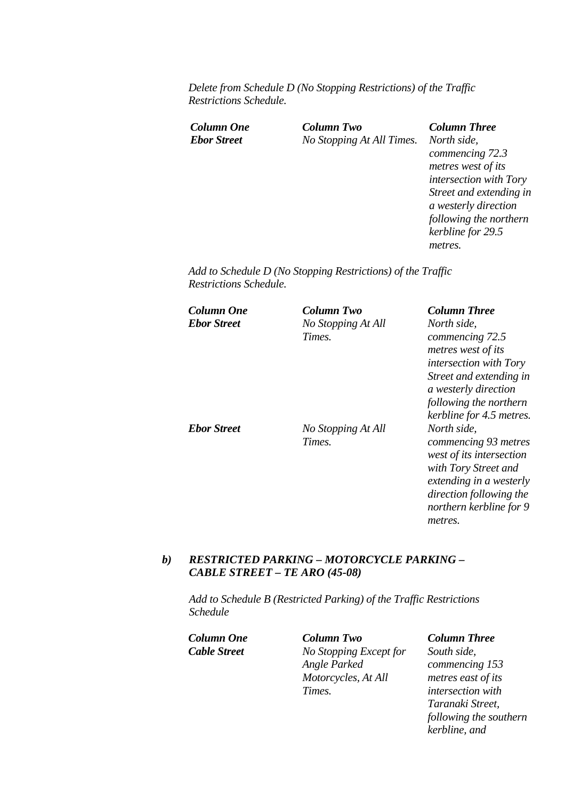*Delete from Schedule D (No Stopping Restrictions) of the Traffic Restrictions Schedule.* 

*Column One Column Two Column Three Ebor Street No Stopping At All Times. North side,* 

*commencing 72.3 metres west of its intersection with Tory Street and extending in a westerly direction following the northern kerbline for 29.5 metres.* 

*Add to Schedule D (No Stopping Restrictions) of the Traffic Restrictions Schedule.* 

| Column One         | Column Two                   | <b>Column Three</b>                                                                                                                                                                 |
|--------------------|------------------------------|-------------------------------------------------------------------------------------------------------------------------------------------------------------------------------------|
| <b>Ebor Street</b> | No Stopping At All           | North side,                                                                                                                                                                         |
|                    | Times.                       | commencing 72.5<br>metres west of its<br><i>intersection with Tory</i><br>Street and extending in<br>a westerly direction<br>following the northern<br>kerbline for 4.5 metres.     |
| <b>Ebor Street</b> | No Stopping At All<br>Times. | North side,<br>commencing 93 metres<br>west of its intersection<br>with Tory Street and<br>extending in a westerly<br>direction following the<br>northern kerbline for 9<br>metres. |

### *b) RESTRICTED PARKING – MOTORCYCLE PARKING – CABLE STREET – TE ARO (45-08)*

*Add to Schedule B (Restricted Parking) of the Traffic Restrictions Schedule* 

*Column One Column Two Column Three Cable Street No Stopping Except for Angle Parked Motorcycles, At All Times.* 

*South side, commencing 153 metres east of its intersection with Taranaki Street, following the southern kerbline, and*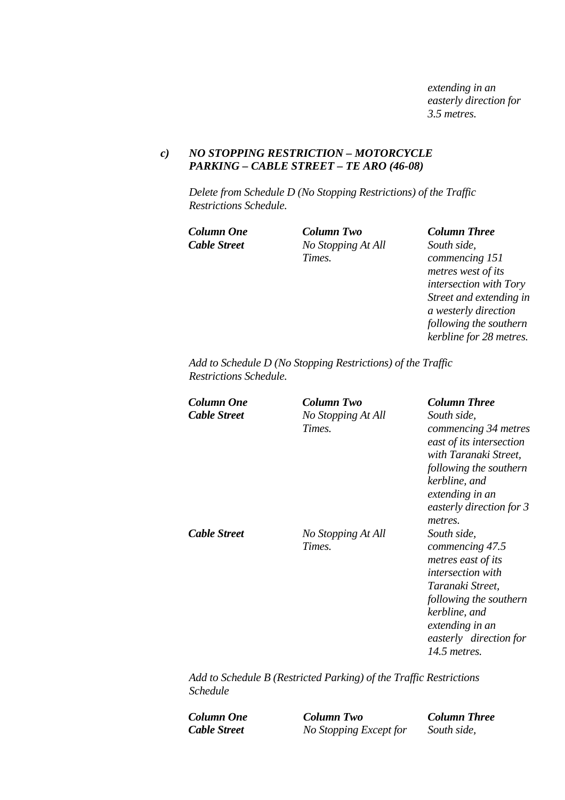*extending in an easterly direction for 3.5 metres.* 

### *c) NO STOPPING RESTRICTION – MOTORCYCLE PARKING – CABLE STREET – TE ARO (46-08)*

*Delete from Schedule D (No Stopping Restrictions) of the Traffic Restrictions Schedule.* 

*Cable Street No Stopping At All Times.* 

*Column One Column Two Column Three*

*South side, commencing 151 metres west of its intersection with Tory Street and extending in a westerly direction following the southern kerbline for 28 metres.* 

*Add to Schedule D (No Stopping Restrictions) of the Traffic Restrictions Schedule.* 

| Column One<br>Cable Street | Column Two<br>No Stopping At All<br>Times. | <b>Column Three</b><br>South side,<br>commencing 34 metres<br>east of its intersection<br>with Taranaki Street,<br>following the southern                                                                 |
|----------------------------|--------------------------------------------|-----------------------------------------------------------------------------------------------------------------------------------------------------------------------------------------------------------|
| Cable Street               | No Stopping At All<br>Times.               | kerbline, and<br>extending in an<br>easterly direction for 3<br>metres.<br>South side,<br>commencing 47.5<br>metres east of its<br><i>intersection with</i><br>Taranaki Street,<br>following the southern |
|                            |                                            | kerbline, and<br>extending in an<br>easterly direction for<br>14.5 metres.                                                                                                                                |

*Add to Schedule B (Restricted Parking) of the Traffic Restrictions Schedule* 

*Column One Column Two Column Three Cable Street No Stopping Except for South side,*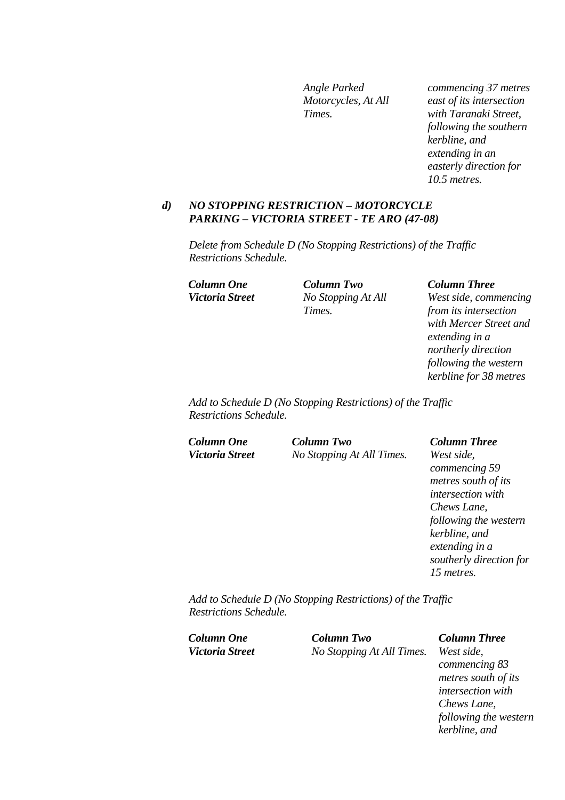*Angle Parked Motorcycles, At All Times.* 

*commencing 37 metres east of its intersection with Taranaki Street, following the southern kerbline, and extending in an easterly direction for 10.5 metres.* 

#### *d) NO STOPPING RESTRICTION – MOTORCYCLE PARKING – VICTORIA STREET - TE ARO (47-08)*

*Delete from Schedule D (No Stopping Restrictions) of the Traffic Restrictions Schedule.* 

*Column One Column Two Column Three Victoria Street No Stopping At All Times.* 

*West side, commencing from its intersection with Mercer Street and extending in a northerly direction following the western kerbline for 38 metres* 

*Add to Schedule D (No Stopping Restrictions) of the Traffic Restrictions Schedule.* 

*Column One Column Two Column Three*

*Victoria Street No Stopping At All Times. West side,* 

*commencing 59 metres south of its intersection with Chews Lane, following the western kerbline, and extending in a southerly direction for 15 metres.* 

*Add to Schedule D (No Stopping Restrictions) of the Traffic Restrictions Schedule.* 

| Column One                    | Column Two                | <b>Column Three</b> |
|-------------------------------|---------------------------|---------------------|
| <i><b>Victoria Street</b></i> | No Stopping At All Times. | West side,          |

*commencing 83 metres south of its intersection with Chews Lane, following the western kerbline, and*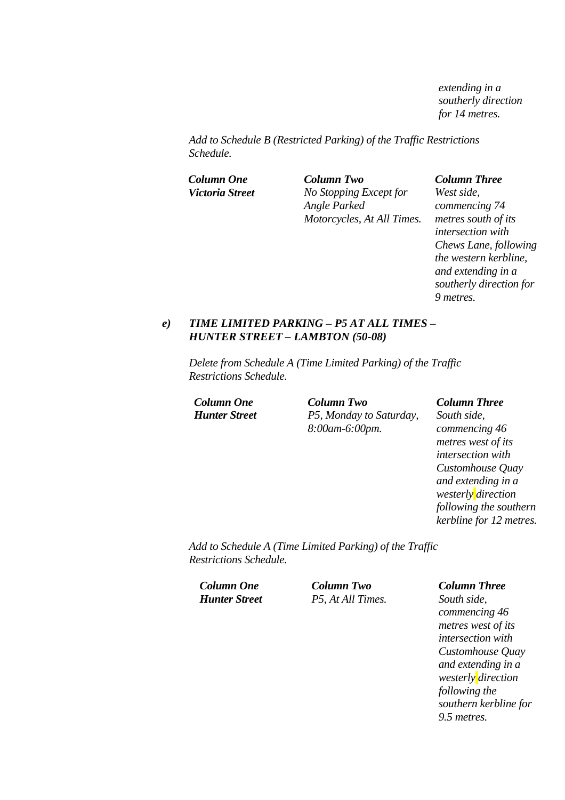*extending in a southerly direction for 14 metres.* 

*Add to Schedule B (Restricted Parking) of the Traffic Restrictions Schedule.* 

*Column One Column Two Column Three Victoria Street No Stopping Except for Angle Parked Motorcycles, At All Times.* 

*West side, commencing 74 metres south of its intersection with Chews Lane, following the western kerbline, and extending in a southerly direction for 9 metres.* 

#### *e) TIME LIMITED PARKING – P5 AT ALL TIMES – HUNTER STREET – LAMBTON (50-08)*

*Delete from Schedule A (Time Limited Parking) of the Traffic Restrictions Schedule.* 

*Column One Column Two Column Three Hunter Street P5, Monday to Saturday, 8:00am-6:00pm.* 

*South side, commencing 46 metres west of its intersection with Customhouse Quay and extending in a westerly direction following the southern kerbline for 12 metres.*

*Add to Schedule A (Time Limited Parking) of the Traffic Restrictions Schedule.* 

*Column One Column Two Column Three Hunter Street P5, At All Times. South side,* 

*commencing 46 metres west of its intersection with Customhouse Quay and extending in a westerly direction following the southern kerbline for 9.5 metres.*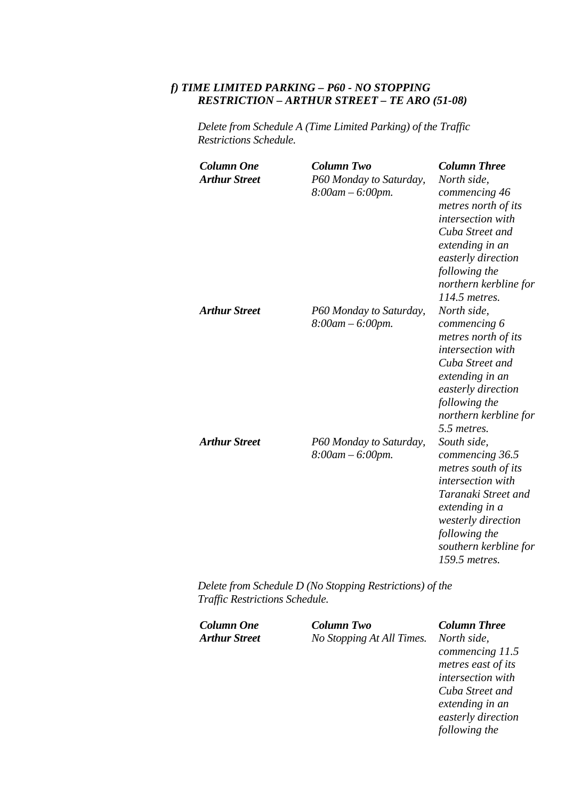# *f) TIME LIMITED PARKING – P60 - NO STOPPING RESTRICTION – ARTHUR STREET – TE ARO (51-08)*

*Delete from Schedule A (Time Limited Parking) of the Traffic Restrictions Schedule.* 

| <b>Column One</b><br><b>Arthur Street</b> | <b>Column Two</b><br>P60 Monday to Saturday,<br>$8:00$ am $-6:00$ pm. | <b>Column Three</b><br>North side,<br>commencing 46<br>metres north of its<br>intersection with<br>Cuba Street and<br>extending in an<br>easterly direction<br>following the<br>northern kerbline for<br>$114.5$ metres. |
|-------------------------------------------|-----------------------------------------------------------------------|--------------------------------------------------------------------------------------------------------------------------------------------------------------------------------------------------------------------------|
| <b>Arthur Street</b>                      | P60 Monday to Saturday,<br>$8:00$ am $-6:00$ pm.                      | North side,<br>commencing 6<br>metres north of its<br>intersection with<br>Cuba Street and<br>extending in an<br>easterly direction<br>following the<br>northern kerbline for<br>5.5 metres.                             |
| <b>Arthur Street</b>                      | P60 Monday to Saturday,<br>$8:00$ am $-6:00$ pm.                      | South side,<br>commencing 36.5<br>metres south of its<br>intersection with<br>Taranaki Street and<br>extending in a<br>westerly direction<br>following the<br>southern kerbline for<br>159.5 metres.                     |

*Delete from Schedule D (No Stopping Restrictions) of the Traffic Restrictions Schedule.* 

| Column Two                | <b>Column Three</b> |
|---------------------------|---------------------|
| No Stopping At All Times. | North side,         |
|                           | commencing 11.5     |
|                           | metres east of its  |
|                           | intersection with   |
|                           | Cuba Street and     |
|                           | extending in an     |
|                           | easterly direction  |
|                           | following the       |
|                           |                     |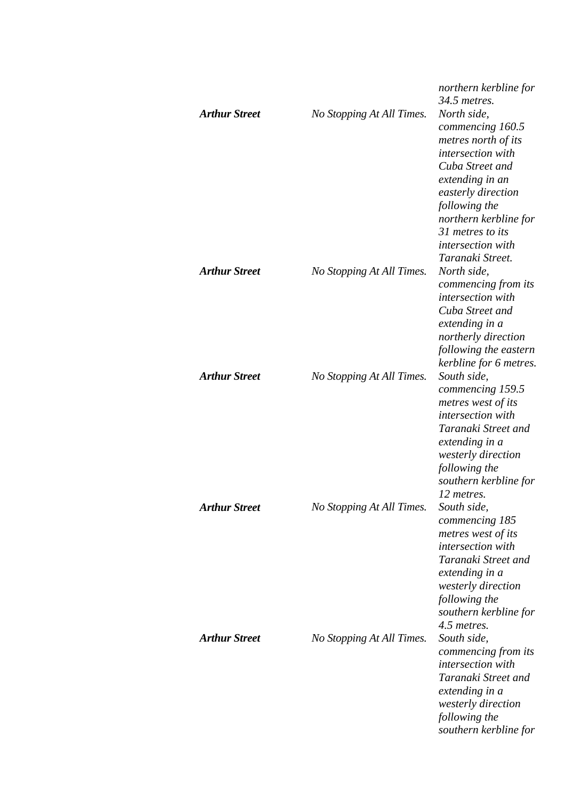|                      |                           | northern kerbline for<br>34.5 metres.                                                                                                                                                                                                          |
|----------------------|---------------------------|------------------------------------------------------------------------------------------------------------------------------------------------------------------------------------------------------------------------------------------------|
| <b>Arthur Street</b> | No Stopping At All Times. | North side,<br>commencing 160.5<br>metres north of its<br>intersection with<br>Cuba Street and<br>extending in an<br>easterly direction<br>following the<br>northern kerbline for<br>31 metres to its<br>intersection with<br>Taranaki Street. |
| <b>Arthur Street</b> | No Stopping At All Times. | North side,<br>commencing from its<br>intersection with<br>Cuba Street and<br>extending in a<br>northerly direction<br>following the eastern<br>kerbline for 6 metres.                                                                         |
| <b>Arthur Street</b> | No Stopping At All Times. | South side,<br>commencing 159.5<br>metres west of its<br>intersection with<br>Taranaki Street and<br>extending in a<br>westerly direction<br>following the<br>southern kerbline for<br>12 metres.                                              |
| <b>Arthur Street</b> | No Stopping At All Times. | South side,<br>commencing 185<br>metres west of its<br>intersection with<br>Taranaki Street and<br>extending in a<br>westerly direction<br>following the<br>southern kerbline for<br>4.5 metres.                                               |
| <b>Arthur Street</b> | No Stopping At All Times. | South side,<br>commencing from its<br>intersection with<br>Taranaki Street and<br>extending in a<br>westerly direction<br>following the<br>southern kerbline for                                                                               |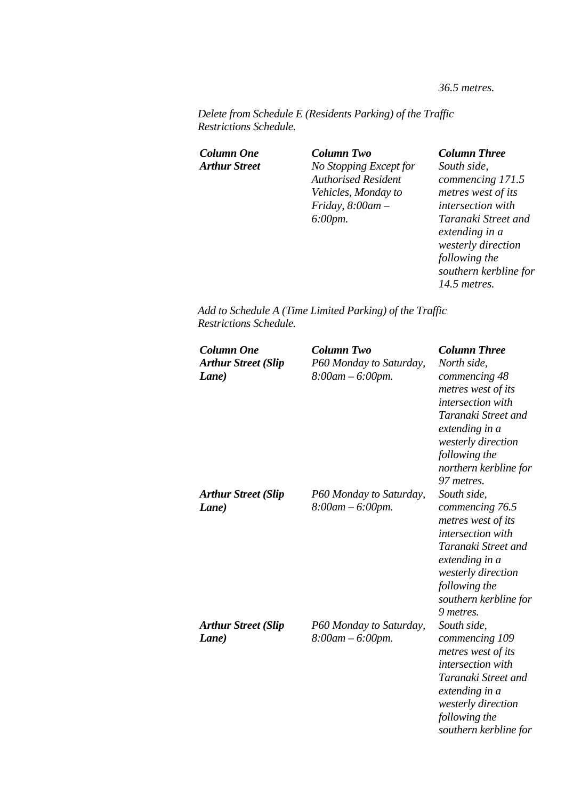*36.5 metres.* 

*Delete from Schedule E (Residents Parking) of the Traffic Restrictions Schedule.* 

*Column One Column Two Column Three Arthur Street No Stopping Except for Authorised Resident Vehicles, Monday to Friday, 8:00am – 6:00pm.* 

*South side, commencing 171.5 metres west of its intersection with Taranaki Street and extending in a westerly direction following the southern kerbline for 14.5 metres.* 

*Add to Schedule A (Time Limited Parking) of the Traffic Restrictions Schedule.* 

| <b>Column One</b><br><b>Arthur Street (Slip</b><br>Lane) | <b>Column Two</b><br>P60 Monday to Saturday,<br>$8:00$ am $-6:00$ pm. | <b>Column Three</b><br>North side,<br>commencing 48<br>metres west of its<br>intersection with<br>Taranaki Street and<br>extending in a<br>westerly direction<br>following the<br>northern kerbline for<br>97 metres. |
|----------------------------------------------------------|-----------------------------------------------------------------------|-----------------------------------------------------------------------------------------------------------------------------------------------------------------------------------------------------------------------|
| <b>Arthur Street (Slip</b><br>Lane)                      | P60 Monday to Saturday,<br>$8:00$ am $-6:00$ pm.                      | South side,<br>commencing 76.5<br>metres west of its<br>intersection with<br>Taranaki Street and<br>extending in a<br>westerly direction<br>following the<br>southern kerbline for<br>9 metres.                       |
| <b>Arthur Street (Slip</b><br>Lane)                      | P60 Monday to Saturday,<br>$8:00$ am $-6:00$ pm.                      | South side,<br>commencing 109<br>metres west of its<br><i>intersection</i> with<br>Taranaki Street and<br>extending in a<br>westerly direction<br>following the<br>southern kerbline for                              |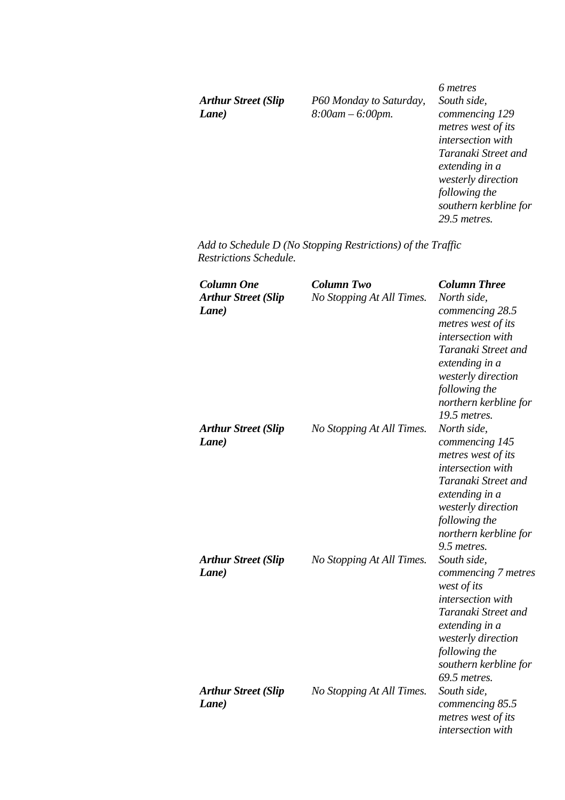*Arthur Street (Slip Lane)* 

*P60 Monday to Saturday, 8:00am – 6:00pm.* 

*6 metres South side, commencing 129 metres west of its intersection with Taranaki Street and extending in a westerly direction following the southern kerbline for 29.5 metres.* 

*Add to Schedule D (No Stopping Restrictions) of the Traffic Restrictions Schedule.* 

| <b>Column One</b><br><b>Arthur Street (Slip</b><br>Lane) | <b>Column Two</b><br>No Stopping At All Times. | <b>Column Three</b><br>North side,<br>commencing 28.5<br>metres west of its<br>intersection with<br>Taranaki Street and<br>extending in a<br>westerly direction<br>following the<br>northern kerbline for<br>19.5 metres. |
|----------------------------------------------------------|------------------------------------------------|---------------------------------------------------------------------------------------------------------------------------------------------------------------------------------------------------------------------------|
| <b>Arthur Street (Slip</b><br>Lane)                      | No Stopping At All Times.                      | North side,<br>commencing 145<br>metres west of its<br>intersection with<br>Taranaki Street and<br>extending in a<br>westerly direction<br>following the<br>northern kerbline for<br>9.5 metres.                          |
| <b>Arthur Street (Slip</b><br>Lane)                      | No Stopping At All Times.                      | South side,<br>commencing 7 metres<br>west of its<br>intersection with<br>Taranaki Street and<br>extending in a<br>westerly direction<br>following the<br>southern kerbline for<br>69.5 metres.                           |
| <b>Arthur Street (Slip</b><br>Lane)                      | No Stopping At All Times.                      | South side,<br>commencing 85.5<br>metres west of its<br>intersection with                                                                                                                                                 |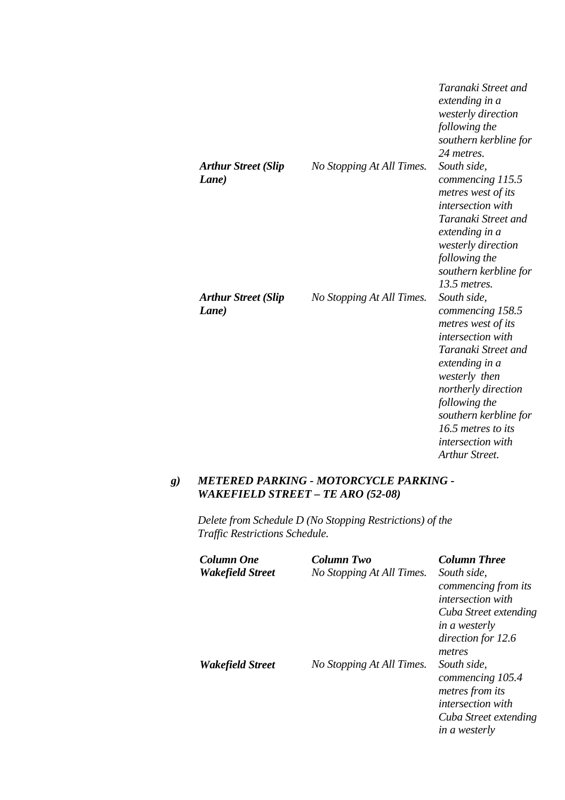|                                     |                           | Taranaki Street and<br>extending in a<br>westerly direction<br>following the<br>southern kerbline for<br>24 metres.                                                                                                                                                |
|-------------------------------------|---------------------------|--------------------------------------------------------------------------------------------------------------------------------------------------------------------------------------------------------------------------------------------------------------------|
| <b>Arthur Street (Slip</b><br>Lane) | No Stopping At All Times. | South side,<br>commencing 115.5<br>metres west of its<br>intersection with<br>Taranaki Street and<br>extending in a<br>westerly direction<br>following the<br>southern kerbline for<br>13.5 metres.                                                                |
| <b>Arthur Street (Slip</b><br>Lane) | No Stopping At All Times. | South side,<br>commencing 158.5<br>metres west of its<br>intersection with<br>Taranaki Street and<br>extending in a<br>westerly then<br>northerly direction<br>following the<br>southern kerbline for<br>16.5 metres to its<br>intersection with<br>Arthur Street. |

# *g) METERED PARKING - MOTORCYCLE PARKING - WAKEFIELD STREET – TE ARO (52-08)*

*Delete from Schedule D (No Stopping Restrictions) of the Traffic Restrictions Schedule.* 

| Column One<br>Wakefield Street | Column Two<br>No Stopping At All Times. | <b>Column Three</b><br>South side.<br>commencing from its<br><i>intersection with</i><br>Cuba Street extending<br><i>in a westerly</i><br>direction for 12.6 |
|--------------------------------|-----------------------------------------|--------------------------------------------------------------------------------------------------------------------------------------------------------------|
| Wakefield Street               | No Stopping At All Times.               | metres<br>South side,<br>commencing 105.4<br><i>metres from its</i><br><i>intersection with</i><br>Cuba Street extending<br><i>in a westerly</i>             |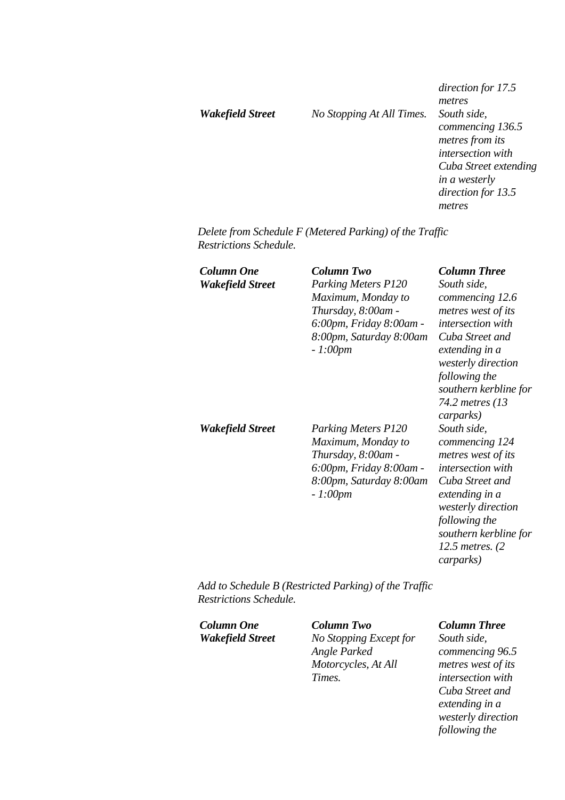*Wakefield Street No Stopping At All Times. South side,* 

*direction for 17.5 metres commencing 136.5 metres from its intersection with Cuba Street extending in a westerly direction for 13.5 metres* 

*Delete from Schedule F (Metered Parking) of the Traffic Restrictions Schedule.* 

| <b>Column One</b><br><b>Wakefield Street</b> | Column Two<br><b>Parking Meters P120</b><br>Maximum, Monday to<br>Thursday, 8:00am -<br>6:00pm, Friday 8:00am -<br>8:00pm, Saturday 8:00am<br>$-1:00pm$ | <b>Column Three</b><br>South side,<br>commencing 12.6<br>metres west of its<br><i>intersection</i> with<br>Cuba Street and<br>extending in a<br>westerly direction<br>following the<br>southern kerbline for<br>74.2 metres (13<br>carparks) |
|----------------------------------------------|---------------------------------------------------------------------------------------------------------------------------------------------------------|----------------------------------------------------------------------------------------------------------------------------------------------------------------------------------------------------------------------------------------------|
| <b>Wakefield Street</b>                      | <b>Parking Meters P120</b><br>Maximum, Monday to<br>Thursday, 8:00am -<br>6:00pm, Friday 8:00am -<br>8:00pm, Saturday 8:00am<br>$-1:00pm$               | South side,<br>commencing 124<br>metres west of its<br><i>intersection</i> with<br>Cuba Street and<br>extending in a<br>westerly direction<br>following the<br>southern kerbline for<br>12.5 metres. $(2)$<br>carparks)                      |

*Add to Schedule B (Restricted Parking) of the Traffic Restrictions Schedule.* 

*Column One Column Two Column Three*

*Wakefield Street No Stopping Except for Angle Parked Motorcycles, At All Times.* 

*South side, commencing 96.5 metres west of its intersection with Cuba Street and extending in a westerly direction following the*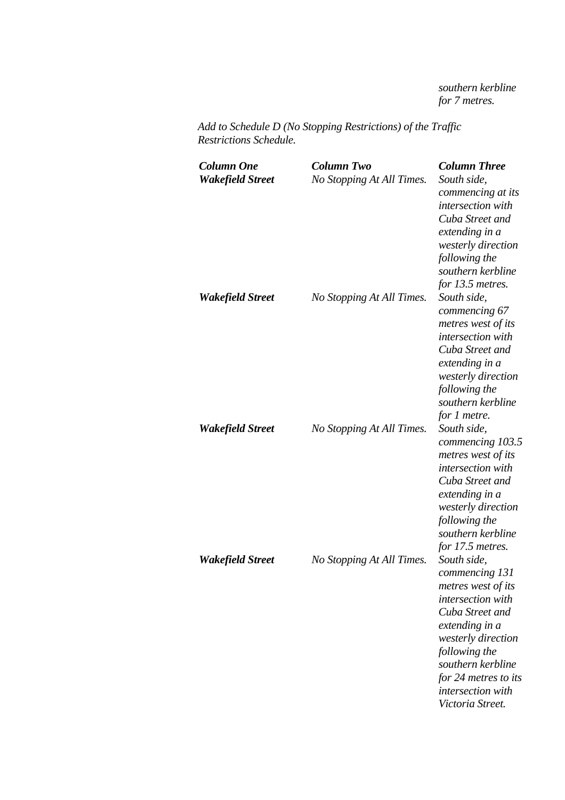*southern kerbline for 7 metres.* 

*Add to Schedule D (No Stopping Restrictions) of the Traffic Restrictions Schedule.* 

| <b>Column One</b><br><b>Wakefield Street</b> | <b>Column Two</b><br>No Stopping At All Times. | <b>Column Three</b><br>South side,<br>commencing at its<br>intersection with<br>Cuba Street and<br>extending in a<br>westerly direction<br>following the<br>southern kerbline<br>for 13.5 metres.                                          |
|----------------------------------------------|------------------------------------------------|--------------------------------------------------------------------------------------------------------------------------------------------------------------------------------------------------------------------------------------------|
| <b>Wakefield Street</b>                      | No Stopping At All Times.                      | South side,<br>commencing 67<br>metres west of its<br>intersection with<br>Cuba Street and<br>extending in a<br>westerly direction<br>following the<br>southern kerbline<br>for 1 metre.                                                   |
| Wakefield Street                             | No Stopping At All Times.                      | South side,<br>commencing 103.5<br>metres west of its<br>intersection with<br>Cuba Street and<br>extending in a<br>westerly direction<br>following the<br>southern kerbline<br>for 17.5 metres.                                            |
| Wakefield Street                             | No Stopping At All Times.                      | South side.<br>commencing 131<br>metres west of its<br>intersection with<br>Cuba Street and<br>extending in a<br>westerly direction<br>following the<br>southern kerbline<br>for 24 metres to its<br>intersection with<br>Victoria Street. |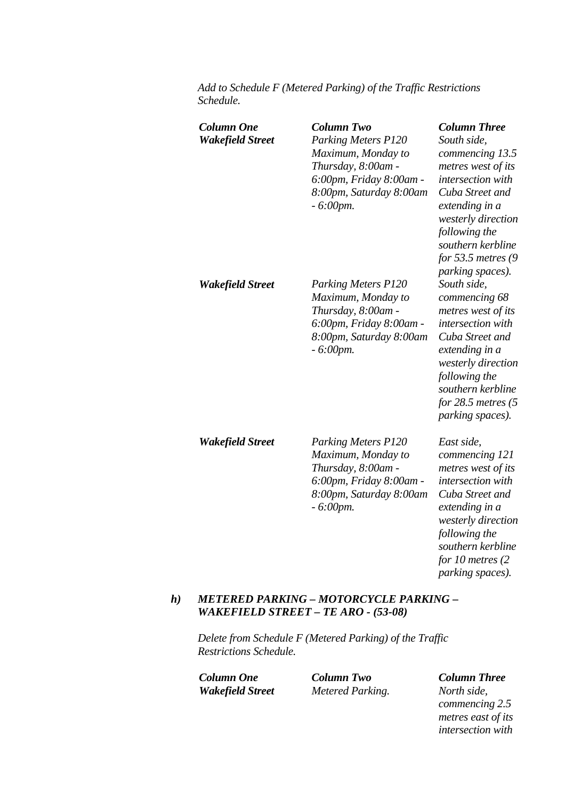*Add to Schedule F (Metered Parking) of the Traffic Restrictions Schedule.* 

| <b>Column One</b><br><b>Wakefield Street</b> | <b>Column Two</b><br><b>Parking Meters P120</b><br>Maximum, Monday to<br>Thursday, 8:00am -<br>6:00pm, Friday 8:00am -<br>8:00pm, Saturday 8:00am<br>$-6:00$ pm. | <b>Column Three</b><br>South side,<br>commencing 13.5<br>metres west of its<br>intersection with<br>Cuba Street and<br>extending in a<br>westerly direction<br>following the<br>southern kerbline<br>for 53.5 metres $(9)$<br>parking spaces). |
|----------------------------------------------|------------------------------------------------------------------------------------------------------------------------------------------------------------------|------------------------------------------------------------------------------------------------------------------------------------------------------------------------------------------------------------------------------------------------|
| <b>Wakefield Street</b>                      | <b>Parking Meters P120</b><br>Maximum, Monday to<br>Thursday, 8:00am -<br>6:00pm, Friday 8:00am -<br>8:00pm, Saturday 8:00am<br>$-6:00$ pm.                      | South side,<br>commencing 68<br>metres west of its<br>intersection with<br>Cuba Street and<br>extending in a<br>westerly direction<br>following the<br>southern kerbline<br>for $28.5$ metres $(5$<br>parking spaces).                         |
| <b>Wakefield Street</b>                      | <b>Parking Meters P120</b><br>Maximum, Monday to<br>Thursday, 8:00am -<br>6:00pm, Friday 8:00am -<br>8:00pm, Saturday 8:00am<br>$-6:00$ pm.                      | East side,<br>commencing 121<br>metres west of its<br>intersection with<br>Cuba Street and<br>extending in a<br>westerly direction<br>following the<br>southern kerbline<br>for 10 metres $(2)$<br>parking spaces).                            |

### *h) METERED PARKING – MOTORCYCLE PARKING – WAKEFIELD STREET – TE ARO - (53-08)*

*Delete from Schedule F (Metered Parking) of the Traffic Restrictions Schedule.* 

*Column One Column Two Column Three Wakefield Street Metered Parking. North side,* 

*commencing 2.5 metres east of its intersection with*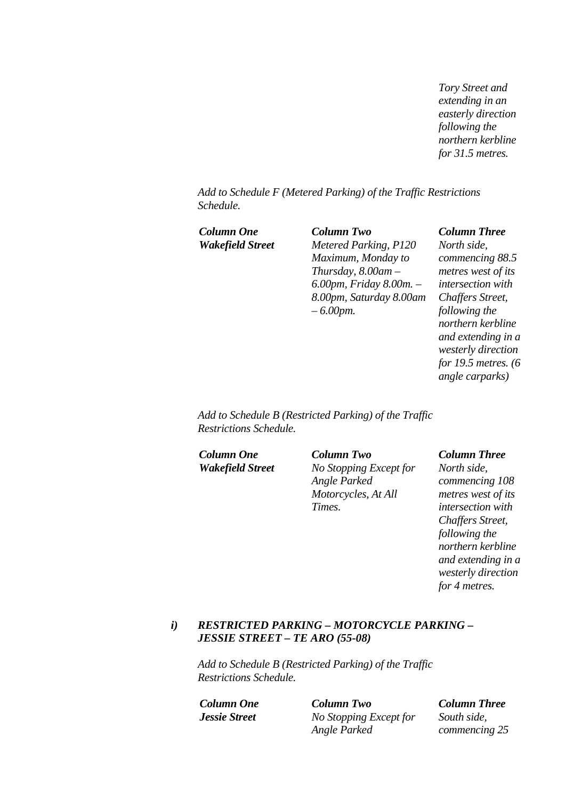*Tory Street and extending in an easterly direction following the northern kerbline for 31.5 metres.* 

*Add to Schedule F (Metered Parking) of the Traffic Restrictions Schedule.* 

| Column One       | <b>Column Two</b>       | <b>Column Three</b>    |
|------------------|-------------------------|------------------------|
| Wakefield Street | Metered Parking, P120   | North side,            |
|                  | Maximum, Monday to      | commencing 88.5        |
|                  | Thursday, $8.00$ am $-$ | metres west of its     |
|                  | 6.00pm, Friday 8.00m. - | intersection with      |
|                  | 8.00pm, Saturday 8.00am | Chaffers Street,       |
|                  | $-6.00$ <i>pm</i> .     | following the          |
|                  |                         | northern kerbline      |
|                  |                         | and extending in a     |
|                  |                         | westerly direction     |
|                  |                         | for 19.5 metres. $(6)$ |

*Add to Schedule B (Restricted Parking) of the Traffic Restrictions Schedule.* 

*Column One Column Two Column Three Wakefield Street No Stopping Except for Angle Parked Motorcycles, At All Times.* 

*angle carparks)* 

*North side, commencing 108 metres west of its intersection with Chaffers Street, following the northern kerbline and extending in a westerly direction for 4 metres.* 

### *i) RESTRICTED PARKING – MOTORCYCLE PARKING – JESSIE STREET – TE ARO (55-08)*

*Add to Schedule B (Restricted Parking) of the Traffic Restrictions Schedule.* 

*Column One Column Two Column Three Jessie Street No Stopping Except for Angle Parked* 

*South side, commencing 25*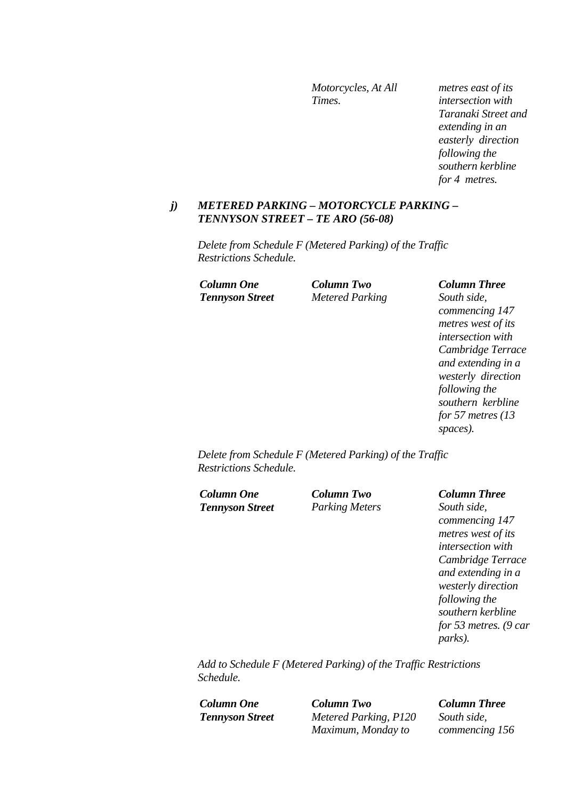*Motorcycles, At All Times.* 

*metres east of its intersection with Taranaki Street and extending in an easterly direction following the southern kerbline for 4 metres.* 

#### *j) METERED PARKING – MOTORCYCLE PARKING – TENNYSON STREET – TE ARO (56-08)*

*Delete from Schedule F (Metered Parking) of the Traffic Restrictions Schedule.* 

*Column One Column Two Column Three Tennyson Street Metered Parking South side,* 

*commencing 147 metres west of its intersection with Cambridge Terrace and extending in a westerly direction following the southern kerbline for 57 metres (13 spaces).* 

*Delete from Schedule F (Metered Parking) of the Traffic Restrictions Schedule.* 

*Column One Column Two Column Three Tennyson Street Parking Meters South side,* 

*commencing 147 metres west of its intersection with Cambridge Terrace and extending in a westerly direction following the southern kerbline for 53 metres. (9 car parks).* 

*Add to Schedule F (Metered Parking) of the Traffic Restrictions Schedule.* 

*Column One Column Two Column Three Tennyson Street Metered Parking, P120 Maximum, Monday to* 

*South side, commencing 156*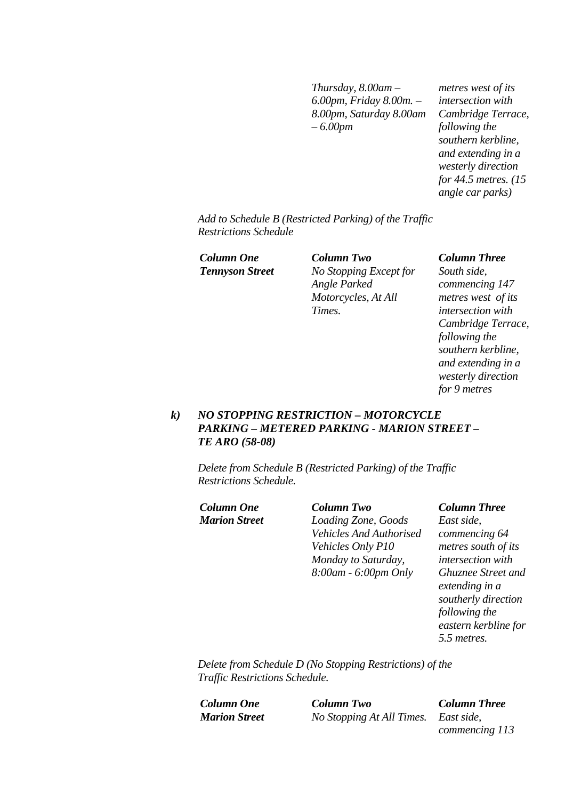*Thursday, 8.00am – 6.00pm, Friday 8.00m. – 8.00pm, Saturday 8.00am – 6.00pm* 

*metres west of its intersection with Cambridge Terrace, following the southern kerbline, and extending in a westerly direction for 44.5 metres. (15 angle car parks)* 

*Add to Schedule B (Restricted Parking) of the Traffic Restrictions Schedule* 

*Column One Column Two Column Three Tennyson Street No Stopping Except for Angle Parked Motorcycles, At All Times.* 

*South side, commencing 147 metres west of its intersection with Cambridge Terrace, following the southern kerbline, and extending in a westerly direction for 9 metres* 

### *k) NO STOPPING RESTRICTION – MOTORCYCLE PARKING – METERED PARKING - MARION STREET – TE ARO (58-08)*

*Delete from Schedule B (Restricted Parking) of the Traffic Restrictions Schedule.* 

*Column One Column Two Column Three*

*Marion Street Loading Zone, Goods Vehicles And Authorised Vehicles Only P10 Monday to Saturday, 8:00am - 6:00pm Only* 

*East side, commencing 64 metres south of its intersection with Ghuznee Street and extending in a southerly direction following the eastern kerbline for 5.5 metres.* 

*Delete from Schedule D (No Stopping Restrictions) of the Traffic Restrictions Schedule.* 

*Column One Column Two Column Three Marion Street No Stopping At All Times. East side,* 

*commencing 113*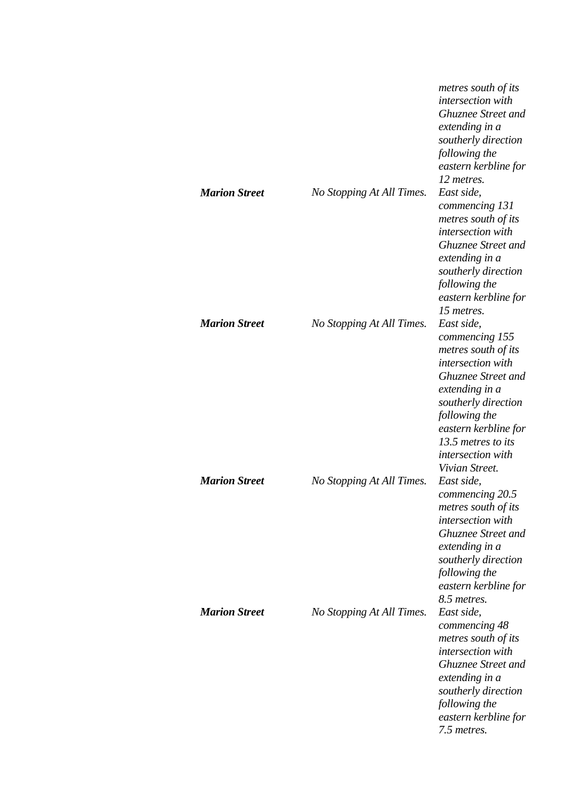| <b>Marion Street</b> | No Stopping At All Times. | metres south of its<br>intersection with<br>Ghuznee Street and<br>extending in a<br>southerly direction<br>following the<br>eastern kerbline for<br>12 metres.<br>East side,<br>commencing 131<br>metres south of its<br>intersection with<br>Ghuznee Street and<br>extending in a<br>southerly direction<br>following the<br>eastern kerbline for<br>15 metres. |
|----------------------|---------------------------|------------------------------------------------------------------------------------------------------------------------------------------------------------------------------------------------------------------------------------------------------------------------------------------------------------------------------------------------------------------|
| <b>Marion Street</b> | No Stopping At All Times. | East side,<br>commencing 155<br>metres south of its<br>intersection with<br><b>Ghuznee Street and</b><br>extending in a<br>southerly direction<br>following the<br>eastern kerbline for<br>13.5 metres to its<br>intersection with<br>Vivian Street.                                                                                                             |
| <b>Marion Street</b> | No Stopping At All Times. | East side,<br>commencing 20.5<br>metres south of its<br><i>intersection</i> with<br>Ghuznee Street and<br>extending in a<br>southerly direction<br>following the<br>eastern kerbline for<br>8.5 metres.                                                                                                                                                          |
| <b>Marion Street</b> | No Stopping At All Times. | East side,<br>commencing 48<br>metres south of its<br>intersection with<br><b>Ghuznee Street and</b><br>extending in a<br>southerly direction<br>following the<br>eastern kerbline for<br>7.5 metres.                                                                                                                                                            |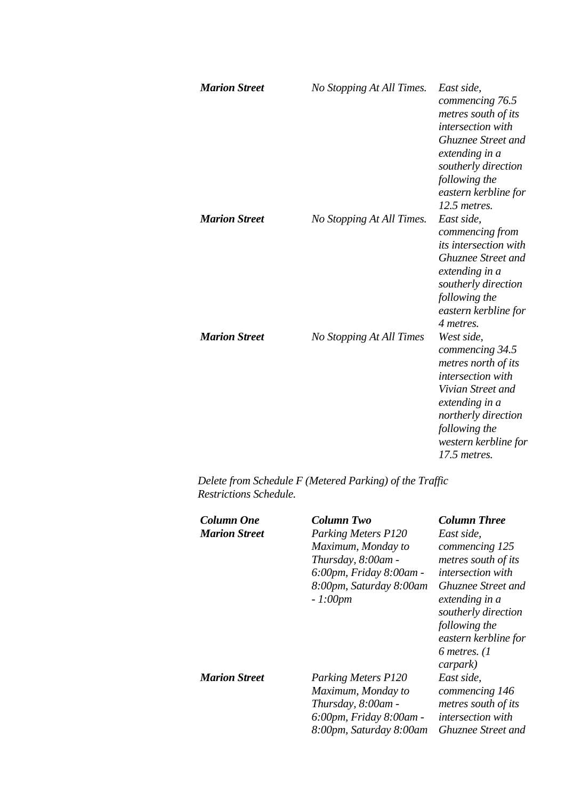| <b>Marion Street</b> | No Stopping At All Times. | East side,<br>commencing 76.5<br>metres south of its<br><i>intersection</i> with<br>Ghuznee Street and<br>extending in a<br>southerly direction<br>following the<br>eastern kerbline for<br>12.5 metres. |
|----------------------|---------------------------|----------------------------------------------------------------------------------------------------------------------------------------------------------------------------------------------------------|
| <b>Marion Street</b> | No Stopping At All Times. | East side,<br>commencing from<br><i>its intersection with</i><br><b>Ghuznee Street and</b><br>extending in a<br>southerly direction<br>following the<br>eastern kerbline for<br>4 metres.                |
| <b>Marion Street</b> | No Stopping At All Times  | West side,<br>commencing 34.5<br>metres north of its<br><i>intersection</i> with<br>Vivian Street and<br>extending in a<br>northerly direction<br>following the<br>western kerbline for<br>17.5 metres.  |

*Delete from Schedule F (Metered Parking) of the Traffic Restrictions Schedule.* 

| Column One           | <b>Column Two</b>          | <b>Column Three</b>       |
|----------------------|----------------------------|---------------------------|
| <b>Marion Street</b> | <b>Parking Meters P120</b> | East side,                |
|                      | Maximum, Monday to         | commencing 125            |
|                      | Thursday, 8:00am -         | metres south of its       |
|                      | 6:00pm, Friday 8:00am -    | <i>intersection with</i>  |
|                      | 8:00pm, Saturday 8:00am    | Ghuznee Street and        |
|                      | $-1:00pm$                  | extending in a            |
|                      |                            | southerly direction       |
|                      |                            | following the             |
|                      |                            | eastern kerbline for      |
|                      |                            | 6 metres. $(1)$           |
|                      |                            | carpark)                  |
| <b>Marion Street</b> | <b>Parking Meters P120</b> | East side,                |
|                      | Maximum, Monday to         | commencing 146            |
|                      | Thursday, 8:00am -         | metres south of its       |
|                      | 6:00pm, Friday 8:00am -    | <i>intersection</i> with  |
|                      | 8:00pm, Saturday 8:00am    | <b>Ghuznee Street and</b> |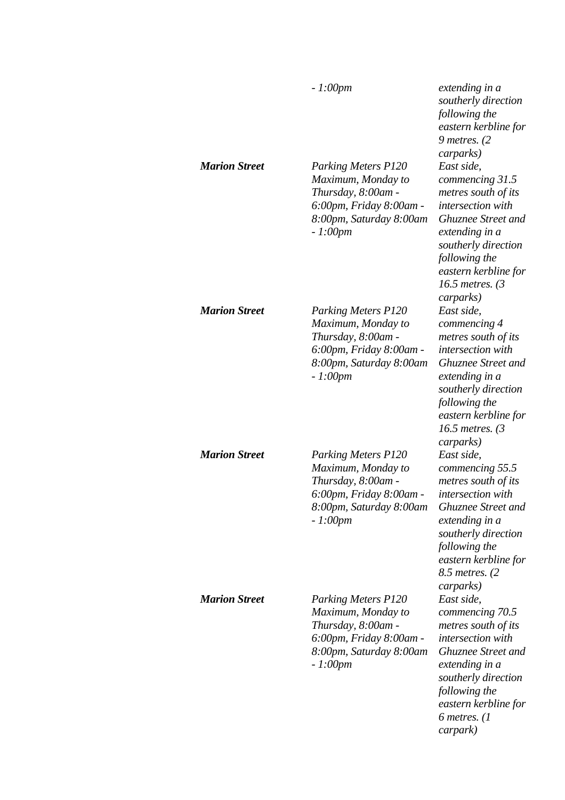| <b>Marion Street</b> | $-1:00pm$<br><b>Parking Meters P120</b><br>Maximum, Monday to<br>Thursday, 8:00am -<br>6:00pm, Friday 8:00am -<br>8:00pm, Saturday 8:00am | extending in a<br>southerly direction<br>following the<br>eastern kerbline for<br>$9$ metres. (2)<br>carparks)<br>East side,<br>commencing 31.5<br>metres south of its<br><i>intersection with</i><br><b>Ghuznee Street and</b> |
|----------------------|-------------------------------------------------------------------------------------------------------------------------------------------|---------------------------------------------------------------------------------------------------------------------------------------------------------------------------------------------------------------------------------|
|                      | $-1:00pm$                                                                                                                                 | extending in a<br>southerly direction<br>following the<br>eastern kerbline for<br>16.5 metres. (3<br>carparks)                                                                                                                  |
| <b>Marion Street</b> | <b>Parking Meters P120</b><br>Maximum, Monday to<br>Thursday, 8:00am -<br>6:00pm, Friday 8:00am -<br>8:00pm, Saturday 8:00am<br>$-1:00pm$ | East side,<br>commencing 4<br>metres south of its<br><i>intersection</i> with<br><b>Ghuznee Street and</b><br>extending in a<br>southerly direction<br>following the<br>eastern kerbline for<br>16.5 metres. $(3)$<br>carparks) |
| <b>Marion Street</b> | <b>Parking Meters P120</b><br>Maximum, Monday to<br>Thursday, 8:00am -<br>6:00pm, Friday 8:00am -<br>8:00pm, Saturday 8:00am<br>$-1:00pm$ | East side,<br>commencing 55.5<br>metres south of its<br>intersection with<br>Ghuznee Street and<br>extending in a<br>southerly direction<br>following the<br>eastern kerbline for<br>8.5 metres. (2)<br>carparks)               |
| <b>Marion Street</b> | <b>Parking Meters P120</b><br>Maximum, Monday to<br>Thursday, 8:00am -<br>6:00pm, Friday 8:00am -<br>8:00pm, Saturday 8:00am<br>$-1:00pm$ | East side,<br>commencing 70.5<br>metres south of its<br>intersection with<br><b>Ghuznee Street and</b><br>extending in a<br>southerly direction<br>following the<br>eastern kerbline for<br>6 metres. $(1)$<br>carpark)         |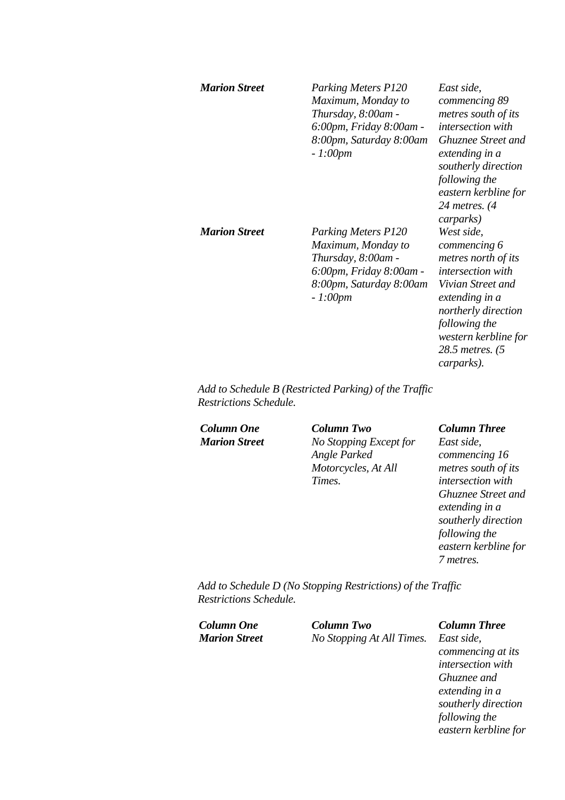| <b>Marion Street</b> | <b>Parking Meters P120</b><br>Maximum, Monday to<br>Thursday, 8:00am -<br>6:00pm, Friday 8:00am -<br>8:00pm, Saturday 8:00am<br>$-1:00pm$ | East side,<br>commencing 89<br>metres south of its<br>intersection with<br><b>Ghuznee Street and</b><br>extending in a<br>southerly direction<br>following the<br>eastern kerbline for<br>24 metres. $(4)$<br>carparks) |
|----------------------|-------------------------------------------------------------------------------------------------------------------------------------------|-------------------------------------------------------------------------------------------------------------------------------------------------------------------------------------------------------------------------|
| <b>Marion Street</b> | <b>Parking Meters P120</b><br>Maximum, Monday to<br>Thursday, 8:00am -<br>6:00pm, Friday 8:00am -<br>8:00pm, Saturday 8:00am<br>$-1:00pm$ | West side,<br>commencing 6<br>metres north of its<br>intersection with<br>Vivian Street and<br>extending in a<br>northerly direction<br>following the<br>western kerbline for<br>28.5 metres. (5<br>carparks).          |

*Add to Schedule B (Restricted Parking) of the Traffic Restrictions Schedule.* 

*Column One Column Two Column Three Marion Street No Stopping Except for Angle Parked Motorcycles, At All Times.* 

*East side, commencing 16 metres south of its intersection with Ghuznee Street and extending in a southerly direction following the eastern kerbline for 7 metres.* 

*Add to Schedule D (No Stopping Restrictions) of the Traffic Restrictions Schedule.* 

| Column One           | <b>Column Two</b>                    | <b>Column Three</b> |
|----------------------|--------------------------------------|---------------------|
| <b>Marion Street</b> | No Stopping At All Times. East side, |                     |
|                      |                                      | $\overline{a}$      |

*commencing at its intersection with Ghuznee and extending in a southerly direction following the eastern kerbline for*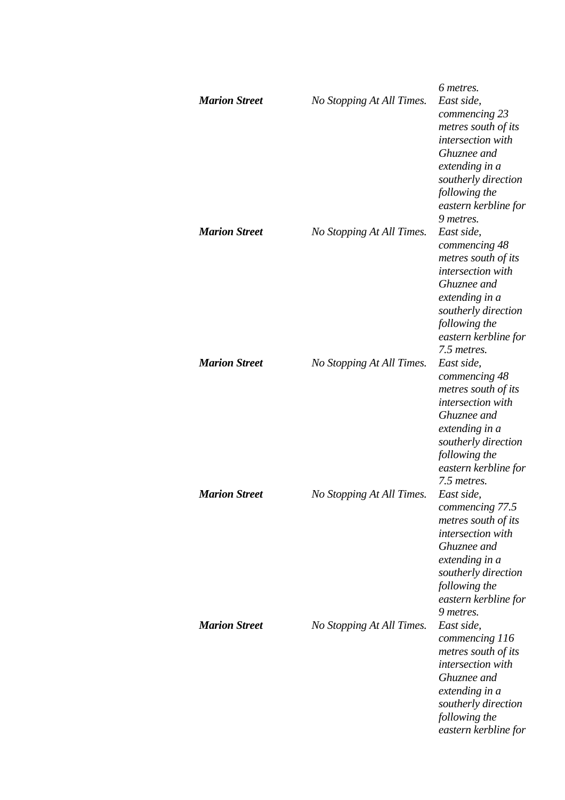| <b>Marion Street</b> | No Stopping At All Times. | 6 metres.<br>East side,<br>commencing 23<br>metres south of its<br>intersection with<br>Ghuznee and<br>extending in a<br>southerly direction<br>following the<br>eastern kerbline for                |
|----------------------|---------------------------|------------------------------------------------------------------------------------------------------------------------------------------------------------------------------------------------------|
| <b>Marion Street</b> | No Stopping At All Times. | 9 metres.<br>East side,<br>commencing 48<br>metres south of its<br>intersection with<br>Ghuznee and<br>extending in a<br>southerly direction<br>following the<br>eastern kerbline for<br>7.5 metres. |
| <b>Marion Street</b> | No Stopping At All Times. | East side,<br>commencing 48<br>metres south of its<br>intersection with<br>Ghuznee and<br>extending in a<br>southerly direction<br>following the<br>eastern kerbline for<br>7.5 metres.              |
| <b>Marion Street</b> | No Stopping At All Times. | East side,<br>commencing 77.5<br>metres south of its<br>intersection with<br>Ghuznee and<br>extending in a<br>southerly direction<br>following the<br>eastern kerbline for<br>9 metres.              |
| <b>Marion Street</b> | No Stopping At All Times. | East side,<br>commencing 116<br>metres south of its<br>intersection with<br>Ghuznee and<br>extending in a<br>southerly direction<br>following the<br>eastern kerbline for                            |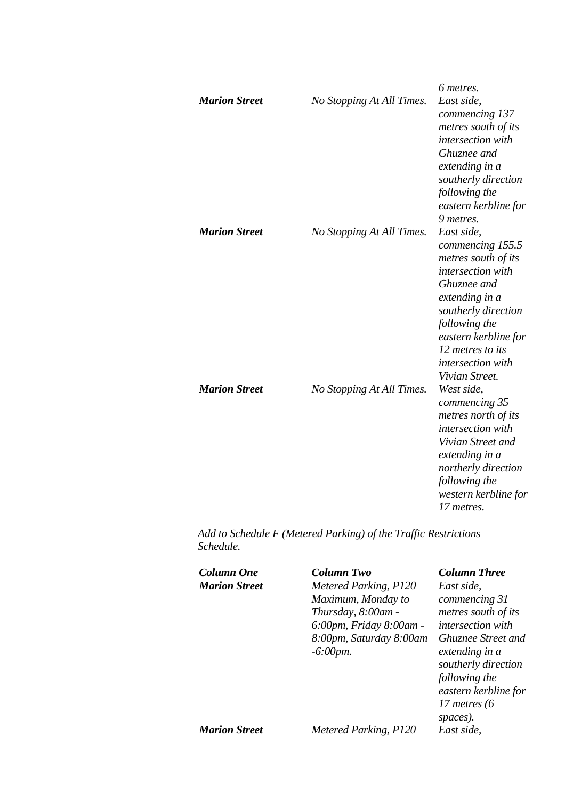|                      |                           | 6 metres.                                                                                                                                                                                                                                     |
|----------------------|---------------------------|-----------------------------------------------------------------------------------------------------------------------------------------------------------------------------------------------------------------------------------------------|
| <b>Marion Street</b> | No Stopping At All Times. | East side,<br>commencing 137<br>metres south of its<br>intersection with<br>Ghuznee and                                                                                                                                                       |
|                      |                           | extending in a<br>southerly direction<br>following the<br>eastern kerbline for<br>9 metres.                                                                                                                                                   |
| <b>Marion Street</b> | No Stopping At All Times. | East side,<br>commencing 155.5<br>metres south of its<br><i>intersection</i> with<br>Ghuznee and<br>extending in a<br>southerly direction<br>following the<br>eastern kerbline for<br>12 metres to its<br>intersection with<br>Vivian Street. |
| <b>Marion Street</b> | No Stopping At All Times. | West side,<br>commencing 35<br>metres north of its<br>intersection with<br>Vivian Street and<br>extending in a<br>northerly direction<br>following the<br>western kerbline for<br>17 metres.                                                  |

*Add to Schedule F (Metered Parking) of the Traffic Restrictions Schedule.* 

| Column One           | Column Two              | <b>Column Three</b>  |
|----------------------|-------------------------|----------------------|
| <b>Marion Street</b> | Metered Parking, P120   | East side,           |
|                      | Maximum, Monday to      | commencing 31        |
|                      | Thursday, 8:00am -      | metres south of its  |
|                      | 6:00pm, Friday 8:00am - | intersection with    |
|                      | 8:00pm, Saturday 8:00am | Ghuznee Street and   |
|                      | $-6:00$ <i>pm</i> .     | extending in a       |
|                      |                         | southerly direction  |
|                      |                         | following the        |
|                      |                         | eastern kerbline for |
|                      |                         | 17 metres (6         |
|                      |                         | spaces).             |
| <b>Marion Street</b> | Metered Parking, P120   | East side,           |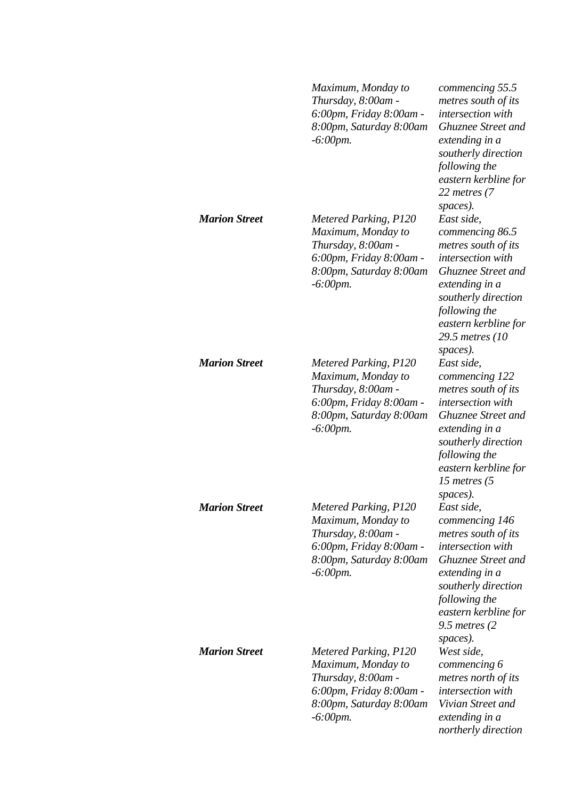|                      | Maximum, Monday to<br>Thursday, 8:00am -<br>6:00pm, Friday 8:00am -<br>8:00pm, Saturday 8:00am<br>$-6:00$ pm.                                  | commencing 55.5<br>metres south of its<br>intersection with<br><b>Ghuznee Street and</b><br>extending in a<br>southerly direction<br>following the<br>eastern kerbline for<br>22 metres (7                                           |
|----------------------|------------------------------------------------------------------------------------------------------------------------------------------------|--------------------------------------------------------------------------------------------------------------------------------------------------------------------------------------------------------------------------------------|
| <b>Marion Street</b> | Metered Parking, P120<br>Maximum, Monday to<br>Thursday, 8:00am -<br>6:00pm, Friday 8:00am -<br>8:00pm, Saturday 8:00am<br>$-6:00$ pm.         | spaces).<br>East side,<br>commencing 86.5<br>metres south of its<br>intersection with<br><b>Ghuznee Street and</b><br>extending in a<br>southerly direction<br>following the<br>eastern kerbline for<br>29.5 metres (10)<br>spaces). |
| <b>Marion Street</b> | Metered Parking, P120<br>Maximum, Monday to<br>Thursday, 8:00am -<br>6:00pm, Friday 8:00am -<br>8:00pm, Saturday 8:00am<br>$-6:00$ pm.         | East side,<br>commencing 122<br>metres south of its<br>intersection with<br><b>Ghuznee Street and</b><br>extending in a<br>southerly direction<br>following the<br>eastern kerbline for<br>15 metres (5<br>spaces).                  |
| <b>Marion Street</b> | Metered Parking, P120<br>Maximum, Monday to<br>Thursday, 8:00am -<br>6:00pm, Friday 8:00am -<br>8:00pm, Saturday 8:00am<br>$-6:00$ <i>pm</i> . | East side,<br>commencing 146<br>metres south of its<br>intersection with<br><b>Ghuznee Street and</b><br>extending in a<br>southerly direction<br>following the<br>eastern kerbline for<br>$9.5$ metres (2)<br>spaces).              |
| <b>Marion Street</b> | Metered Parking, P120<br>Maximum, Monday to<br>Thursday, 8:00am -<br>6:00pm, Friday 8:00am -<br>8:00pm, Saturday 8:00am<br>$-6:00$ pm.         | West side,<br>commencing 6<br>metres north of its<br>intersection with<br>Vivian Street and<br>extending in a<br>northerly direction                                                                                                 |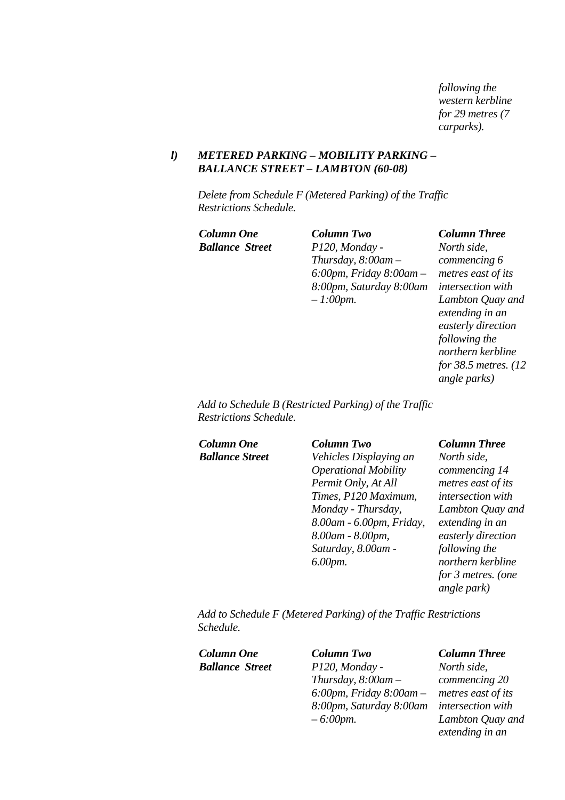*following the western kerbline for 29 metres (7 carparks).* 

### *l) METERED PARKING – MOBILITY PARKING – BALLANCE STREET – LAMBTON (60-08)*

*Delete from Schedule F (Metered Parking) of the Traffic Restrictions Schedule.* 

*Column One Column Two Column Three Ballance Street P120, Monday - Thursday, 8:00am – 6:00pm, Friday 8:00am – 8:00pm, Saturday 8:00am – 1:00pm.* 

*North side, commencing 6 metres east of its intersection with Lambton Quay and extending in an easterly direction following the northern kerbline for 38.5 metres. (12 angle parks)* 

*Add to Schedule B (Restricted Parking) of the Traffic Restrictions Schedule.* 

*Column One Column Two Column Three*

*Ballance Street Vehicles Displaying an Operational Mobility Permit Only, At All Times, P120 Maximum, Monday - Thursday, 8.00am - 6.00pm, Friday, 8.00am - 8.00pm, Saturday, 8.00am - 6.00pm.* 

*North side, commencing 14 metres east of its intersection with Lambton Quay and extending in an easterly direction following the northern kerbline for 3 metres. (one angle park)* 

*Add to Schedule F (Metered Parking) of the Traffic Restrictions Schedule.* 

| Column One             | <b>Column Two</b>             | <b>Column Three</b>      |
|------------------------|-------------------------------|--------------------------|
| <b>Ballance Street</b> | P120, Monday -                | North side,              |
|                        | Thursday, $8:00$ am $-$       | commencing 20            |
|                        | $6:00$ pm, Friday $8:00$ am – | metres east of its       |
|                        | 8:00pm, Saturday 8:00am       | <i>intersection with</i> |
|                        | $-6:00$ pm.                   | Lambton Quay and         |
|                        |                               | extending in an          |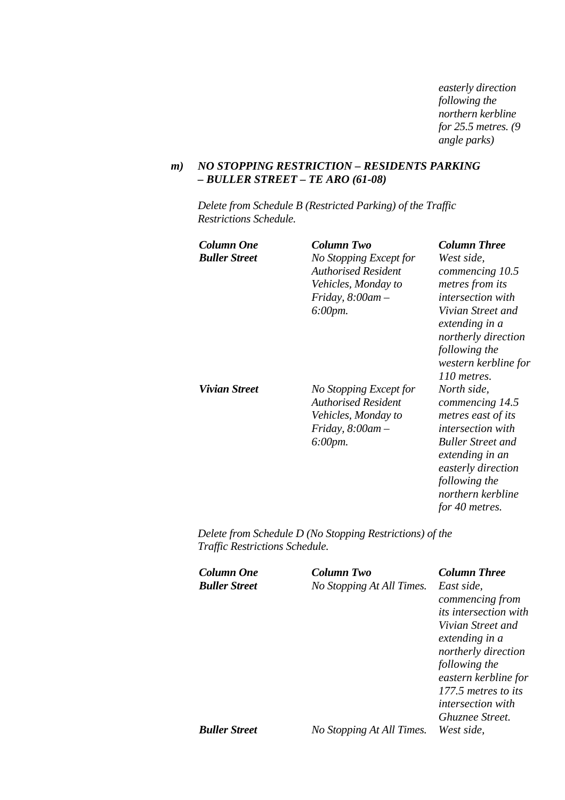*easterly direction following the northern kerbline for 25.5 metres. (9 angle parks)* 

### *m) NO STOPPING RESTRICTION – RESIDENTS PARKING – BULLER STREET – TE ARO (61-08)*

*Delete from Schedule B (Restricted Parking) of the Traffic Restrictions Schedule.* 

| Column One<br><b>Buller Street</b> | <b>Column Two</b><br>No Stopping Except for<br><b>Authorised Resident</b><br>Vehicles, Monday to<br>Friday, $8:00$ am $-$<br>$6:00$ pm. | Column Three<br>West side,<br>commencing 10.5<br>metres from its<br><i>intersection with</i><br>Vivian Street and<br>extending in a<br>northerly direction<br>following the<br>western kerbline for<br>110 metres. |
|------------------------------------|-----------------------------------------------------------------------------------------------------------------------------------------|--------------------------------------------------------------------------------------------------------------------------------------------------------------------------------------------------------------------|
| Vivian Street                      | No Stopping Except for<br><b>Authorised Resident</b><br>Vehicles, Monday to<br>Friday, $8:00$ am $-$<br>6:00pm.                         | North side,<br>commencing 14.5<br>metres east of its<br><i>intersection with</i><br><b>Buller Street and</b><br>extending in an<br>easterly direction<br>following the<br>northern kerbline<br>for 40 metres.      |

*Delete from Schedule D (No Stopping Restrictions) of the Traffic Restrictions Schedule.* 

| Column One           | Column Two                | <b>Column Three</b>      |
|----------------------|---------------------------|--------------------------|
| <b>Buller Street</b> | No Stopping At All Times. | East side,               |
|                      |                           | commencing from          |
|                      |                           | its intersection with    |
|                      |                           | Vivian Street and        |
|                      |                           | extending in a           |
|                      |                           | northerly direction      |
|                      |                           | following the            |
|                      |                           | eastern kerbline for     |
|                      |                           | 177.5 metres to its      |
|                      |                           | <i>intersection with</i> |
|                      |                           | <i>Ghuznee Street.</i>   |
| <b>Buller Street</b> | No Stopping At All Times. | West side.               |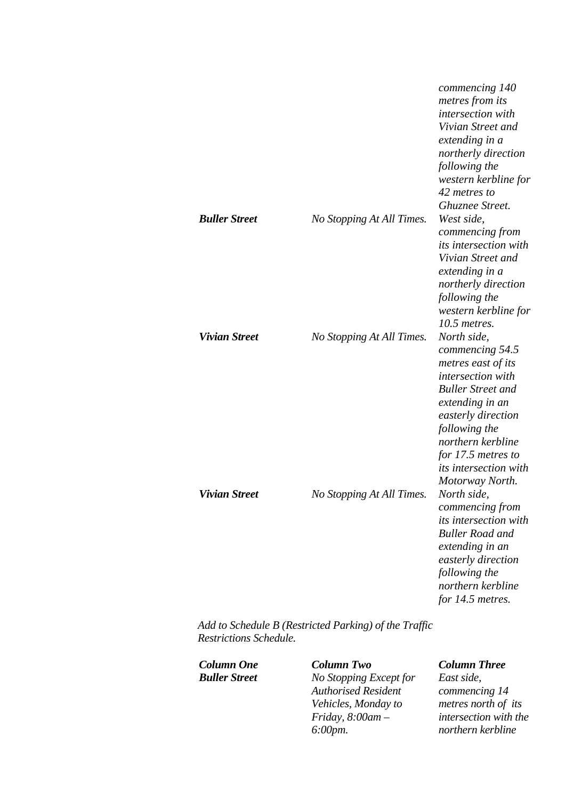|                      |                           | commencing 140<br>metres from its<br>intersection with<br>Vivian Street and<br>extending in a<br>northerly direction<br>following the<br>western kerbline for<br>42 metres to                                                                                 |
|----------------------|---------------------------|---------------------------------------------------------------------------------------------------------------------------------------------------------------------------------------------------------------------------------------------------------------|
| <b>Buller Street</b> | No Stopping At All Times. | Ghuznee Street.<br>West side,<br>commencing from<br><i>its intersection with</i><br>Vivian Street and<br>extending in a<br>northerly direction<br>following the<br>western kerbline for<br>10.5 metres.                                                       |
| <b>Vivian Street</b> | No Stopping At All Times. | North side,<br>commencing 54.5<br>metres east of its<br>intersection with<br><b>Buller Street and</b><br>extending in an<br>easterly direction<br>following the<br>northern kerbline<br>for 17.5 metres to<br><i>its intersection with</i><br>Motorway North. |
| <b>Vivian Street</b> | No Stopping At All Times. | North side,<br>commencing from<br><i>its intersection with</i><br><b>Buller Road and</b><br>extending in an<br>easterly direction<br>following the<br>northern kerbline<br>for 14.5 metres.                                                                   |

*Add to Schedule B (Restricted Parking) of the Traffic Restrictions Schedule.* 

*Column One Column Two Column Three Buller Street No Stopping Except for Authorised Resident Vehicles, Monday to Friday, 8:00am – 6:00pm.* 

*East side, commencing 14 metres north of its intersection with the northern kerbline*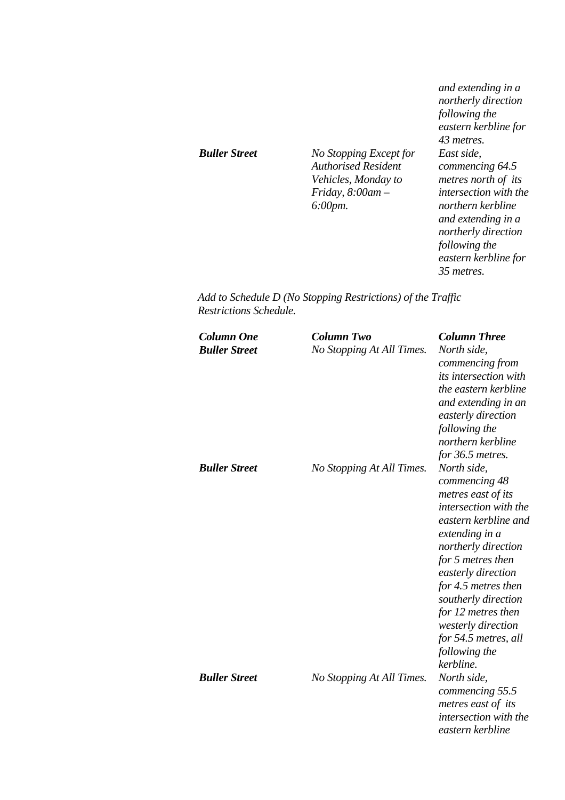|                      |                                                                                                                              | and extending in a<br>northerly direction<br>following the<br>eastern kerbline for<br>43 metres.                                                                                                              |
|----------------------|------------------------------------------------------------------------------------------------------------------------------|---------------------------------------------------------------------------------------------------------------------------------------------------------------------------------------------------------------|
| <b>Buller Street</b> | No Stopping Except for<br><b>Authorised Resident</b><br>Vehicles, Monday to<br>Friday, $8:00$ am $-$<br>$6:00 \, \text{pm}.$ | East side.<br>commencing 64.5<br>metres north of its<br><i>intersection with the</i><br>northern kerbline<br>and extending in a<br>northerly direction<br>following the<br>eastern kerbline for<br>35 metres. |

*Add to Schedule D (No Stopping Restrictions) of the Traffic Restrictions Schedule.* 

| <b>Column One</b><br><b>Buller Street</b> | <b>Column Two</b><br>No Stopping At All Times. | <b>Column Three</b><br>North side,<br>commencing from<br><i>its intersection with</i><br>the eastern kerbline<br>and extending in an<br>easterly direction<br>following the<br>northern kerbline<br>for 36.5 metres.                                                                                                                    |
|-------------------------------------------|------------------------------------------------|-----------------------------------------------------------------------------------------------------------------------------------------------------------------------------------------------------------------------------------------------------------------------------------------------------------------------------------------|
| <b>Buller Street</b>                      | No Stopping At All Times.                      | North side,<br>commencing 48<br>metres east of its<br>intersection with the<br>eastern kerbline and<br>extending in a<br>northerly direction<br>for 5 metres then<br>easterly direction<br>for 4.5 metres then<br>southerly direction<br>for 12 metres then<br>westerly direction<br>for 54.5 metres, all<br>following the<br>kerbline. |
| <b>Buller Street</b>                      | No Stopping At All Times.                      | North side,<br>commencing 55.5<br>metres east of its<br>intersection with the<br>eastern kerbline                                                                                                                                                                                                                                       |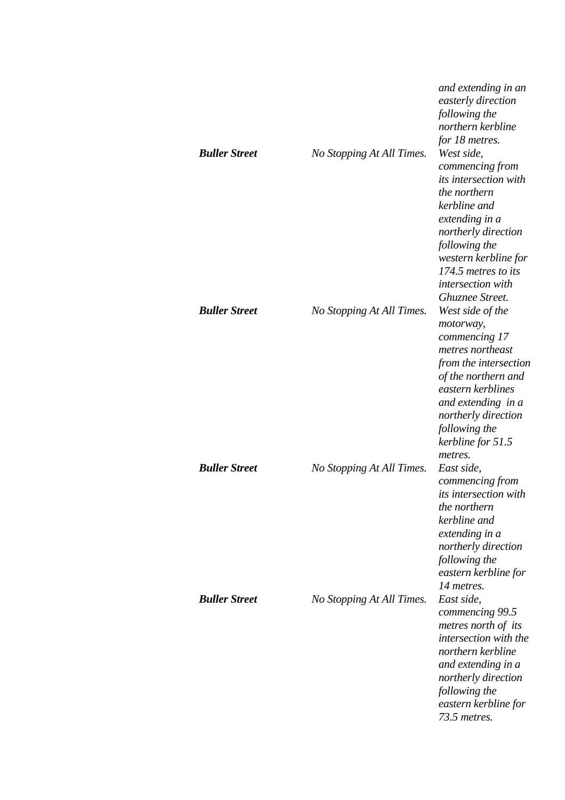| <b>Buller Street</b> | No Stopping At All Times. | and extending in an<br>easterly direction<br>following the<br>northern kerbline<br>for 18 metres.<br>West side,<br>commencing from<br><i>its intersection with</i><br>the northern<br>kerbline and<br>extending in a<br>northerly direction<br>following the<br>western kerbline for |
|----------------------|---------------------------|--------------------------------------------------------------------------------------------------------------------------------------------------------------------------------------------------------------------------------------------------------------------------------------|
| <b>Buller Street</b> | No Stopping At All Times. | 174.5 metres to its<br>intersection with<br>Ghuznee Street.<br>West side of the<br>motorway,<br>commencing 17<br>metres northeast<br>from the intersection<br>of the northern and<br>eastern kerblines                                                                               |
| <b>Buller Street</b> | No Stopping At All Times. | and extending in a<br>northerly direction<br>following the<br>kerbline for 51.5<br>metres.<br>East side,<br>commencing from<br><i>its intersection with</i><br>the northern<br>kerbline and                                                                                          |
| <b>Buller Street</b> | No Stopping At All Times. | extending in a<br>northerly direction<br>following the<br>eastern kerbline for<br>14 metres.<br>East side,<br>commencing 99.5<br>metres north of its<br>intersection with the<br>northern kerbline<br>and extending in a<br>northerly direction                                      |
|                      |                           | following the<br>eastern kerbline for<br>73.5 metres.                                                                                                                                                                                                                                |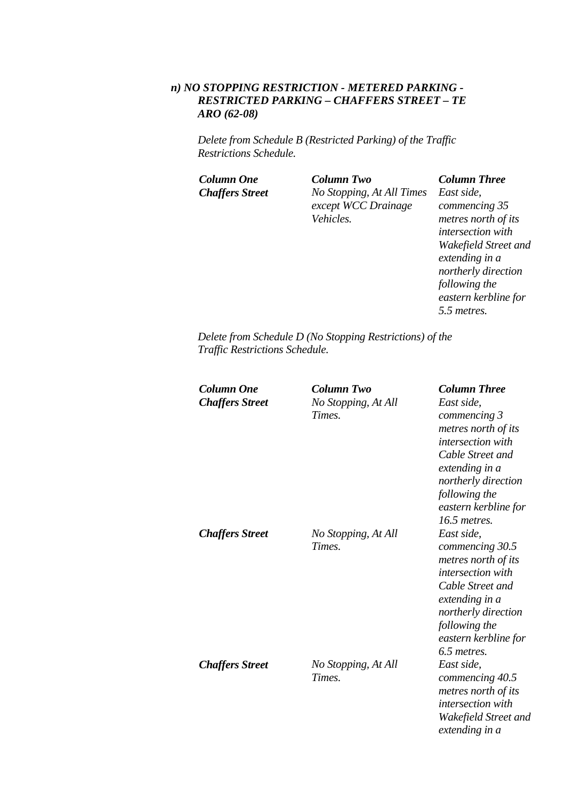### *n) NO STOPPING RESTRICTION - METERED PARKING - RESTRICTED PARKING – CHAFFERS STREET – TE ARO (62-08)*

*Delete from Schedule B (Restricted Parking) of the Traffic Restrictions Schedule.* 

*Column One Column Two Column Three Chaffers Street No Stopping, At All Times except WCC Drainage Vehicles.* 

*East side, commencing 35 metres north of its intersection with Wakefield Street and extending in a northerly direction following the eastern kerbline for 5.5 metres.* 

*Delete from Schedule D (No Stopping Restrictions) of the Traffic Restrictions Schedule.* 

| Column One             | <b>Column Two</b>   | <b>Column Three</b>      |
|------------------------|---------------------|--------------------------|
| <b>Chaffers Street</b> | No Stopping, At All | East side,               |
|                        | Times.              | commencing 3             |
|                        |                     | metres north of its      |
|                        |                     | intersection with        |
|                        |                     | Cable Street and         |
|                        |                     | extending in a           |
|                        |                     | northerly direction      |
|                        |                     | following the            |
|                        |                     | eastern kerbline for     |
|                        |                     | $16.5$ metres.           |
| <b>Chaffers Street</b> | No Stopping, At All | East side,               |
|                        | Times.              | commencing 30.5          |
|                        |                     | metres north of its      |
|                        |                     | <i>intersection</i> with |
|                        |                     | Cable Street and         |
|                        |                     | extending in a           |
|                        |                     | northerly direction      |
|                        |                     | following the            |
|                        |                     | eastern kerbline for     |
|                        |                     | 6.5 metres.              |
| <b>Chaffers Street</b> | No Stopping, At All | East side,               |
|                        | Times.              | commencing 40.5          |
|                        |                     | metres north of its      |
|                        |                     | <i>intersection with</i> |
|                        |                     | Wakefield Street and     |
|                        |                     | extending in a           |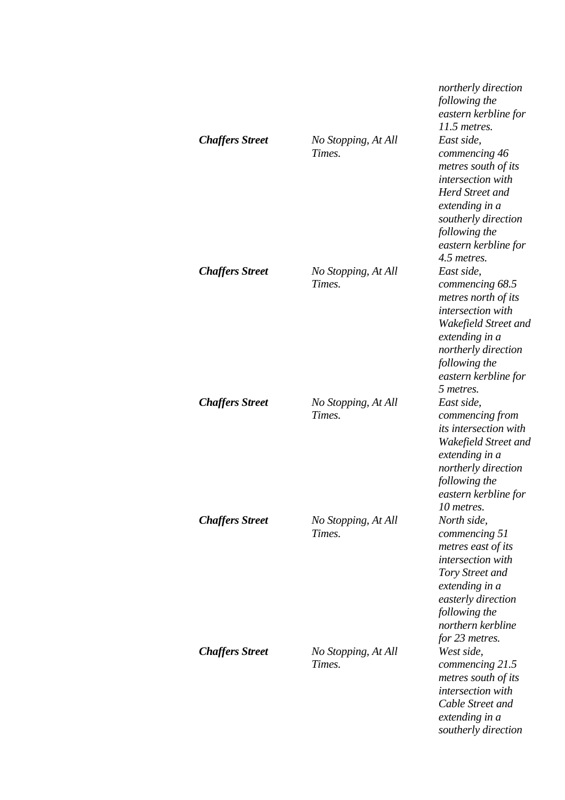|                        |                               | northerly direction<br>following the<br>eastern kerbline for<br>11.5 metres.                                                                                                                       |
|------------------------|-------------------------------|----------------------------------------------------------------------------------------------------------------------------------------------------------------------------------------------------|
| <b>Chaffers Street</b> | No Stopping, At All<br>Times. | East side,<br>commencing 46<br>metres south of its<br>intersection with<br><b>Herd Street and</b><br>extending in a<br>southerly direction<br>following the<br>eastern kerbline for<br>4.5 metres. |
| <b>Chaffers Street</b> | No Stopping, At All<br>Times. | East side,<br>commencing 68.5<br>metres north of its<br>intersection with<br>Wakefield Street and<br>extending in a<br>northerly direction<br>following the<br>eastern kerbline for<br>5 metres.   |
| <b>Chaffers Street</b> | No Stopping, At All<br>Times. | East side,<br>commencing from<br><i>its intersection with</i><br>Wakefield Street and<br>extending in a<br>northerly direction<br>following the<br>eastern kerbline for<br>10 metres.              |
| <b>Chaffers Street</b> | No Stopping, At All<br>Times. | North side,<br>commencing 51<br>metres east of its<br>intersection with<br>Tory Street and<br>extending in a<br>easterly direction<br>following the<br>northern kerbline<br>for 23 metres.         |
| <b>Chaffers Street</b> | No Stopping, At All<br>Times. | West side,<br>commencing 21.5<br>metres south of its<br>intersection with<br>Cable Street and<br>extending in a<br>southerly direction                                                             |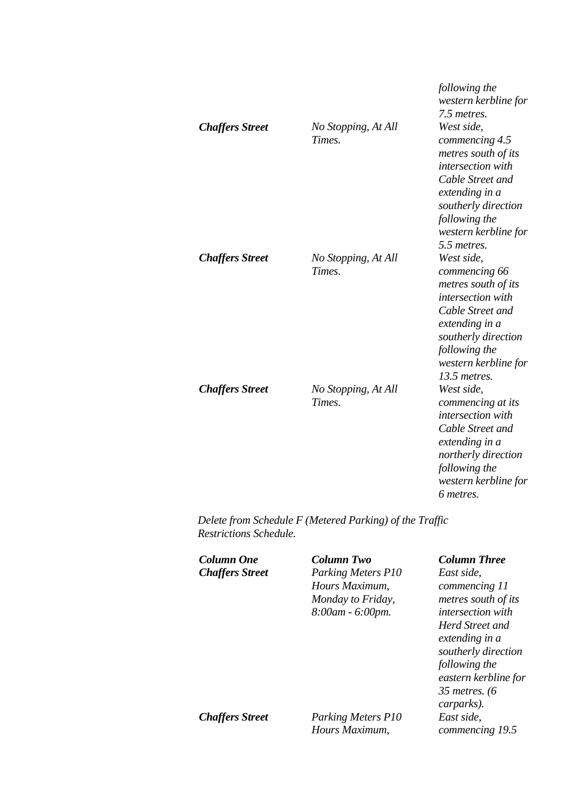| <b>Chaffers Street</b> | No Stopping, At All<br>Times. | following the<br>western kerbline for<br>7.5 metres.<br>West side,<br>commencing 4.5<br>metres south of its<br>intersection with<br>Cable Street and<br>extending in a<br>southerly direction<br>following the<br>western kerbline for<br>5.5 metres. |
|------------------------|-------------------------------|-------------------------------------------------------------------------------------------------------------------------------------------------------------------------------------------------------------------------------------------------------|
| <b>Chaffers Street</b> | No Stopping, At All<br>Times. | West side.<br>commencing 66<br>metres south of its<br>intersection with<br>Cable Street and<br>extending in a<br>southerly direction<br>following the<br>western kerbline for<br>13.5 metres.                                                         |
| <b>Chaffers Street</b> | No Stopping, At All<br>Times. | West side,<br>commencing at its<br>intersection with<br>Cable Street and<br>extending in a<br>northerly direction<br>following the<br>western kerbline for<br>6 metres.                                                                               |

*Delete from Schedule F (Metered Parking) of the Traffic Restrictions Schedule.* 

| Column One<br><b>Chaffers Street</b> | Column Two<br>Parking Meters P10<br>Hours Maximum,<br>Monday to Friday,<br>8:00am - 6:00pm. | <b>Column Three</b><br>East side,<br>commencing 11<br>metres south of its<br><i>intersection with</i><br>Herd Street and<br>extending in a<br>southerly direction<br>following the<br>eastern kerbline for<br>35 metres. $(6)$ |
|--------------------------------------|---------------------------------------------------------------------------------------------|--------------------------------------------------------------------------------------------------------------------------------------------------------------------------------------------------------------------------------|
| <b>Chaffers Street</b>               | <b>Parking Meters P10</b>                                                                   | carparks).<br>East side,                                                                                                                                                                                                       |
|                                      | Hours Maximum,                                                                              | commencing 19.5                                                                                                                                                                                                                |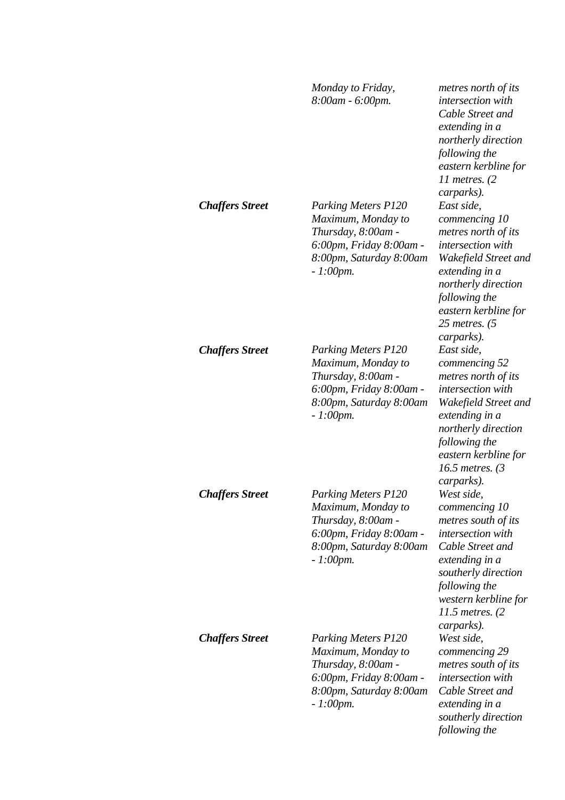|                        | Monday to Friday,<br>8:00am - 6:00pm.                                                                                                       | metres north of its<br><i>intersection</i> with<br>Cable Street and<br>extending in a<br>northerly direction<br>following the<br>eastern kerbline for<br>11 metres. $(2)$<br>carparks).                                      |
|------------------------|---------------------------------------------------------------------------------------------------------------------------------------------|------------------------------------------------------------------------------------------------------------------------------------------------------------------------------------------------------------------------------|
| <b>Chaffers Street</b> | <b>Parking Meters P120</b><br>Maximum, Monday to<br>Thursday, 8:00am -<br>6:00pm, Friday 8:00am -<br>8:00pm, Saturday 8:00am<br>$-1:00$ pm. | East side,<br>commencing 10<br>metres north of its<br>intersection with<br>Wakefield Street and<br>extending in a<br>northerly direction<br>following the<br>eastern kerbline for<br>25 metres. $(5)$<br>carparks).          |
| <b>Chaffers Street</b> | <b>Parking Meters P120</b><br>Maximum, Monday to<br>Thursday, 8:00am -<br>6:00pm, Friday 8:00am -<br>8:00pm, Saturday 8:00am<br>$-1:00$ pm. | East side,<br>commencing 52<br>metres north of its<br><i>intersection</i> with<br>Wakefield Street and<br>extending in a<br>northerly direction<br>following the<br>eastern kerbline for<br>16.5 metres. $(3)$<br>carparks). |
| <b>Chaffers Street</b> | <b>Parking Meters P120</b><br>Maximum, Monday to<br>Thursday, 8:00am -<br>6:00pm, Friday 8:00am -<br>8:00pm, Saturday 8:00am<br>$-1:00$ pm. | West side,<br>commencing 10<br>metres south of its<br>intersection with<br>Cable Street and<br>extending in a<br>southerly direction<br>following the<br>western kerbline for<br>11.5 metres. (2)<br>carparks).              |
| <b>Chaffers Street</b> | <b>Parking Meters P120</b><br>Maximum, Monday to<br>Thursday, 8:00am -<br>6:00pm, Friday 8:00am -<br>8:00pm, Saturday 8:00am<br>$-1:00$ pm. | West side,<br>commencing 29<br>metres south of its<br>intersection with<br>Cable Street and<br>extending in a<br>southerly direction<br>following the                                                                        |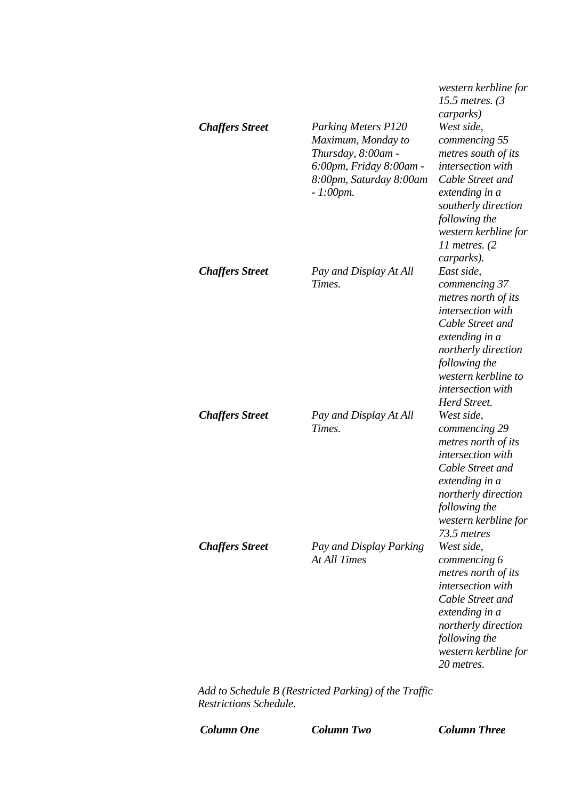| <b>Chaffers Street</b> | <b>Parking Meters P120</b><br>Maximum, Monday to<br>Thursday, 8:00am -<br>6:00pm, Friday 8:00am -<br>8:00pm, Saturday 8:00am<br>$-1:00$ pm. | western kerbline for<br>15.5 metres. $(3)$<br>carparks)<br>West side,<br>commencing 55<br>metres south of its<br>intersection with<br>Cable Street and<br>extending in a<br>southerly direction<br>following the |
|------------------------|---------------------------------------------------------------------------------------------------------------------------------------------|------------------------------------------------------------------------------------------------------------------------------------------------------------------------------------------------------------------|
| <b>Chaffers Street</b> | Pay and Display At All<br>Times.                                                                                                            | western kerbline for<br>11 metres. $(2)$<br>carparks).<br>East side,<br>commencing 37<br>metres north of its<br>intersection with<br>Cable Street and<br>extending in a                                          |
| <b>Chaffers Street</b> | Pay and Display At All<br>Times.                                                                                                            | northerly direction<br>following the<br>western kerbline to<br>intersection with<br>Herd Street.<br>West side,<br>commencing 29<br>metres north of its<br>intersection with<br>Cable Street and                  |
| <b>Chaffers Street</b> | Pay and Display Parking<br><b>At All Times</b>                                                                                              | extending in a<br>northerly direction<br>following the<br>western kerbline for<br>73.5 metres<br>West side,<br>commencing 6<br>metres north of its<br>intersection with<br>Cable Street and                      |
|                        | dd to Schodule D (Destricted Darking) of the Traffic                                                                                        | extending in a<br>northerly direction<br>following the<br>western kerbline for<br>20 metres.                                                                                                                     |

*Add to Schedule B (Restricted Parking) of the Traffic Restrictions Schedule.* 

*Column One Column Two Column Three*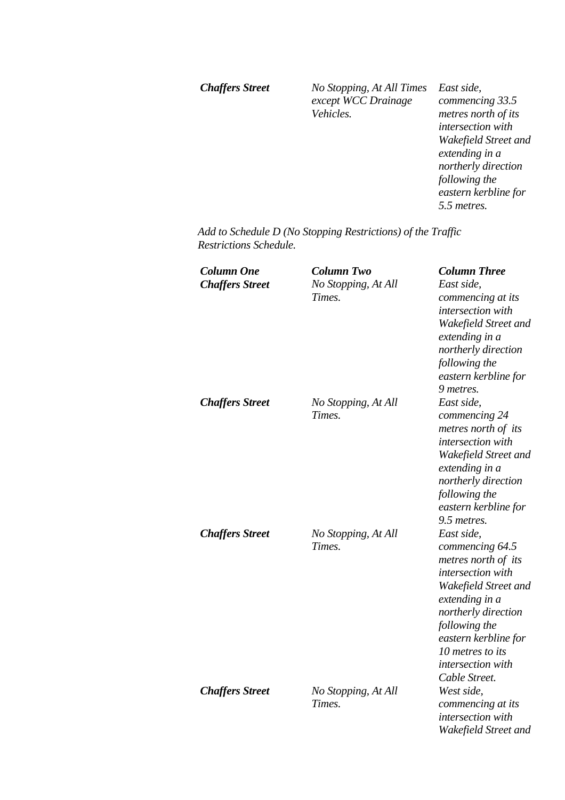*Chaffers Street No Stopping, At All Times except WCC Drainage Vehicles.* 

*East side, commencing 33.5 metres north of its intersection with Wakefield Street and extending in a northerly direction following the eastern kerbline for 5.5 metres.* 

*Add to Schedule D (No Stopping Restrictions) of the Traffic Restrictions Schedule.* 

| <b>Column One</b><br><b>Chaffers Street</b> | <b>Column Two</b><br>No Stopping, At All<br>Times. | <b>Column Three</b><br>East side,<br>commencing at its<br>intersection with<br>Wakefield Street and<br>extending in a<br>northerly direction<br>following the<br>eastern kerbline for<br>9 metres.                                            |
|---------------------------------------------|----------------------------------------------------|-----------------------------------------------------------------------------------------------------------------------------------------------------------------------------------------------------------------------------------------------|
| <b>Chaffers Street</b>                      | No Stopping, At All<br>Times.                      | East side,<br>commencing 24<br>metres north of its<br><i>intersection</i> with<br>Wakefield Street and<br>extending in a<br>northerly direction<br>following the<br>eastern kerbline for<br>9.5 metres.                                       |
| <b>Chaffers Street</b>                      | No Stopping, At All<br>Times.                      | East side,<br>commencing 64.5<br>metres north of its<br>intersection with<br>Wakefield Street and<br>extending in a<br>northerly direction<br>following the<br>eastern kerbline for<br>10 metres to its<br>intersection with<br>Cable Street. |
| <b>Chaffers Street</b>                      | No Stopping, At All<br>Times.                      | West side,<br>commencing at its<br>intersection with<br>Wakefield Street and                                                                                                                                                                  |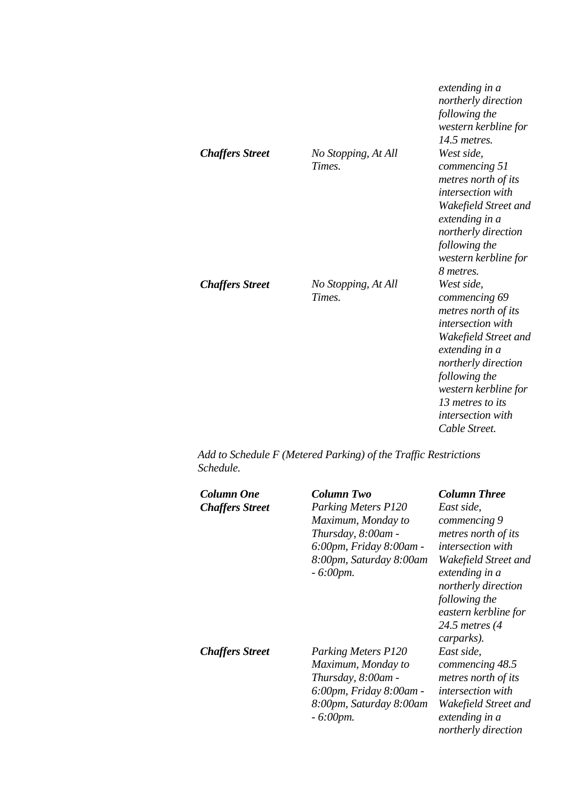| <b>Chaffers Street</b> | No Stopping, At All<br><b>Times</b> | extending in a<br>northerly direction<br>following the<br>western kerbline for<br>14.5 metres.<br>West side,<br>commencing 51<br>metres north of its<br>intersection with<br>Wakefield Street and<br>extending in a<br>northerly direction<br>following the<br>western kerbline for |
|------------------------|-------------------------------------|-------------------------------------------------------------------------------------------------------------------------------------------------------------------------------------------------------------------------------------------------------------------------------------|
| <b>Chaffers Street</b> | No Stopping, At All<br>Times.       | 8 metres.<br>West side,<br>commencing 69<br>metres north of its<br><i>intersection</i> with<br>Wakefield Street and<br>extending in a<br>northerly direction<br>following the<br>western kerbline for<br>13 metres to its<br><i>intersection with</i><br>Cable Street.              |

*Add to Schedule F (Metered Parking) of the Traffic Restrictions Schedule.* 

| <b>Column One</b><br><b>Chaffers Street</b> | <b>Column Two</b><br><b>Parking Meters P120</b><br>Maximum, Monday to<br>Thursday, 8:00am -<br>6:00pm, Friday 8:00am -<br>8:00pm, Saturday 8:00am<br>$-6:00$ pm. | <b>Column Three</b><br>East side,<br>commencing 9<br>metres north of its<br><i>intersection with</i><br>Wakefield Street and<br>extending in a<br>northerly direction<br>following the<br>eastern kerbline for<br>24.5 metres (4<br>carparks). |
|---------------------------------------------|------------------------------------------------------------------------------------------------------------------------------------------------------------------|------------------------------------------------------------------------------------------------------------------------------------------------------------------------------------------------------------------------------------------------|
| <b>Chaffers Street</b>                      | <b>Parking Meters P120</b><br>Maximum, Monday to<br>Thursday, 8:00am -<br>6:00pm, Friday 8:00am -<br>8:00pm, Saturday 8:00am<br>$-6:00$ pm.                      | East side,<br>commencing 48.5<br>metres north of its<br><i>intersection</i> with<br>Wakefield Street and<br>extending in a<br>northerly direction                                                                                              |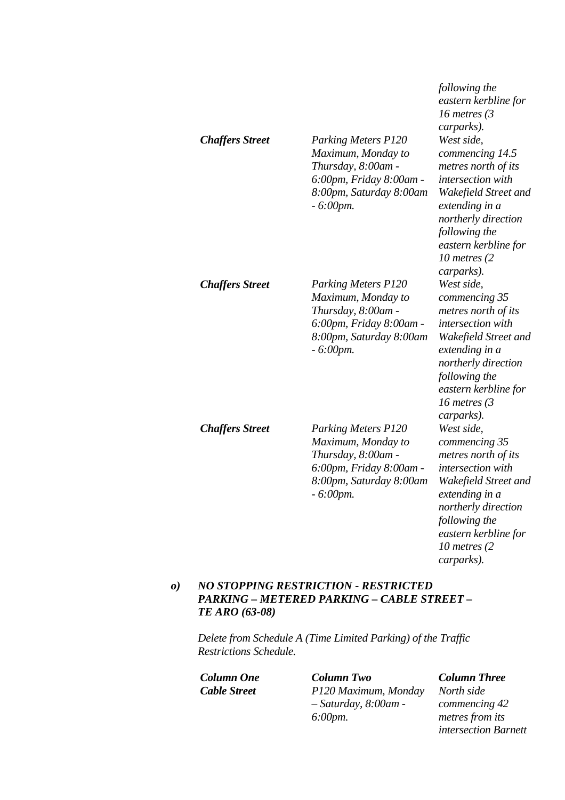|                        |                                                                                                                                             | following the<br>eastern kerbline for<br>16 metres $(3)$<br>carparks).                                                                                                                                               |
|------------------------|---------------------------------------------------------------------------------------------------------------------------------------------|----------------------------------------------------------------------------------------------------------------------------------------------------------------------------------------------------------------------|
| <b>Chaffers Street</b> | <b>Parking Meters P120</b><br>Maximum, Monday to<br>Thursday, 8:00am -<br>6:00pm, Friday 8:00am -<br>8:00pm, Saturday 8:00am<br>$-6:00$ pm. | West side,<br>commencing 14.5<br>metres north of its<br>intersection with<br>Wakefield Street and<br>extending in a<br>northerly direction<br>following the<br>eastern kerbline for<br>10 metres $(2)$<br>carparks). |
| <b>Chaffers Street</b> | <b>Parking Meters P120</b><br>Maximum, Monday to<br>Thursday, 8:00am -<br>6:00pm, Friday 8:00am -<br>8:00pm, Saturday 8:00am<br>$-6:00$ pm. | West side,<br>commencing 35<br>metres north of its<br>intersection with<br>Wakefield Street and<br>extending in a<br>northerly direction<br>following the<br>eastern kerbline for<br>16 metres $(3)$<br>carparks).   |
| <b>Chaffers Street</b> | <b>Parking Meters P120</b><br>Maximum, Monday to<br>Thursday, 8:00am -<br>6:00pm, Friday 8:00am -<br>8:00pm, Saturday 8:00am<br>$-6:00$ pm. | West side,<br>commencing 35<br>metres north of its<br>intersection with<br>Wakefield Street and<br>extending in a<br>northerly direction<br>following the<br>eastern kerbline for<br>10 metres $(2)$<br>carparks).   |

### *o) NO STOPPING RESTRICTION - RESTRICTED PARKING – METERED PARKING – CABLE STREET – TE ARO (63-08)*

*Delete from Schedule A (Time Limited Parking) of the Traffic Restrictions Schedule.* 

*Column One Column Two Column Three Cable Street P120 Maximum, Monday – Saturday, 8:00am - 6:00pm.* 

*North side commencing 42 metres from its intersection Barnett*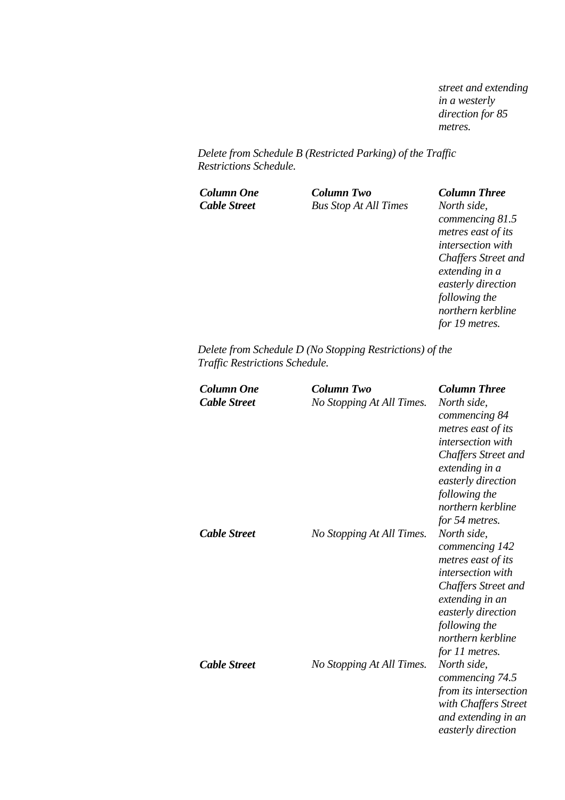*street and extending in a westerly direction for 85 metres.* 

*Delete from Schedule B (Restricted Parking) of the Traffic Restrictions Schedule.* 

*Column One Column Two Column Three Cable Street Bus Stop At All Times North side,* 

*commencing 81.5 metres east of its intersection with Chaffers Street and extending in a easterly direction following the northern kerbline for 19 metres.* 

*Delete from Schedule D (No Stopping Restrictions) of the Traffic Restrictions Schedule.* 

| <b>Column One</b><br><b>Cable Street</b> | Column Two<br>No Stopping At All Times. | <b>Column Three</b><br>North side,<br>commencing 84<br>metres east of its<br><i>intersection</i> with<br>Chaffers Street and<br>extending in a<br>easterly direction<br>following the<br>northern kerbline<br>for 54 metres. |
|------------------------------------------|-----------------------------------------|------------------------------------------------------------------------------------------------------------------------------------------------------------------------------------------------------------------------------|
| <b>Cable Street</b>                      | No Stopping At All Times.               | North side,<br>commencing 142<br>metres east of its<br><i>intersection with</i><br><b>Chaffers Street and</b><br>extending in an<br>easterly direction<br>following the<br>northern kerbline<br>for 11 metres.               |
| <b>Cable Street</b>                      | No Stopping At All Times.               | North side,<br>commencing 74.5<br>from its intersection<br>with Chaffers Street<br>and extending in an<br>easterly direction                                                                                                 |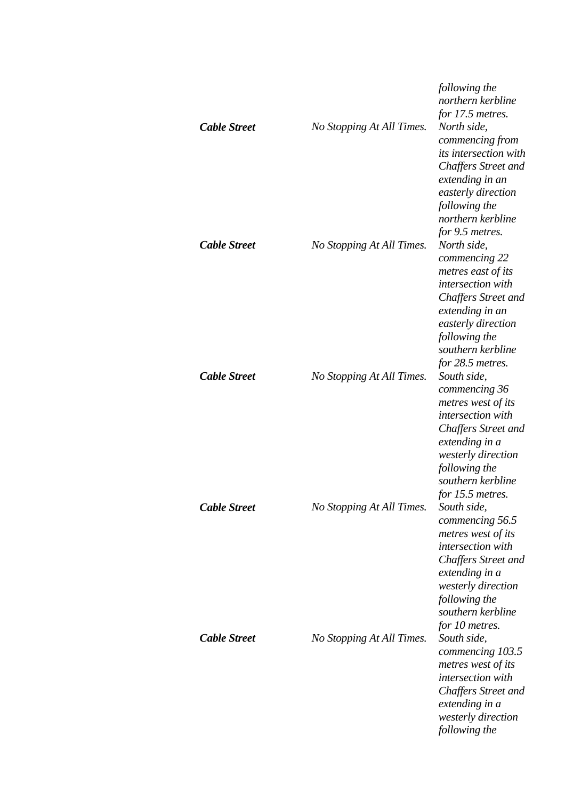| <b>Cable Street</b> | No Stopping At All Times. | following the<br>northern kerbline<br>for 17.5 metres.<br>North side,<br>commencing from<br><i>its intersection with</i><br>Chaffers Street and<br>extending in an<br>easterly direction<br>following the<br>northern kerbline<br>for 9.5 metres. |
|---------------------|---------------------------|---------------------------------------------------------------------------------------------------------------------------------------------------------------------------------------------------------------------------------------------------|
| <b>Cable Street</b> | No Stopping At All Times. | North side,<br>commencing 22<br>metres east of its<br>intersection with<br><b>Chaffers Street and</b><br>extending in an<br>easterly direction<br>following the<br>southern kerbline<br>for 28.5 metres.                                          |
| <b>Cable Street</b> | No Stopping At All Times. | South side,<br>commencing 36<br>metres west of its<br>intersection with<br><b>Chaffers Street and</b><br>extending in a<br>westerly direction<br>following the<br>southern kerbline<br>for 15.5 metres.                                           |
| <b>Cable Street</b> | No Stopping At All Times. | South side,<br>commencing 56.5<br>metres west of its<br>intersection with<br><b>Chaffers Street and</b><br>extending in a<br>westerly direction<br>following the<br>southern kerbline<br>for 10 metres.                                           |
| <b>Cable Street</b> | No Stopping At All Times. | South side,<br>commencing 103.5<br>metres west of its<br>intersection with<br><b>Chaffers Street and</b><br>extending in a<br>westerly direction<br>following the                                                                                 |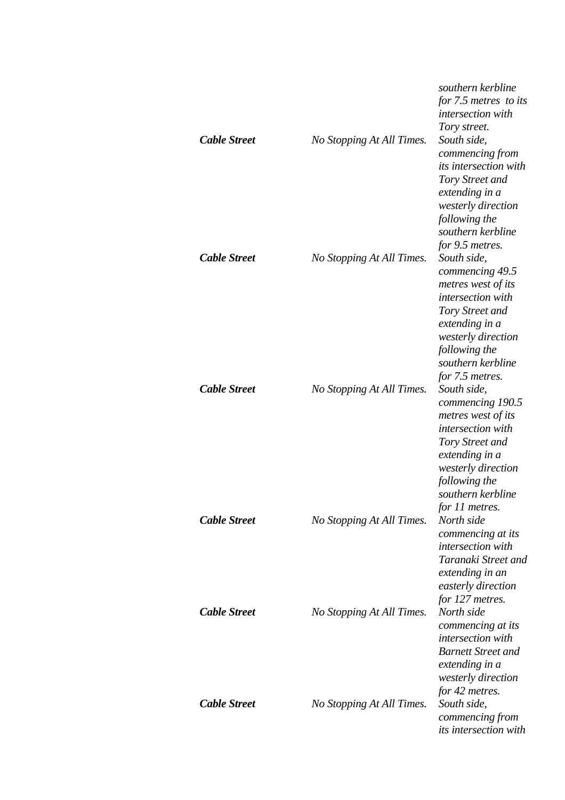| <b>Cable Street</b> | No Stopping At All Times. | southern kerbline<br>for 7.5 metres to its<br><i>intersection</i> with<br>Tory street.<br>South side,<br>commencing from<br><i>its intersection with</i><br>Tory Street and<br>extending in a<br>westerly direction                           |
|---------------------|---------------------------|-----------------------------------------------------------------------------------------------------------------------------------------------------------------------------------------------------------------------------------------------|
| <b>Cable Street</b> | No Stopping At All Times. | following the<br>southern kerbline<br>for 9.5 metres.<br>South side,<br>commencing 49.5<br>metres west of its<br>intersection with<br>Tory Street and                                                                                         |
| <b>Cable Street</b> | No Stopping At All Times. | extending in a<br>westerly direction<br>following the<br>southern kerbline<br>for 7.5 metres.<br>South side,<br>commencing 190.5<br>metres west of its<br><i>intersection with</i><br>Tory Street and<br>extending in a<br>westerly direction |
| <b>Cable Street</b> | No Stopping At All Times. | following the<br>southern kerbline<br>for 11 metres.<br>North side<br>commencing at its<br>intersection with<br>Taranaki Street and                                                                                                           |
| <b>Cable Street</b> | No Stopping At All Times. | extending in an<br>easterly direction<br>for 127 metres.<br>North side<br>commencing at its<br>intersection with<br><b>Barnett Street and</b>                                                                                                 |
| <b>Cable Street</b> | No Stopping At All Times. | extending in a<br>westerly direction<br>for 42 metres.<br>South side,<br>commencing from<br><i>its intersection with</i>                                                                                                                      |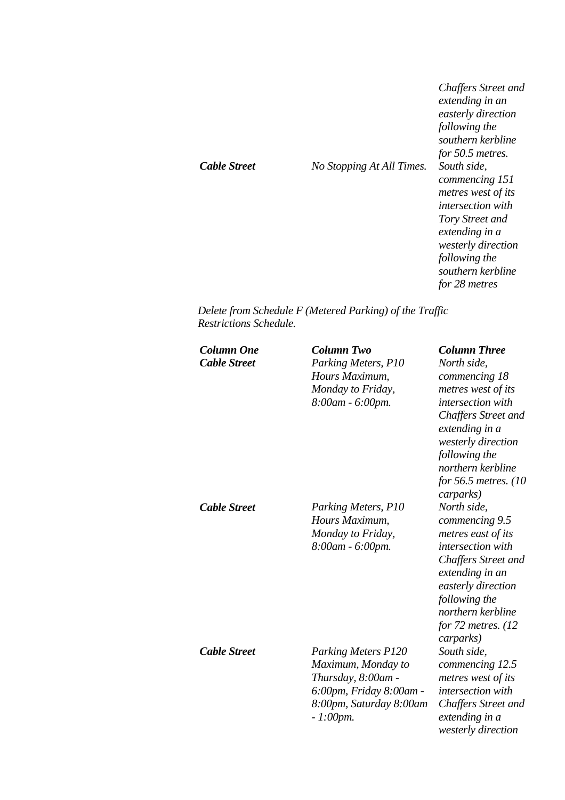|                     |                           | <b>Chaffers Street and</b><br>extending in an<br>easterly direction<br>following the<br>southern kerbline<br>for 50.5 metres. |
|---------------------|---------------------------|-------------------------------------------------------------------------------------------------------------------------------|
| <b>Cable Street</b> | No Stopping At All Times. | South side,<br>commencing 151<br>metres west of its<br><i>intersection</i> with<br>Tory Street and                            |
|                     |                           | extending in a<br>westerly direction<br>following the<br>southern kerbline<br>for 28 metres                                   |

*Delete from Schedule F (Metered Parking) of the Traffic Restrictions Schedule.* 

| <b>Column One</b><br><b>Cable Street</b> | <b>Column Two</b><br>Parking Meters, P10<br>Hours Maximum,<br>Monday to Friday,<br>8:00am - 6:00pm.                                         | <b>Column Three</b><br>North side,<br>commencing 18<br>metres west of its<br>intersection with<br>Chaffers Street and<br>extending in a<br>westerly direction<br>following the<br>northern kerbline<br>for 56.5 metres. (10)<br>carparks) |
|------------------------------------------|---------------------------------------------------------------------------------------------------------------------------------------------|-------------------------------------------------------------------------------------------------------------------------------------------------------------------------------------------------------------------------------------------|
| <b>Cable Street</b>                      | Parking Meters, P10<br>Hours Maximum,<br>Monday to Friday,<br>8:00am - 6:00pm.                                                              | North side,<br>commencing 9.5<br>metres east of its<br>intersection with<br>Chaffers Street and<br>extending in an<br>easterly direction<br>following the<br>northern kerbline<br>for $72$ metres. $(12)$<br>carparks)                    |
| <b>Cable Street</b>                      | <b>Parking Meters P120</b><br>Maximum, Monday to<br>Thursday, 8:00am -<br>6:00pm, Friday 8:00am -<br>8:00pm, Saturday 8:00am<br>$-1:00$ pm. | South side,<br>commencing 12.5<br>metres west of its<br>intersection with<br><b>Chaffers Street and</b><br>extending in a<br>westerly direction                                                                                           |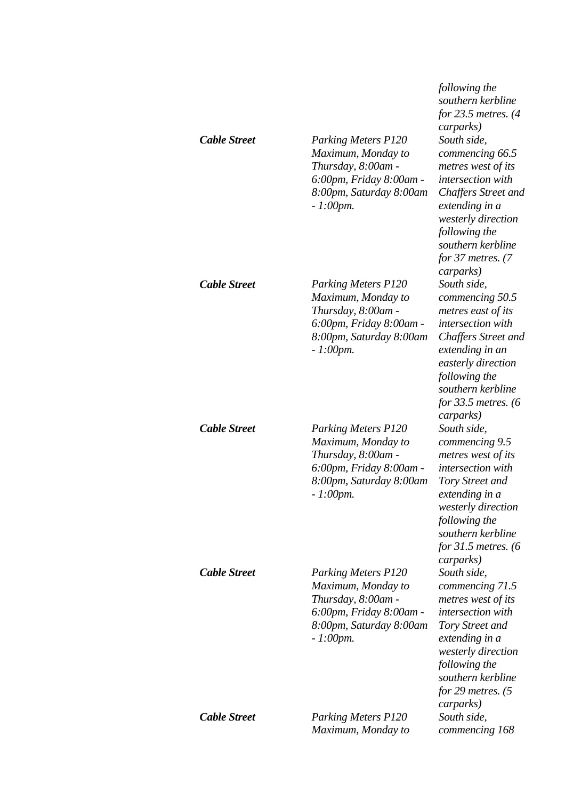| <b>Cable Street</b> | <b>Parking Meters P120</b><br>Maximum, Monday to<br>Thursday, 8:00am -<br>6:00pm, Friday 8:00am -<br>8:00pm, Saturday 8:00am<br>$-1:00$ pm. | following the<br>southern kerbline<br>for $23.5$ metres. $(4)$<br><i>carparks</i> )<br>South side,<br>commencing 66.5<br>metres west of its<br>intersection with<br>Chaffers Street and<br>extending in a<br>westerly direction<br>following the<br>southern kerbline<br>for 37 metres. $(7)$<br>carparks) |
|---------------------|---------------------------------------------------------------------------------------------------------------------------------------------|------------------------------------------------------------------------------------------------------------------------------------------------------------------------------------------------------------------------------------------------------------------------------------------------------------|
| <b>Cable Street</b> | <b>Parking Meters P120</b><br>Maximum, Monday to<br>Thursday, 8:00am -<br>6:00pm, Friday 8:00am -<br>8:00pm, Saturday 8:00am<br>$-1:00$ pm. | South side,<br>commencing 50.5<br>metres east of its<br>intersection with<br><b>Chaffers Street and</b><br>extending in an<br>easterly direction<br>following the<br>southern kerbline<br>for 33.5 metres. $(6)$<br>carparks)                                                                              |
| <b>Cable Street</b> | <b>Parking Meters P120</b><br>Maximum, Monday to<br>Thursday, 8:00am -<br>6:00pm, Friday 8:00am -<br>8:00pm, Saturday 8:00am<br>$-1:00$ pm. | South side,<br>commencing 9.5<br>metres west of its<br>intersection with<br>Tory Street and<br>extending in a<br><i>westerly direction</i><br>following the<br>southern kerbline<br>for $31.5$ metres. (6)<br>carparks)                                                                                    |
| <b>Cable Street</b> | <b>Parking Meters P120</b><br>Maximum, Monday to<br>Thursday, 8:00am -<br>6:00pm, Friday 8:00am -<br>8:00pm, Saturday 8:00am<br>$-1:00$ pm. | South side,<br>commencing 71.5<br>metres west of its<br><i>intersection</i> with<br>Tory Street and<br>extending in a<br>westerly direction<br>following the<br>southern kerbline<br>for 29 metres. $(5)$<br>carparks)                                                                                     |
| <b>Cable Street</b> | Parking Meters P120<br>Maximum, Monday to                                                                                                   | South side,<br>commencing 168                                                                                                                                                                                                                                                                              |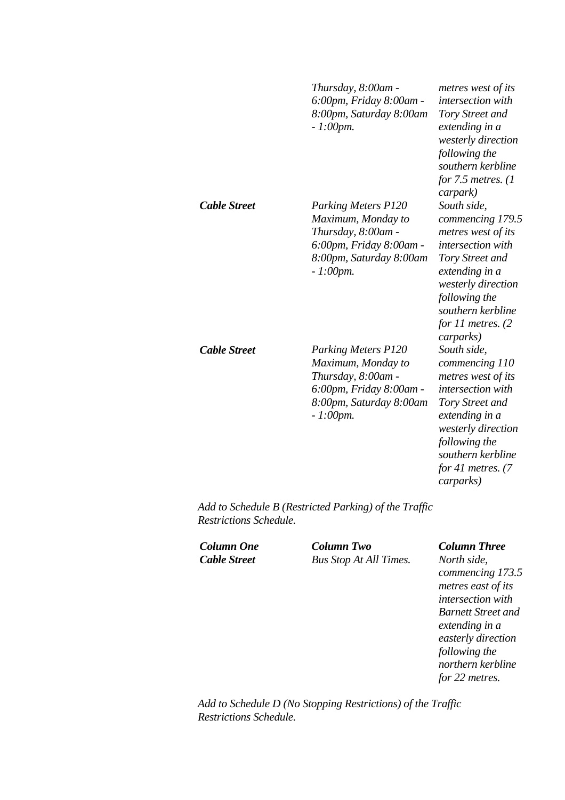|                     | Thursday, 8:00am -<br>6:00pm, Friday 8:00am -<br>8:00pm, Saturday 8:00am<br>$-1:00$ pm.                                                     | metres west of its<br>intersection with<br>Tory Street and<br>extending in a<br>westerly direction<br>following the<br>southern kerbline<br>for $7.5$ metres. $(1)$<br>carpark)                                    |
|---------------------|---------------------------------------------------------------------------------------------------------------------------------------------|--------------------------------------------------------------------------------------------------------------------------------------------------------------------------------------------------------------------|
| <b>Cable Street</b> | <b>Parking Meters P120</b><br>Maximum, Monday to<br>Thursday, 8:00am -<br>6:00pm, Friday 8:00am -<br>8:00pm, Saturday 8:00am<br>$-1:00$ pm. | South side,<br>commencing 179.5<br>metres west of its<br>intersection with<br>Tory Street and<br>extending in a<br>westerly direction<br>following the<br>southern kerbline<br>for $11$ metres. $(2)$<br>carparks) |
| <b>Cable Street</b> | <b>Parking Meters P120</b><br>Maximum, Monday to<br>Thursday, 8:00am -<br>6:00pm, Friday 8:00am -<br>8:00pm, Saturday 8:00am<br>$-1:00$ pm. | South side,<br>commencing 110<br>metres west of its<br>intersection with<br>Tory Street and<br>extending in a<br>westerly direction<br>following the<br>southern kerbline<br>for 41 metres. $(7)$<br>carparks)     |

*Add to Schedule B (Restricted Parking) of the Traffic Restrictions Schedule.* 

*Column One Column Two Column Three Cable Street Bus Stop At All Times. North side,* 

*commencing 173.5 metres east of its intersection with Barnett Street and extending in a easterly direction following the northern kerbline for 22 metres.* 

*Add to Schedule D (No Stopping Restrictions) of the Traffic Restrictions Schedule.*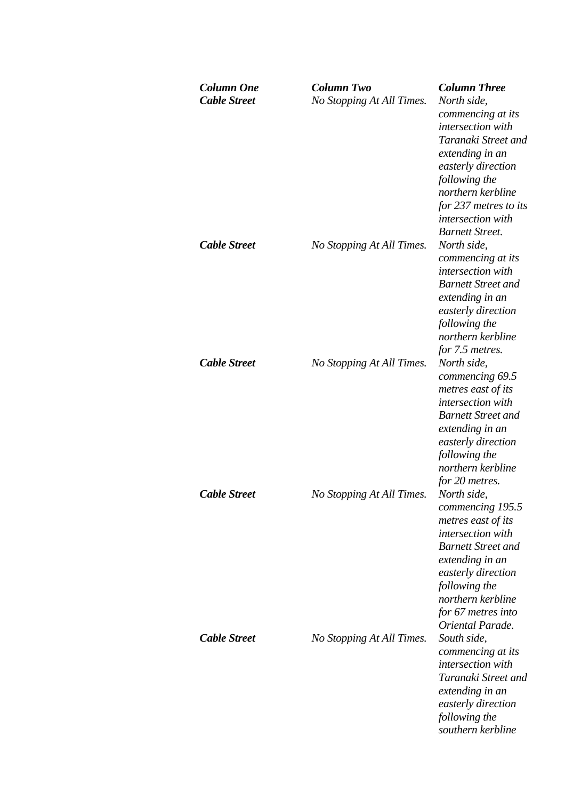| <b>Column One</b><br><b>Cable Street</b> | Column Two<br>No Stopping At All Times. | <b>Column Three</b><br>North side,<br>commencing at its<br>intersection with<br>Taranaki Street and<br>extending in an<br>easterly direction<br>following the<br>northern kerbline<br>for 237 metres to its<br>intersection with<br><b>Barnett Street.</b> |
|------------------------------------------|-----------------------------------------|------------------------------------------------------------------------------------------------------------------------------------------------------------------------------------------------------------------------------------------------------------|
| <b>Cable Street</b>                      | No Stopping At All Times.               | North side,<br>commencing at its<br>intersection with<br><b>Barnett Street and</b><br>extending in an<br>easterly direction<br>following the<br>northern kerbline<br>for 7.5 metres.                                                                       |
| <b>Cable Street</b>                      | No Stopping At All Times.               | North side,<br>commencing 69.5<br>metres east of its<br>intersection with<br><b>Barnett Street and</b><br>extending in an<br>easterly direction<br>following the<br>northern kerbline<br>for 20 metres.                                                    |
| <b>Cable Street</b>                      | No Stopping At All Times.               | North side,<br>commencing 195.5<br>metres east of its<br>intersection with<br><b>Barnett Street and</b><br>extending in an<br>easterly direction<br>following the<br>northern kerbline<br>for 67 metres into<br>Oriental Parade.                           |
| <b>Cable Street</b>                      | No Stopping At All Times.               | South side,<br>commencing at its<br>intersection with<br>Taranaki Street and<br>extending in an<br>easterly direction<br>following the<br>southern kerbline                                                                                                |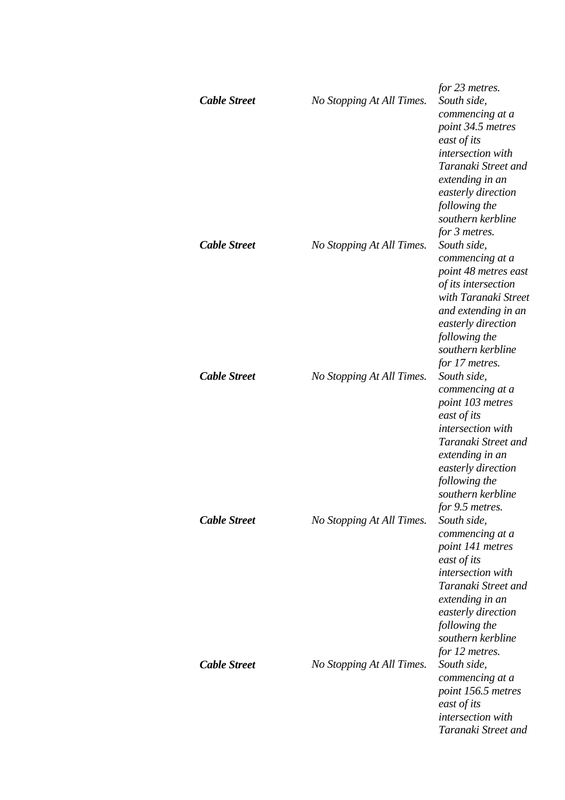| <b>Cable Street</b>                        | No Stopping At All Times. | for 23 metres.<br>South side,                                                                                                                                                                                   |
|--------------------------------------------|---------------------------|-----------------------------------------------------------------------------------------------------------------------------------------------------------------------------------------------------------------|
|                                            |                           | commencing at a<br>point 34.5 metres<br>east of its<br>intersection with<br>Taranaki Street and<br>extending in an<br>easterly direction<br>following the<br>southern kerbline<br>for 3 metres.                 |
| <b>Cable Street</b><br><b>Cable Street</b> | No Stopping At All Times. | South side,<br>commencing at a<br>point 48 metres east<br>of its intersection<br>with Taranaki Street<br>and extending in an<br>easterly direction<br>following the<br>southern kerbline<br>for 17 metres.      |
|                                            | No Stopping At All Times. | South side,<br>commencing at a<br>point 103 metres<br>east of its<br>intersection with<br>Taranaki Street and<br>extending in an<br>easterly direction<br>following the<br>southern kerbline<br>for 9.5 metres. |
| <b>Cable Street</b>                        | No Stopping At All Times. | South side,<br>commencing at a<br>point 141 metres<br>east of its<br>intersection with<br>Taranaki Street and<br>extending in an<br>easterly direction<br>following the<br>southern kerbline<br>for 12 metres.  |
| <b>Cable Street</b>                        | No Stopping At All Times. | South side,<br>commencing at a<br>point 156.5 metres<br>east of its<br>intersection with<br>Taranaki Street and                                                                                                 |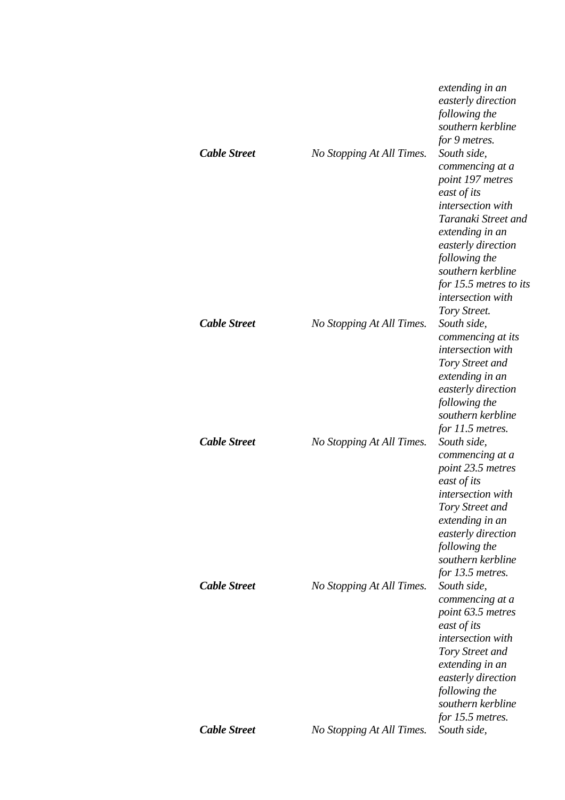| <b>Cable Street</b> | No Stopping At All Times. | extending in an<br>easterly direction<br>following the<br>southern kerbline<br>for 9 metres.<br>South side,<br>commencing at a<br>point 197 metres<br>east of its<br><i>intersection</i> with<br>Taranaki Street and<br>extending in an<br>easterly direction<br>following the<br>southern kerbline<br>for 15.5 metres to its<br><i>intersection</i> with<br>Tory Street. |
|---------------------|---------------------------|---------------------------------------------------------------------------------------------------------------------------------------------------------------------------------------------------------------------------------------------------------------------------------------------------------------------------------------------------------------------------|
| <b>Cable Street</b> | No Stopping At All Times. | South side,<br>commencing at its<br>intersection with<br>Tory Street and<br>extending in an<br>easterly direction<br>following the<br>southern kerbline<br>for 11.5 metres.                                                                                                                                                                                               |
| <b>Cable Street</b> | No Stopping At All Times. | South side,<br>commencing at a<br>point 23.5 metres<br>east of its<br>intersection with<br>Tory Street and<br>extending in an<br>easterly direction<br>following the<br>southern kerbline                                                                                                                                                                                 |
| <b>Cable Street</b> | No Stopping At All Times. | for 13.5 metres.<br>South side,<br>commencing at a<br>point 63.5 metres<br>east of its<br><i>intersection</i> with<br>Tory Street and<br>extending in an<br>easterly direction<br>following the<br>southern kerbline<br>for 15.5 metres.                                                                                                                                  |
| <b>Cable Street</b> | No Stopping At All Times. | South side,                                                                                                                                                                                                                                                                                                                                                               |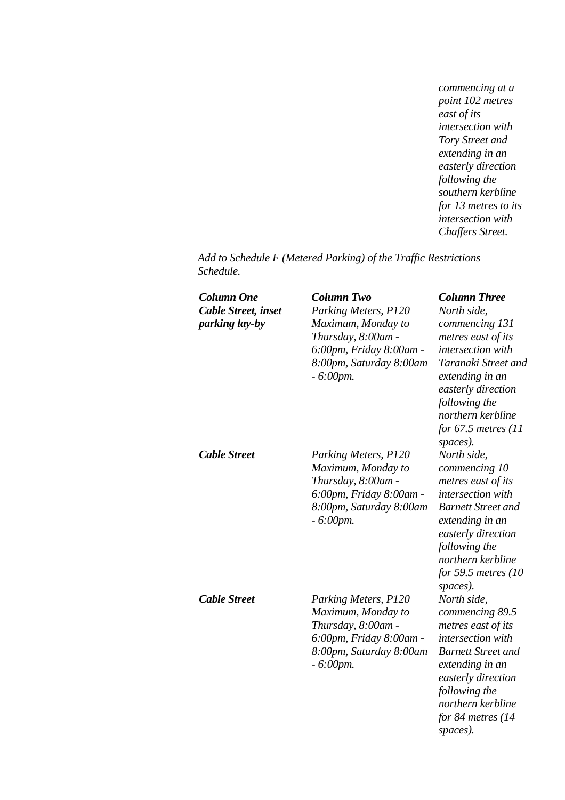*commencing at a point 102 metres east of its intersection with Tory Street and extending in an easterly direction following the southern kerbline for 13 metres to its intersection with Chaffers Street.* 

*Add to Schedule F (Metered Parking) of the Traffic Restrictions Schedule.* 

| Column One<br><b>Cable Street, inset</b><br>parking lay-by | <b>Column Two</b><br>Parking Meters, P120<br>Maximum, Monday to<br>Thursday, 8:00am -<br>6:00pm, Friday 8:00am -<br>8:00pm, Saturday 8:00am<br>$-6:00$ pm. | <b>Column Three</b><br>North side,<br>commencing 131<br>metres east of its<br>intersection with<br>Taranaki Street and<br>extending in an<br>easterly direction<br>following the<br>northern kerbline<br>for $67.5$ metres (11)<br>spaces). |
|------------------------------------------------------------|------------------------------------------------------------------------------------------------------------------------------------------------------------|---------------------------------------------------------------------------------------------------------------------------------------------------------------------------------------------------------------------------------------------|
| <b>Cable Street</b>                                        | Parking Meters, P120<br>Maximum, Monday to<br>Thursday, 8:00am -<br>6:00pm, Friday 8:00am -<br>8:00pm, Saturday 8:00am<br>$-6:00$ pm.                      | North side,<br>commencing 10<br>metres east of its<br>intersection with<br><b>Barnett Street and</b><br>extending in an<br>easterly direction<br>following the<br>northern kerbline<br>for 59.5 metres (10)<br>spaces).                     |
| <b>Cable Street</b>                                        | Parking Meters, P120<br>Maximum, Monday to<br>Thursday, 8:00am -<br>6:00pm, Friday 8:00am -<br>8:00pm, Saturday 8:00am<br>$-6:00$ pm.                      | North side,<br>commencing 89.5<br>metres east of its<br>intersection with<br><b>Barnett Street and</b><br>extending in an<br>easterly direction<br>following the<br>northern kerbline<br>for 84 metres $(14)$<br>spaces).                   |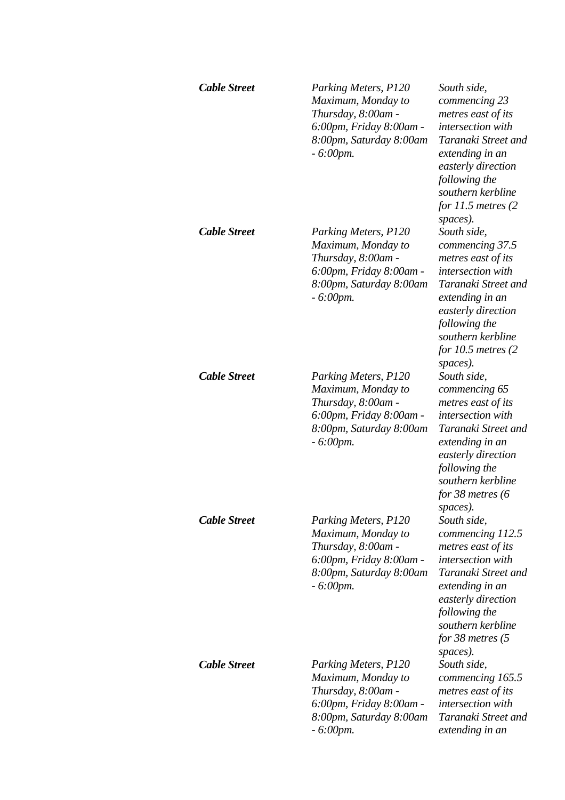| <b>Cable Street</b> | Parking Meters, P120<br>Maximum, Monday to<br>Thursday, 8:00am -<br>6:00pm, Friday 8:00am -<br>8:00pm, Saturday 8:00am<br>$-6:00$ pm. | South side,<br>commencing 23<br>metres east of its<br>intersection with<br>Taranaki Street and<br>extending in an<br>easterly direction<br>following the<br>southern kerbline<br>for $11.5$ metres $(2)$                           |
|---------------------|---------------------------------------------------------------------------------------------------------------------------------------|------------------------------------------------------------------------------------------------------------------------------------------------------------------------------------------------------------------------------------|
| <b>Cable Street</b> | Parking Meters, P120<br>Maximum, Monday to<br>Thursday, 8:00am -<br>6:00pm, Friday 8:00am -<br>8:00pm, Saturday 8:00am<br>$-6:00$ pm. | spaces).<br>South side,<br>commencing 37.5<br>metres east of its<br>intersection with<br>Taranaki Street and<br>extending in an<br>easterly direction<br>following the<br>southern kerbline<br>for $10.5$ metres $(2)$<br>spaces). |
| <b>Cable Street</b> | Parking Meters, P120<br>Maximum, Monday to<br>Thursday, 8:00am -<br>6:00pm, Friday 8:00am -<br>8:00pm, Saturday 8:00am<br>$-6:00$ pm. | South side,<br>commencing 65<br>metres east of its<br>intersection with<br>Taranaki Street and<br>extending in an<br>easterly direction<br>following the<br>southern kerbline<br>for 38 metres $(6)$<br>spaces).                   |
| <b>Cable Street</b> | Parking Meters, P120<br>Maximum, Monday to<br>Thursday, 8:00am -<br>6:00pm, Friday 8:00am -<br>8:00pm, Saturday 8:00am<br>$-6:00$ pm. | South side,<br>commencing 112.5<br>metres east of its<br>intersection with<br>Taranaki Street and<br>extending in an<br>easterly direction<br>following the<br>southern kerbline<br>for $38$ metres $(5)$<br>spaces).              |
| <b>Cable Street</b> | Parking Meters, P120<br>Maximum, Monday to<br>Thursday, 8:00am -<br>6:00pm, Friday 8:00am -<br>8:00pm, Saturday 8:00am<br>$-6:00$ pm. | South side,<br>commencing 165.5<br>metres east of its<br>intersection with<br>Taranaki Street and<br>extending in an                                                                                                               |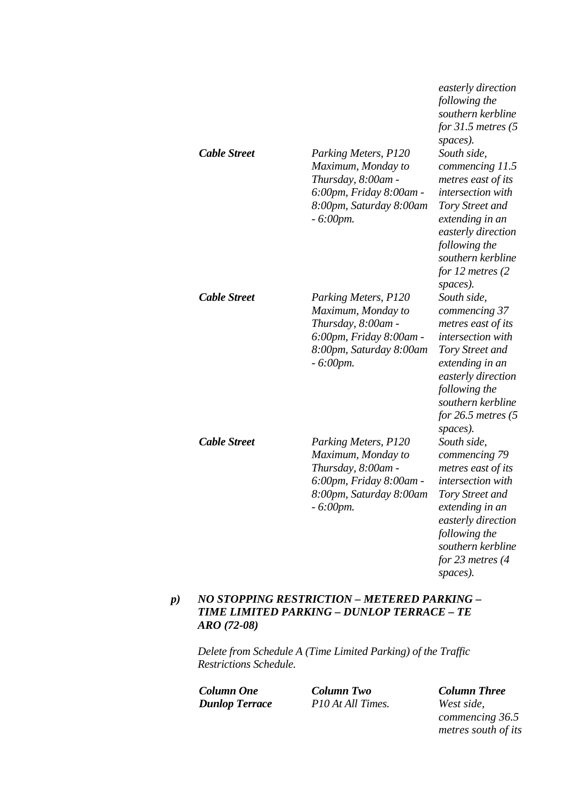| <b>Cable Street</b> | Parking Meters, P120<br>Maximum, Monday to<br>Thursday, 8:00am -<br>6:00pm, Friday 8:00am -<br>8:00pm, Saturday 8:00am<br>$-6:00$ pm. | following the<br>southern kerbline<br>for $31.5$ metres (5<br>spaces).<br>South side,<br>commencing 11.5<br>metres east of its<br>intersection with<br>Tory Street and<br>extending in an<br>easterly direction<br>following the<br>southern kerbline<br>for 12 metres (2 |
|---------------------|---------------------------------------------------------------------------------------------------------------------------------------|---------------------------------------------------------------------------------------------------------------------------------------------------------------------------------------------------------------------------------------------------------------------------|
| <b>Cable Street</b> | Parking Meters, P120<br>Maximum, Monday to<br>Thursday, 8:00am -<br>6:00pm, Friday 8:00am -<br>8:00pm, Saturday 8:00am<br>$-6:00$ pm. | spaces).<br>South side,<br>commencing 37<br>metres east of its<br>intersection with<br>Tory Street and<br>extending in an<br>easterly direction<br>following the<br>southern kerbline                                                                                     |
| <b>Cable Street</b> | Parking Meters, P120<br>Maximum, Monday to<br>Thursday, 8:00am -<br>6:00pm, Friday 8:00am -<br>8:00pm, Saturday 8:00am<br>$-6:00$ pm. | for $26.5$ metres $(5)$<br>spaces).<br>South side,<br>commencing 79<br>metres east of its<br>intersection with<br>Tory Street and<br>extending in an<br>easterly direction<br>following the<br>southern kerbline<br>for $23$ metres $(4)$<br>spaces).                     |

## *p) NO STOPPING RESTRICTION – METERED PARKING – TIME LIMITED PARKING – DUNLOP TERRACE – TE ARO (72-08)*

*Delete from Schedule A (Time Limited Parking) of the Traffic Restrictions Schedule.* 

*Column One Column Two Column Three Dunlop Terrace P10 At All Times. West side,* 

*commencing 36.5 metres south of its* 

*easterly direction*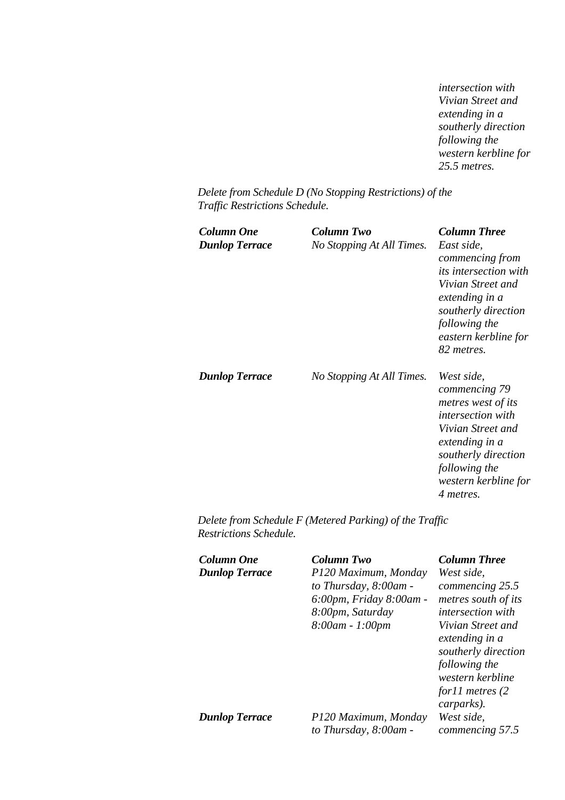*intersection with Vivian Street and extending in a southerly direction following the western kerbline for 25.5 metres.* 

*Delete from Schedule D (No Stopping Restrictions) of the Traffic Restrictions Schedule.* 

| Column One<br><b>Dunlop Terrace</b> | Column Two<br>No Stopping At All Times. | <b>Column Three</b><br>East side,<br>commencing from<br>its intersection with<br>Vivian Street and<br>extending in a<br>southerly direction<br>following the<br>eastern kerbline for<br>82 metres. |
|-------------------------------------|-----------------------------------------|----------------------------------------------------------------------------------------------------------------------------------------------------------------------------------------------------|
| <b>Dunlop Terrace</b>               | No Stopping At All Times.               | West side,<br>commencing 79<br>metres west of its<br><i>intersection with</i><br>Vivian Street and<br>extending in a<br>southerly direction<br>following the<br>western kerbline for<br>4 metres.  |

*Delete from Schedule F (Metered Parking) of the Traffic Restrictions Schedule.* 

| Column One<br><b>Dunlop Terrace</b> | Column Two<br>P120 Maximum, Monday<br>to Thursday, 8:00am -<br>6:00pm, Friday 8:00am -<br>8:00pm, Saturday<br>$8:00$ am - 1:00pm | <b>Column Three</b><br>West side,<br>commencing 25.5<br>metres south of its<br><i>intersection with</i><br>Vivian Street and<br>extending in a<br>southerly direction<br>following the<br>western kerbline<br>for $11$ metres $(2)$ |
|-------------------------------------|----------------------------------------------------------------------------------------------------------------------------------|-------------------------------------------------------------------------------------------------------------------------------------------------------------------------------------------------------------------------------------|
| <b>Dunlop Terrace</b>               | P120 Maximum, Monday<br>to Thursday, 8:00am -                                                                                    | carparks).<br>West side,<br>commencing 57.5                                                                                                                                                                                         |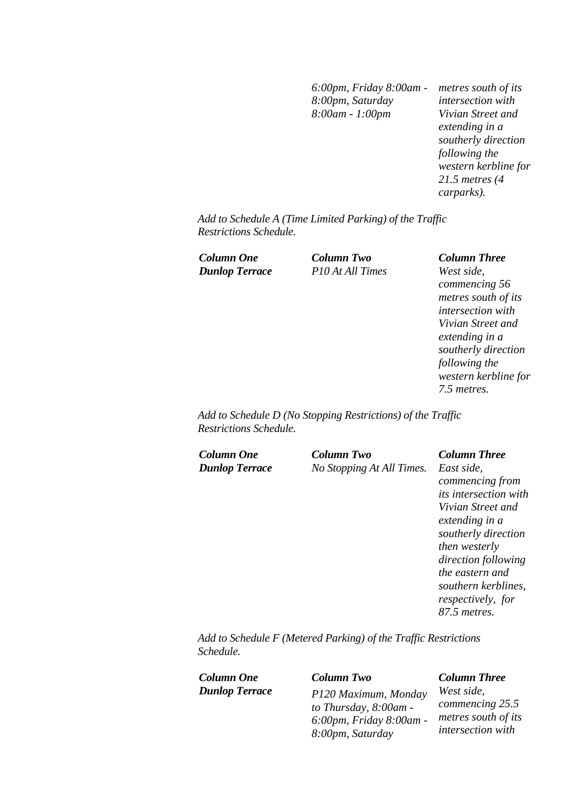*6:00pm, Friday 8:00am - 8:00pm, Saturday 8:00am - 1:00pm* 

*metres south of its intersection with Vivian Street and extending in a southerly direction following the western kerbline for 21.5 metres (4 carparks).* 

*Add to Schedule A (Time Limited Parking) of the Traffic Restrictions Schedule.* 

*Dunlop Terrace P10 At All Times West side,* 

*Column One Column Two Column Three commencing 56 metres south of its intersection with Vivian Street and extending in a southerly direction following the western kerbline for 7.5 metres.* 

*Add to Schedule D (No Stopping Restrictions) of the Traffic Restrictions Schedule.* 

*Column One Column Two Column Three*

*Dunlop Terrace No Stopping At All Times. East side,* 

*commencing from its intersection with Vivian Street and extending in a southerly direction then westerly direction following the eastern and southern kerblines, respectively, for 87.5 metres.* 

*Add to Schedule F (Metered Parking) of the Traffic Restrictions Schedule.* 

| Column One            | <b>Column Two</b>       | <b>Column Three</b>      |
|-----------------------|-------------------------|--------------------------|
| <b>Dunlop Terrace</b> | P120 Maximum, Monday    | West side,               |
|                       | to Thursday, 8:00am -   | commencing 25.5          |
|                       | 6:00pm, Friday 8:00am - | metres south of its      |
|                       | 8:00pm, Saturday        | <i>intersection with</i> |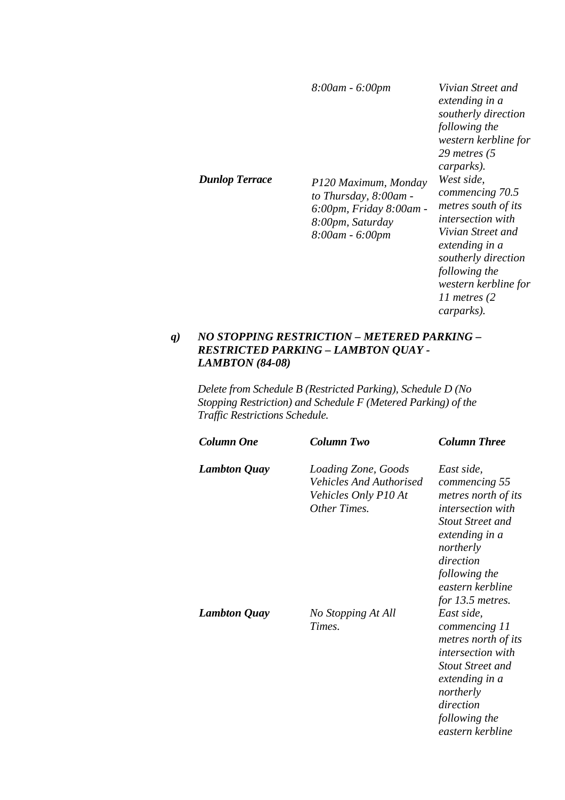| Dunlop Terrace | 8:00am - 6:00pm<br>P120 Maximum, Monday<br>to Thursday, 8:00am -<br>6:00pm, Friday 8:00am -<br>8:00pm, Saturday<br>8:00am - 6:00pm | Vivian Street and<br>extending in a<br>southerly direction<br>following the<br>western kerbline for<br>29 metres $(5)$<br>carparks).<br>West side.<br>commencing 70.5<br>metres south of its<br><i>intersection with</i> |
|----------------|------------------------------------------------------------------------------------------------------------------------------------|--------------------------------------------------------------------------------------------------------------------------------------------------------------------------------------------------------------------------|
|                |                                                                                                                                    | Vivian Street and<br>extending in a<br>southerly direction<br>following the<br>western kerbline for<br>11 metres $(2)$<br>carparks).                                                                                     |

### *q) NO STOPPING RESTRICTION – METERED PARKING – RESTRICTED PARKING – LAMBTON QUAY - LAMBTON (84-08)*

*Delete from Schedule B (Restricted Parking), Schedule D (No Stopping Restriction) and Schedule F (Metered Parking) of the Traffic Restrictions Schedule.* 

| <b>Column One</b>   | Column Two                                                                                   | <b>Column Three</b>                                                                                                                                                                                              |
|---------------------|----------------------------------------------------------------------------------------------|------------------------------------------------------------------------------------------------------------------------------------------------------------------------------------------------------------------|
| <b>Lambton Quay</b> | Loading Zone, Goods<br><b>Vehicles And Authorised</b><br>Vehicles Only P10 At<br>Other Times | East side,<br>commencing 55<br>metres north of its<br><i>intersection with</i><br><b>Stout Street and</b><br>extending in a<br>northerly<br>direction<br>following the<br>eastern kerbline<br>for $13.5$ metres. |
| <b>Lambton Quay</b> | No Stopping At All<br>Times.                                                                 | East side,<br>commencing 11<br>metres north of its<br><i>intersection with</i><br><b>Stout Street and</b><br>extending in a<br>northerly<br>direction<br>following the<br>eastern kerbline                       |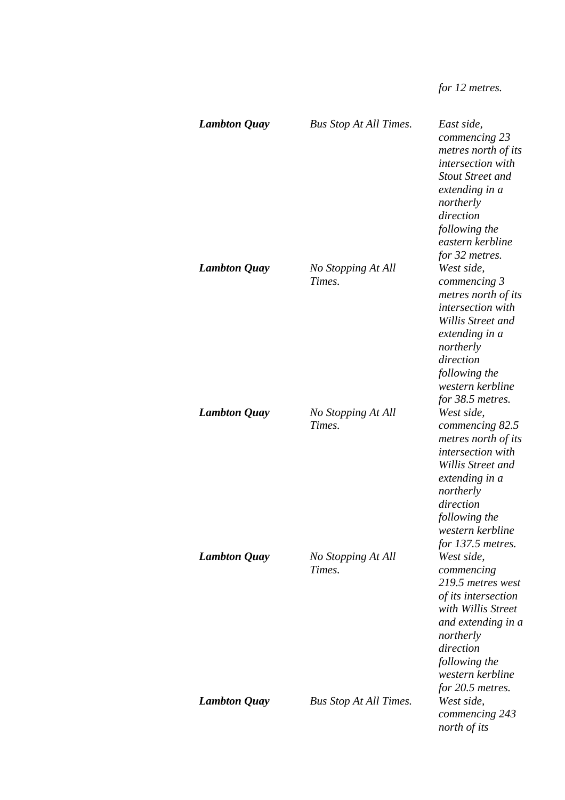*for 12 metres.* 

| <b>Lambton Quay</b> | <b>Bus Stop At All Times.</b> | East side,<br>commencing 23<br>metres north of its<br>intersection with<br><b>Stout Street and</b><br>extending in a<br>northerly<br>direction<br>following the<br>eastern kerbline                                             |
|---------------------|-------------------------------|---------------------------------------------------------------------------------------------------------------------------------------------------------------------------------------------------------------------------------|
| <b>Lambton Quay</b> | No Stopping At All<br>Times.  | for 32 metres.<br>West side,<br>commencing 3<br>metres north of its<br>intersection with<br>Willis Street and<br>extending in a<br>northerly<br>direction<br>following the<br>western kerbline                                  |
| <b>Lambton Quay</b> | No Stopping At All<br>Times.  | for 38.5 metres.<br>West side,<br>commencing 82.5<br>metres north of its<br><i>intersection with</i><br>Willis Street and<br>extending in a<br>northerly<br>direction<br>following the<br>western kerbline<br>for 137.5 metres. |
| <b>Lambton Quay</b> | No Stopping At All<br>Times.  | West side,<br>commencing<br>219.5 metres west<br>of its intersection<br>with Willis Street<br>and extending in a<br>northerly<br>direction<br>following the<br>western kerbline<br>for 20.5 metres.                             |
| <b>Lambton Quay</b> | <b>Bus Stop At All Times.</b> | West side,<br>commencing 243<br>north of its                                                                                                                                                                                    |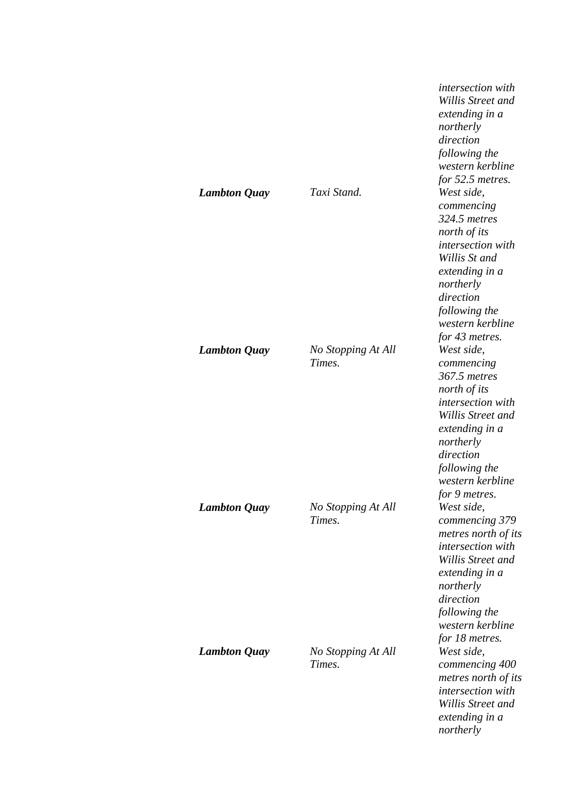| <b>Lambton Quay</b> | Taxi Stand.                  | <i>intersection</i> with<br>Willis Street and<br>extending in a<br>northerly<br>direction<br>following the<br>western kerbline<br>for 52.5 metres.<br>West side,<br>commencing<br>324.5 metres<br>north of its<br>intersection with<br>Willis St and<br>extending in a<br>northerly<br>direction<br>following the<br>western kerbline<br>for 43 metres. |
|---------------------|------------------------------|---------------------------------------------------------------------------------------------------------------------------------------------------------------------------------------------------------------------------------------------------------------------------------------------------------------------------------------------------------|
| <b>Lambton Quay</b> | No Stopping At All<br>Times. | West side,<br>commencing<br>367.5 metres<br>north of its<br>intersection with<br>Willis Street and<br>extending in a<br>northerly<br>direction<br>following the<br>western kerbline<br>for 9 metres.                                                                                                                                                    |
| <b>Lambton Quay</b> | No Stopping At All<br>Times. | West side,<br>commencing 379<br>metres north of its<br>intersection with<br>Willis Street and<br>extending in a<br>northerly<br>direction<br>following the<br>western kerbline<br>for 18 metres.                                                                                                                                                        |
| <b>Lambton Quay</b> | No Stopping At All<br>Times. | West side,<br>commencing 400<br>metres north of its<br>intersection with<br>Willis Street and<br>extending in a<br>northerly                                                                                                                                                                                                                            |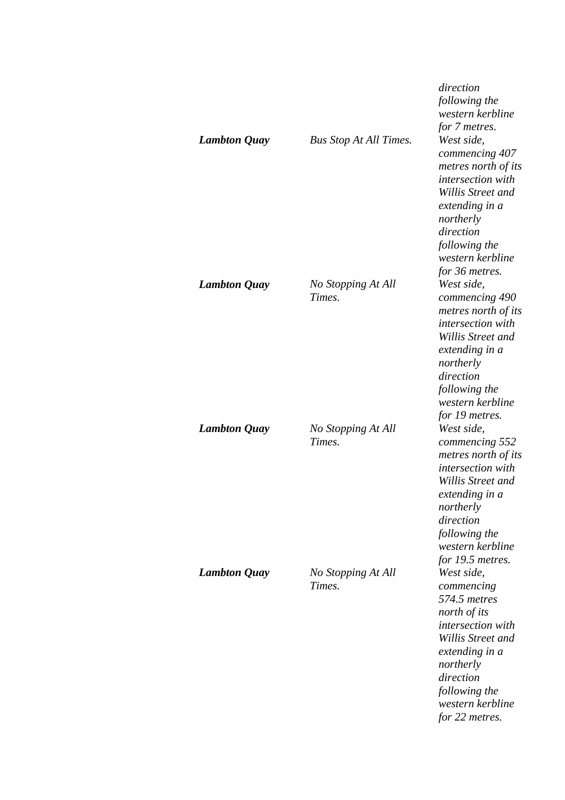|                     |                               | direction<br>following the<br>western kerbline<br>for 7 metres.                                                                                                                                       |
|---------------------|-------------------------------|-------------------------------------------------------------------------------------------------------------------------------------------------------------------------------------------------------|
| <b>Lambton Quay</b> | <b>Bus Stop At All Times.</b> | West side,<br>commencing 407<br>metres north of its<br>intersection with<br>Willis Street and<br>extending in a<br>northerly<br>direction<br>following the<br>western kerbline<br>for 36 metres.      |
| <b>Lambton Quay</b> | No Stopping At All<br>Times.  | West side,<br>commencing 490<br>metres north of its<br>intersection with<br>Willis Street and<br>extending in a<br>northerly<br>direction<br>following the<br>western kerbline<br>for 19 metres.      |
| <b>Lambton Quay</b> | No Stopping At All<br>Times.  | West side,<br>commencing 552<br>metres north of its<br>intersection with<br>Willis Street and<br>extending in a<br>northerly<br>direction<br>following the<br>western kerbline<br>for 19.5 metres.    |
| <b>Lambton Quay</b> | No Stopping At All<br>Times.  | West side,<br>commencing<br>574.5 metres<br>north of its<br>intersection with<br>Willis Street and<br>extending in a<br>northerly<br>direction<br>following the<br>western kerbline<br>for 22 metres. |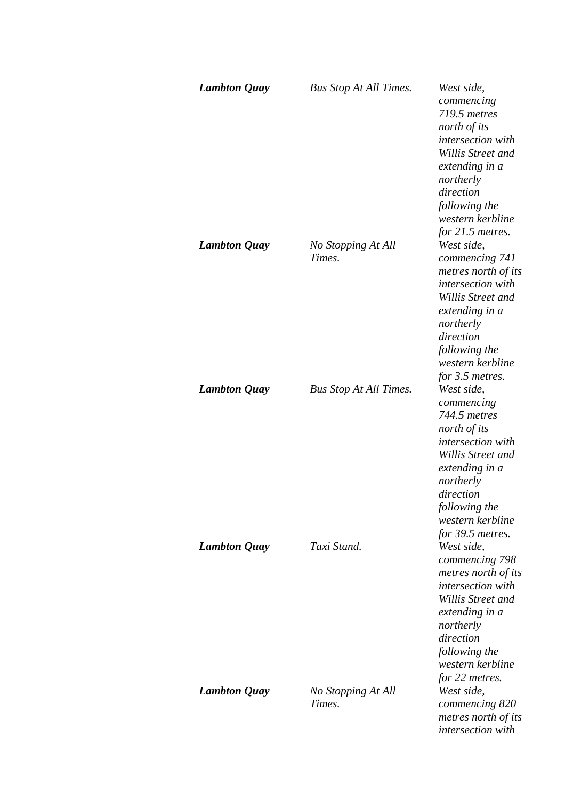| <b>Lambton Quay</b> | <b>Bus Stop At All Times.</b> | West side,<br>commencing<br>719.5 metres<br>north of its<br>intersection with<br>Willis Street and<br>extending in a<br>northerly<br>direction<br>following the<br>western kerbline<br>for $21.5$ metres. |
|---------------------|-------------------------------|-----------------------------------------------------------------------------------------------------------------------------------------------------------------------------------------------------------|
| <b>Lambton Quay</b> | No Stopping At All<br>Times.  | West side,<br>commencing 741<br>metres north of its<br>intersection with<br>Willis Street and<br>extending in a<br>northerly<br>direction<br>following the<br>western kerbline<br>for 3.5 metres.         |
| <b>Lambton Quay</b> | <b>Bus Stop At All Times.</b> | West side,<br>commencing<br>744.5 metres<br>north of its<br>intersection with<br>Willis Street and<br>extending in a<br>northerly<br>direction<br>following the<br>western kerbline<br>for 39.5 metres.   |
| <b>Lambton Quay</b> | Taxi Stand.                   | West side,<br>commencing 798<br>metres north of its<br><i>intersection with</i><br>Willis Street and<br>extending in a<br>northerly<br>direction<br>following the<br>western kerbline<br>for 22 metres.   |
| <b>Lambton Quay</b> | No Stopping At All<br>Times.  | West side,<br>commencing 820<br>metres north of its<br><i>intersection</i> with                                                                                                                           |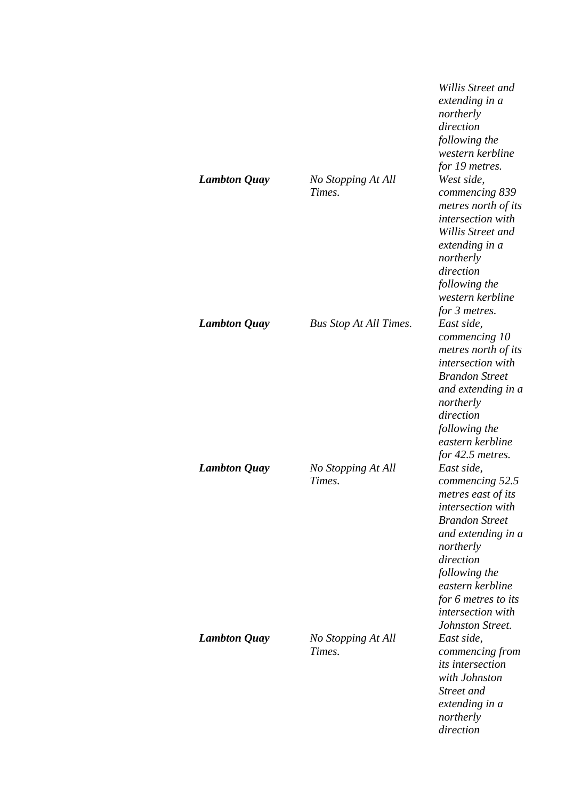|                     |                               | Willis Street and<br>extending in a<br>northerly<br>direction<br>following the<br>western kerbline<br>for 19 metres.                                                                                                                                   |
|---------------------|-------------------------------|--------------------------------------------------------------------------------------------------------------------------------------------------------------------------------------------------------------------------------------------------------|
| <b>Lambton Quay</b> | No Stopping At All<br>Times.  | West side,<br>commencing 839<br>metres north of its<br>intersection with<br>Willis Street and<br>extending in a<br>northerly<br>direction<br>following the<br>western kerbline<br>for 3 metres.                                                        |
| <b>Lambton Quay</b> | <b>Bus Stop At All Times.</b> | East side,<br>commencing 10<br>metres north of its<br>intersection with<br><b>Brandon Street</b><br>and extending in a<br>northerly<br>direction<br>following the<br>eastern kerbline<br>for 42.5 metres.                                              |
| <b>Lambton Quay</b> | No Stopping At All<br>Times.  | East side,<br>commencing 52.5<br>metres east of its<br>intersection with<br><b>Brandon Street</b><br>and extending in a<br>northerly<br>direction<br>following the<br>eastern kerbline<br>for 6 metres to its<br>intersection with<br>Johnston Street. |
| <b>Lambton Quay</b> | No Stopping At All<br>Times.  | East side,<br>commencing from<br>its intersection<br>with Johnston<br>Street and<br>extending in a<br>northerly<br>direction                                                                                                                           |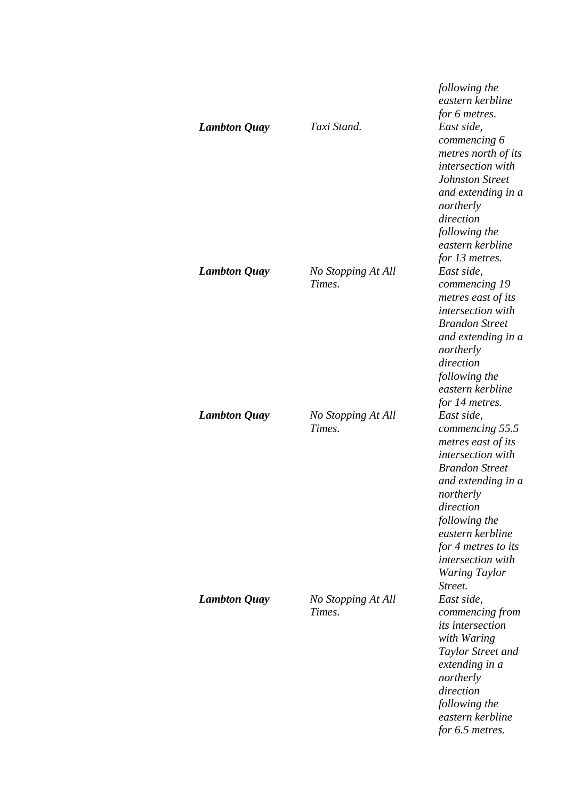| <b>Lambton Quay</b> | Taxi Stand.                  | following the<br>eastern kerbline<br>for 6 metres.<br>East side,<br>commencing 6<br>metres north of its<br>intersection with<br><b>Johnston Street</b><br>and extending in a<br>northerly<br>direction<br>following the<br>eastern kerbline<br>for 13 metres.         |
|---------------------|------------------------------|-----------------------------------------------------------------------------------------------------------------------------------------------------------------------------------------------------------------------------------------------------------------------|
| <b>Lambton Quay</b> | No Stopping At All<br>Times. | East side,<br>commencing 19<br>metres east of its<br>intersection with<br><b>Brandon Street</b><br>and extending in a<br>northerly<br>direction<br>following the<br>eastern kerbline<br>for 14 metres.                                                                |
| <b>Lambton Quay</b> | No Stopping At All<br>Times. | East side,<br>commencing 55.5<br>metres east of its<br>intersection with<br><b>Brandon Street</b><br>and extending in a<br>northerly<br>direction<br>following the<br>eastern kerbline<br>for 4 metres to its<br>intersection with<br><b>Waring Taylor</b><br>Street. |
| <b>Lambton Quay</b> | No Stopping At All<br>Times. | East side,<br>commencing from<br><i>its intersection</i><br>with Waring<br>Taylor Street and<br>extending in a<br>northerly<br>direction<br>following the<br>eastern kerbline<br>for 6.5 metres.                                                                      |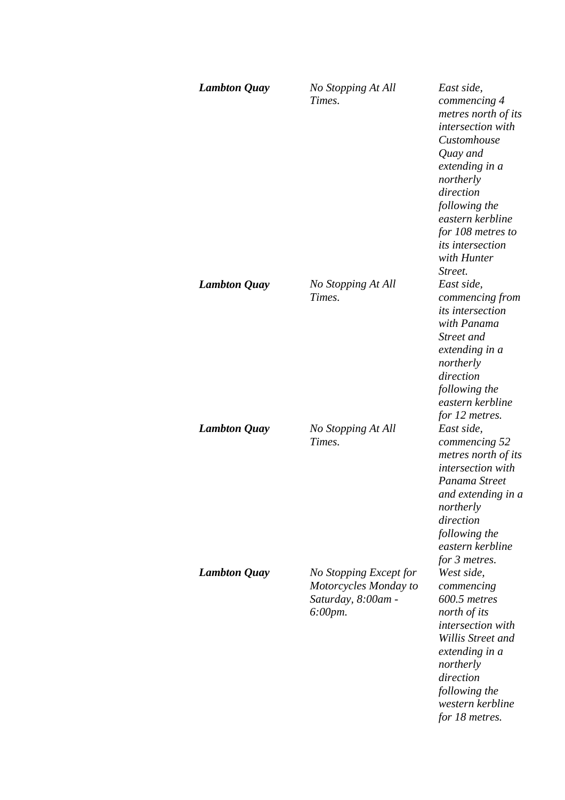| <b>Lambton Quay</b> | No Stopping At All<br>Times.                                                     | East side,<br>commencing 4<br>metres north of its<br>intersection with<br>Customhouse<br>Quay and<br>extending in a<br>northerly<br>direction<br>following the<br>eastern kerbline<br>for 108 metres to<br><i>its intersection</i><br>with Hunter<br>Street. |
|---------------------|----------------------------------------------------------------------------------|--------------------------------------------------------------------------------------------------------------------------------------------------------------------------------------------------------------------------------------------------------------|
| <b>Lambton Quay</b> | No Stopping At All<br>Times.                                                     | East side,<br>commencing from<br>its intersection<br>with Panama<br>Street and<br>extending in a<br>northerly<br>direction<br>following the<br>eastern kerbline<br>for 12 metres.                                                                            |
| <b>Lambton Quay</b> | No Stopping At All<br>Times.                                                     | East side,<br>commencing 52<br>metres north of its<br>intersection with<br>Panama Street<br>and extending in a<br>northerly<br>direction<br>following the<br>eastern kerbline<br>for 3 metres.                                                               |
| <b>Lambton Quay</b> | No Stopping Except for<br>Motorcycles Monday to<br>Saturday, 8:00am -<br>6:00pm. | West side,<br>commencing<br>600.5 metres<br>north of its<br>intersection with<br>Willis Street and<br>extending in a<br>northerly<br>direction<br>following the<br>western kerbline<br>for 18 metres.                                                        |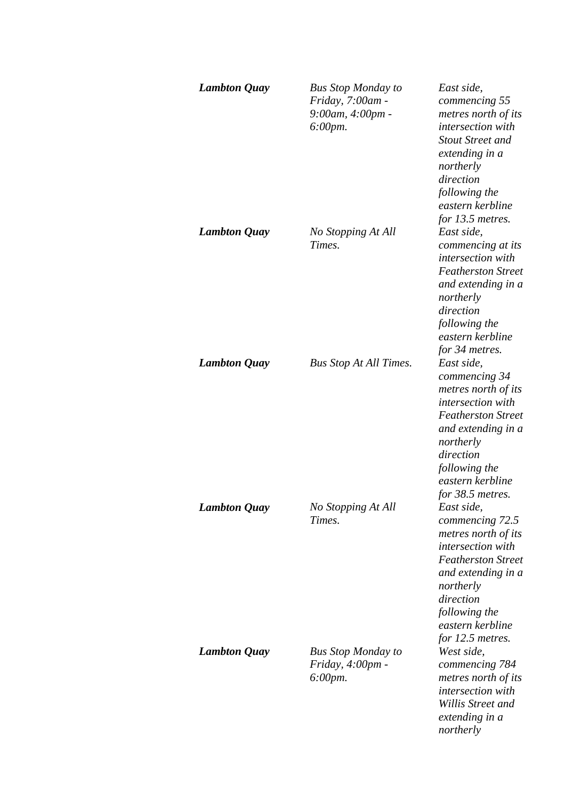| <b>Lambton Quay</b> | <b>Bus Stop Monday to</b><br>Friday, 7:00am -<br>9:00am, 4:00pm -<br>$6:00 \, \text{pm}.$ | East side,<br>commencing 55<br>metres north of its<br>intersection with<br><b>Stout Street and</b><br>extending in a<br>northerly<br>direction<br>following the<br>eastern kerbline<br>for 13.5 metres.                |
|---------------------|-------------------------------------------------------------------------------------------|------------------------------------------------------------------------------------------------------------------------------------------------------------------------------------------------------------------------|
| <b>Lambton Quay</b> | No Stopping At All<br>Times.                                                              | East side,<br>commencing at its<br>intersection with<br><b>Featherston Street</b><br>and extending in a<br>northerly<br>direction<br>following the<br>eastern kerbline<br>for 34 metres.                               |
| <b>Lambton Quay</b> | <b>Bus Stop At All Times.</b>                                                             | East side,<br>commencing 34<br>metres north of its<br>intersection with<br><b>Featherston Street</b><br>and extending in a<br>northerly<br>direction<br>following the<br>eastern kerbline<br>for 38.5 metres.          |
| <b>Lambton Quay</b> | No Stopping At All<br>Times.                                                              | East side,<br>commencing 72.5<br>metres north of its<br><i>intersection with</i><br><b>Featherston Street</b><br>and extending in a<br>northerly<br>direction<br>following the<br>eastern kerbline<br>for 12.5 metres. |
| <b>Lambton Quay</b> | <b>Bus Stop Monday to</b><br>Friday, 4:00pm -<br>$6:00 \, \text{pm}.$                     | West side,<br>commencing 784<br>metres north of its<br>intersection with<br>Willis Street and<br>extending in a<br>northerly                                                                                           |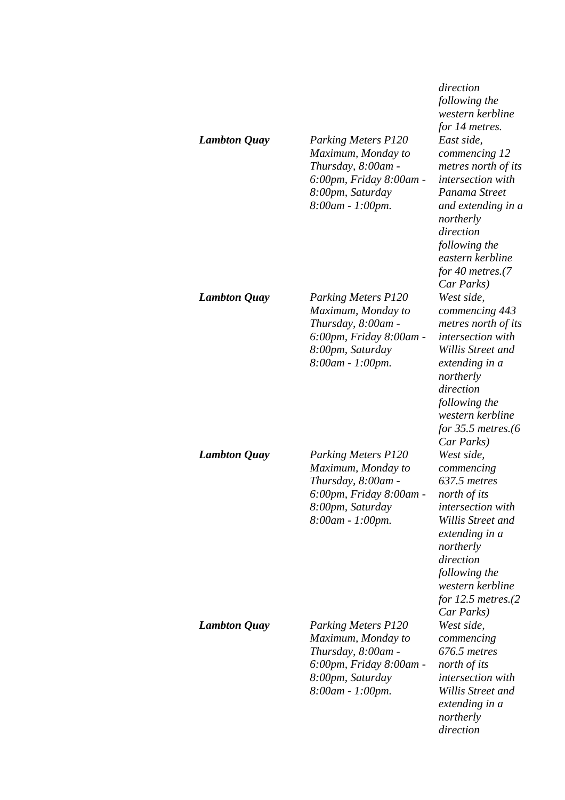| <b>Lambton Quay</b> | <b>Parking Meters P120</b><br>Maximum, Monday to<br>Thursday, 8:00am -<br>6:00pm, Friday 8:00am -<br>8:00pm, Saturday<br>8:00am - 1:00pm. | direction<br>following the<br>western kerbline<br>for 14 metres.<br>East side,<br>commencing 12<br>metres north of its<br><i>intersection with</i><br>Panama Street<br>and extending in a<br>northerly<br>direction<br>following the<br>eastern kerbline<br>for 40 metres.(7<br>Car Parks) |
|---------------------|-------------------------------------------------------------------------------------------------------------------------------------------|--------------------------------------------------------------------------------------------------------------------------------------------------------------------------------------------------------------------------------------------------------------------------------------------|
| <b>Lambton Quay</b> | <b>Parking Meters P120</b><br>Maximum, Monday to<br>Thursday, 8:00am -<br>6:00pm, Friday 8:00am -<br>8:00pm, Saturday<br>8:00am - 1:00pm. | West side,<br>commencing 443<br>metres north of its<br>intersection with<br>Willis Street and<br>extending in a<br>northerly<br>direction<br>following the<br>western kerbline<br>for $35.5$ metres.(6<br>Car Parks)                                                                       |
| <b>Lambton Quay</b> | <b>Parking Meters P120</b><br>Maximum, Monday to<br>Thursday, 8:00am -<br>6:00pm, Friday 8:00am -<br>8:00pm, Saturday<br>8:00am - 1:00pm. | West side,<br>commencing<br>637.5 metres<br>north of its<br><i>intersection</i> with<br>Willis Street and<br>extending in a<br>northerly<br>direction<br>following the<br>western kerbline<br>for $12.5$ metres. $(2)$<br>Car Parks)                                                       |
| <b>Lambton Quay</b> | <b>Parking Meters P120</b><br>Maximum, Monday to<br>Thursday, 8:00am -<br>6:00pm, Friday 8:00am -<br>8:00pm, Saturday<br>8:00am - 1:00pm. | West side,<br>commencing<br>676.5 metres<br>north of its<br>intersection with<br>Willis Street and<br>extending in a<br>northerly<br>direction                                                                                                                                             |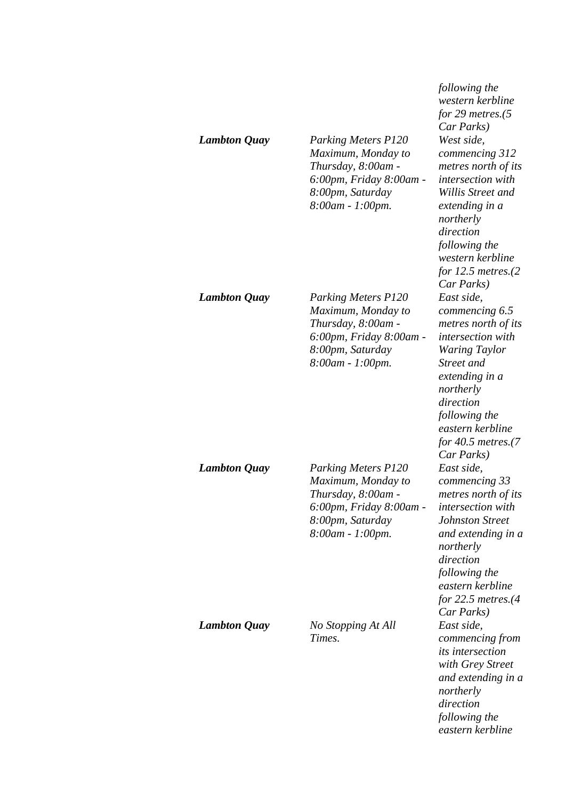| <b>Lambton Quay</b> | <b>Parking Meters P120</b><br>Maximum, Monday to<br>Thursday, 8:00am -<br>6:00pm, Friday 8:00am -<br>8:00pm, Saturday<br>8:00am - 1:00pm. | following the<br>western kerbline<br>for 29 metres. $(5$<br>Car Parks)<br>West side,<br>commencing 312<br>metres north of its<br><i>intersection with</i><br>Willis Street and<br>extending in a<br>northerly<br>direction<br>following the<br>western kerbline |
|---------------------|-------------------------------------------------------------------------------------------------------------------------------------------|-----------------------------------------------------------------------------------------------------------------------------------------------------------------------------------------------------------------------------------------------------------------|
| <b>Lambton Quay</b> | <b>Parking Meters P120</b><br>Maximum, Monday to<br>Thursday, 8:00am -<br>6:00pm, Friday 8:00am -<br>8:00pm, Saturday<br>8:00am - 1:00pm. | for $12.5$ metres. $(2)$<br>Car Parks)<br>East side,<br>commencing 6.5<br>metres north of its<br>intersection with<br><b>Waring Taylor</b><br>Street and<br>extending in a<br>northerly<br>direction                                                            |
| <b>Lambton Quay</b> | <b>Parking Meters P120</b><br>Maximum, Monday to<br>Thursday, 8:00am -<br>6:00pm, Friday 8:00am -<br>8:00pm, Saturday<br>8:00am - 1:00pm. | following the<br>eastern kerbline<br>for $40.5$ metres. $(7)$<br>Car Parks)<br>East side,<br>commencing 33<br>metres north of its<br><i>intersection</i> with<br><b>Johnston Street</b><br>and extending in a<br>northerly                                      |
| <b>Lambton Quay</b> | No Stopping At All<br>Times.                                                                                                              | direction<br>following the<br>eastern kerbline<br>for $22.5$ metres. $(4)$<br>Car Parks)<br>East side,<br>commencing from<br><i>its</i> intersection<br>with Grey Street<br>and extending in a<br>northerly<br>direction<br>following the<br>eastern kerbline   |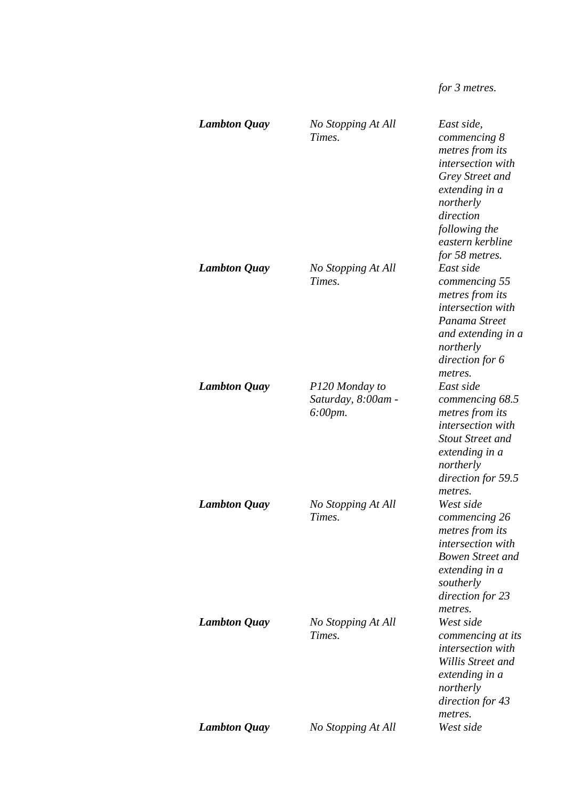# *for 3 metres.*

| <b>Lambton Quay</b> | No Stopping At All<br>Times.                    | East side,<br>commencing 8<br>metres from its<br>intersection with<br>Grey Street and<br>extending in a<br>northerly<br>direction<br>following the<br>eastern kerbline        |
|---------------------|-------------------------------------------------|-------------------------------------------------------------------------------------------------------------------------------------------------------------------------------|
| <b>Lambton Quay</b> | No Stopping At All<br>Times.                    | for 58 metres.<br>East side<br>commencing 55<br>metres from its<br><i>intersection with</i><br>Panama Street<br>and extending in a<br>northerly<br>direction for 6<br>metres. |
| <b>Lambton Quay</b> | P120 Monday to<br>Saturday, 8:00am -<br>6:00pm. | East side<br>commencing 68.5<br>metres from its<br>intersection with<br><b>Stout Street and</b><br>extending in a<br>northerly<br>direction for 59.5<br>metres.               |
| <b>Lambton Quay</b> | No Stopping At All<br>Times.                    | West side<br>commencing 26<br>metres from its<br>intersection with<br><b>Bowen Street and</b><br>extending in a<br>southerly<br>direction for 23<br>metres.                   |
| <b>Lambton Quay</b> | No Stopping At All<br>Times.                    | West side<br>commencing at its<br>intersection with<br>Willis Street and<br>extending in a<br>northerly<br>direction for 43<br>metres.                                        |
| <b>Lambton Quay</b> | No Stopping At All                              | West side                                                                                                                                                                     |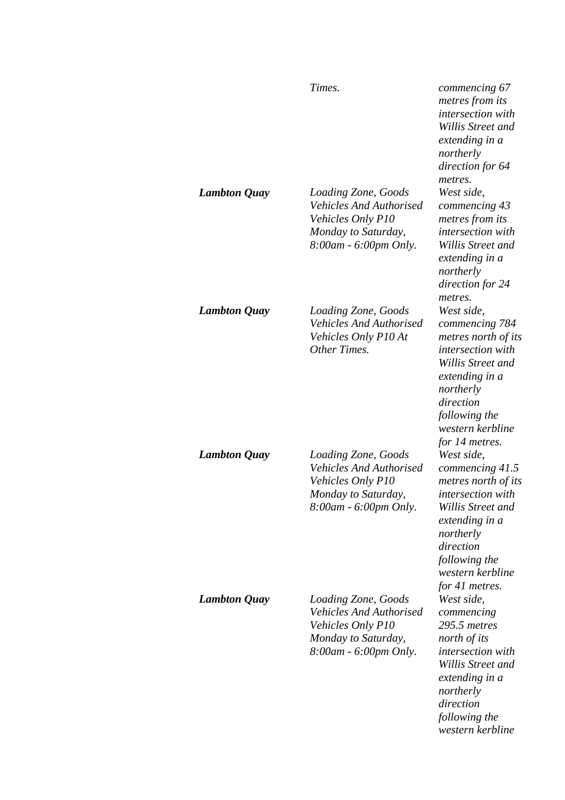|                     | Times.                                                                                                                     | commencing 67<br>metres from its<br>intersection with<br>Willis Street and<br>extending in a<br>northerly<br>direction for 64                                                                            |
|---------------------|----------------------------------------------------------------------------------------------------------------------------|----------------------------------------------------------------------------------------------------------------------------------------------------------------------------------------------------------|
| <b>Lambton Quay</b> | Loading Zone, Goods<br><b>Vehicles And Authorised</b><br>Vehicles Only P10<br>Monday to Saturday,<br>8:00am - 6:00pm Only. | metres.<br>West side,<br>commencing 43<br>metres from its<br>intersection with<br>Willis Street and<br>extending in a<br>northerly<br>direction for 24<br>metres.                                        |
| <b>Lambton Quay</b> | Loading Zone, Goods<br><b>Vehicles And Authorised</b><br>Vehicles Only P10 At<br>Other Times.                              | West side,<br>commencing 784<br>metres north of its<br><i>intersection with</i><br>Willis Street and<br>extending in a<br>northerly<br>direction<br>following the<br>western kerbline<br>for 14 metres.  |
| <b>Lambton Quay</b> | Loading Zone, Goods<br><b>Vehicles And Authorised</b><br>Vehicles Only P10<br>Monday to Saturday,<br>8:00am - 6:00pm Only. | West side,<br>commencing 41.5<br>metres north of its<br><i>intersection</i> with<br>Willis Street and<br>extending in a<br>northerly<br>direction<br>following the<br>western kerbline<br>for 41 metres. |
| <b>Lambton Quay</b> | Loading Zone, Goods<br><b>Vehicles And Authorised</b><br>Vehicles Only P10<br>Monday to Saturday,<br>8:00am - 6:00pm Only. | West side,<br>commencing<br>295.5 metres<br>north of its<br><i>intersection with</i><br>Willis Street and<br>extending in a<br>northerly<br>direction<br>following the<br>western kerbline               |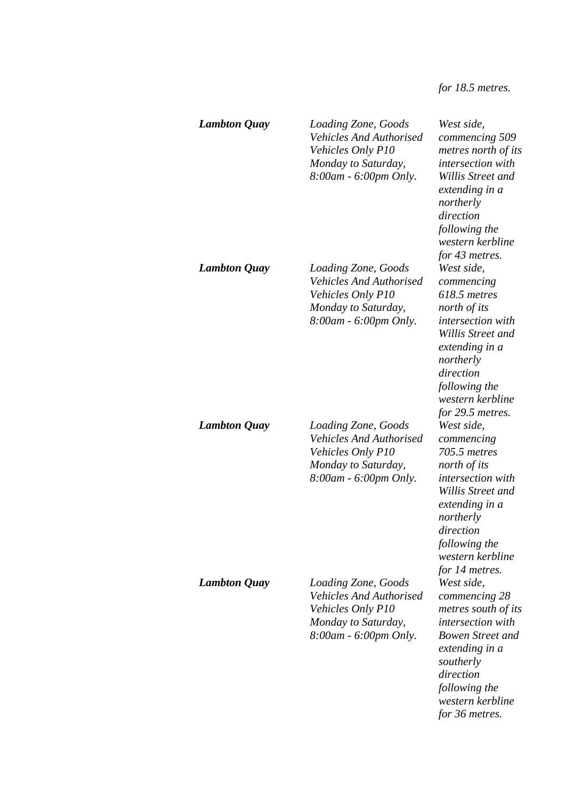*for 18.5 metres.* 

| <b>Lambton Quay</b> | Loading Zone, Goods<br><b>Vehicles And Authorised</b><br>Vehicles Only P10<br>Monday to Saturday,<br>8:00am - 6:00pm Only. | West side,<br>commencing 509<br>metres north of its<br>intersection with<br>Willis Street and<br>extending in a<br>northerly<br>direction<br>following the<br>western kerbline<br>for 43 metres.             |
|---------------------|----------------------------------------------------------------------------------------------------------------------------|--------------------------------------------------------------------------------------------------------------------------------------------------------------------------------------------------------------|
| <b>Lambton Quay</b> | Loading Zone, Goods<br><b>Vehicles And Authorised</b><br>Vehicles Only P10<br>Monday to Saturday,<br>8:00am - 6:00pm Only. | West side,<br>commencing<br>618.5 metres<br>north of its<br>intersection with<br>Willis Street and<br>extending in a<br>northerly<br>direction<br>following the<br>western kerbline<br>for 29.5 metres.      |
| <b>Lambton Quay</b> | Loading Zone, Goods<br><b>Vehicles And Authorised</b><br>Vehicles Only P10<br>Monday to Saturday,<br>8:00am - 6:00pm Only. | West side,<br>commencing<br>705.5 metres<br>north of its<br>intersection with<br>Willis Street and<br>extending in a<br>northerly<br>direction<br>following the<br>western kerbline<br>for 14 metres.        |
| <b>Lambton Quay</b> | Loading Zone, Goods<br><b>Vehicles And Authorised</b><br>Vehicles Only P10<br>Monday to Saturday,<br>8:00am - 6:00pm Only. | West side,<br>commencing 28<br>metres south of its<br><i>intersection with</i><br><b>Bowen Street and</b><br>extending in a<br>southerly<br>direction<br>following the<br>western kerbline<br>for 36 metres. |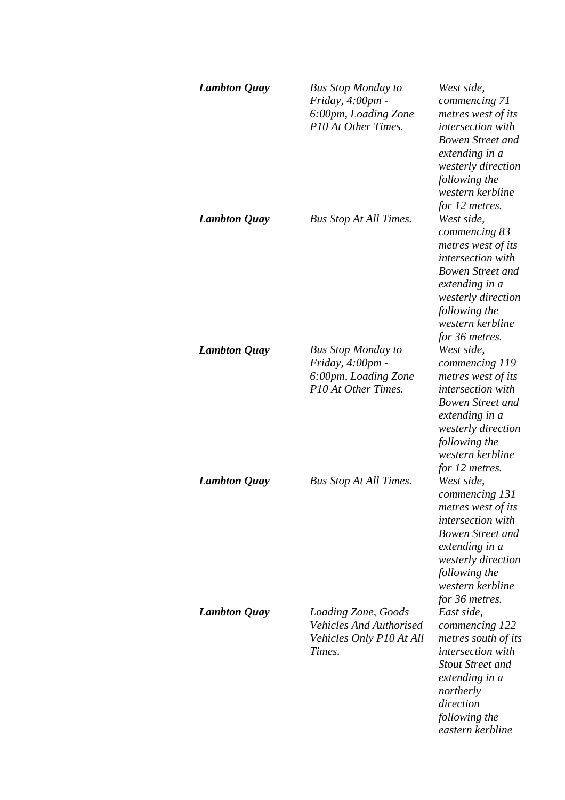| <b>Lambton Quay</b> | <b>Bus Stop Monday to</b><br>Friday, 4:00pm -<br>6:00pm, Loading Zone<br>P10 At Other Times. | West side,<br>commencing 71<br>metres west of its<br>intersection with<br><b>Bowen Street and</b><br>extending in a<br>westerly direction<br>following the<br>western kerbline<br>for 12 metres.  |
|---------------------|----------------------------------------------------------------------------------------------|---------------------------------------------------------------------------------------------------------------------------------------------------------------------------------------------------|
| <b>Lambton Quay</b> | <b>Bus Stop At All Times.</b>                                                                | West side,<br>commencing 83<br>metres west of its<br>intersection with<br><b>Bowen Street and</b><br>extending in a<br>westerly direction<br>following the<br>western kerbline<br>for 36 metres.  |
| <b>Lambton Quay</b> | <b>Bus Stop Monday to</b><br>Friday, 4:00pm -<br>6:00pm, Loading Zone<br>P10 At Other Times. | West side,<br>commencing 119<br>metres west of its<br>intersection with<br><b>Bowen Street and</b><br>extending in a<br>westerly direction<br>following the<br>western kerbline<br>for 12 metres. |
| <b>Lambton Quay</b> | <b>Bus Stop At All Times.</b>                                                                | West side,<br>commencing 131<br>metres west of its<br>intersection with<br><b>Bowen Street and</b><br>extending in a<br>westerly direction<br>following the<br>western kerbline<br>for 36 metres. |
| <b>Lambton Quay</b> | Loading Zone, Goods<br><b>Vehicles And Authorised</b><br>Vehicles Only P10 At All<br>Times.  | East side,<br>commencing 122<br>metres south of its<br>intersection with<br><b>Stout Street and</b><br>extending in a<br>northerly<br>direction<br>following the<br>eastern kerbline              |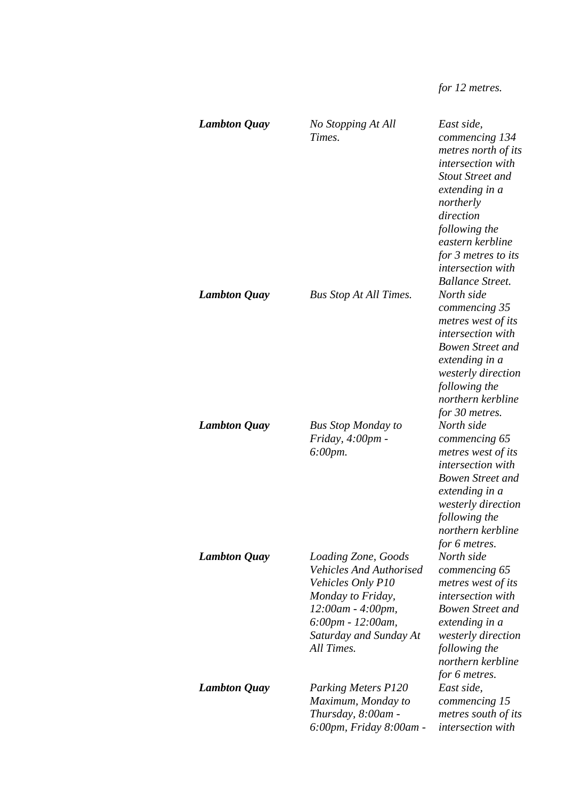# *for 12 metres.*

| <b>Lambton Quay</b> | No Stopping At All<br>Times.                                                                                                                                                      | East side,<br>commencing 134<br>metres north of its<br>intersection with<br><b>Stout Street and</b><br>extending in a<br>northerly<br>direction<br>following the<br>eastern kerbline<br>for 3 metres to its<br><i>intersection with</i><br><b>Ballance Street.</b> |
|---------------------|-----------------------------------------------------------------------------------------------------------------------------------------------------------------------------------|--------------------------------------------------------------------------------------------------------------------------------------------------------------------------------------------------------------------------------------------------------------------|
| <b>Lambton Quay</b> | <b>Bus Stop At All Times.</b>                                                                                                                                                     | North side<br>commencing 35<br>metres west of its<br>intersection with<br><b>Bowen Street and</b><br>extending in a<br>westerly direction<br>following the<br>northern kerbline<br>for 30 metres.                                                                  |
| <b>Lambton Quay</b> | <b>Bus Stop Monday to</b><br>Friday, 4:00pm -<br>$6:00 \, \text{pm}.$                                                                                                             | North side<br>commencing 65<br>metres west of its<br>intersection with<br><b>Bowen Street and</b><br>extending in a<br>westerly direction<br>following the<br>northern kerbline<br>for 6 metres.                                                                   |
| <b>Lambton Quay</b> | Loading Zone, Goods<br><b>Vehicles And Authorised</b><br>Vehicles Only P10<br>Monday to Friday,<br>12:00am - 4:00pm,<br>6:00pm - 12:00am,<br>Saturday and Sunday At<br>All Times. | North side<br>commencing 65<br>metres west of its<br>intersection with<br><b>Bowen Street and</b><br>extending in a<br>westerly direction<br>following the<br>northern kerbline<br>for 6 metres.                                                                   |
| <b>Lambton Quay</b> | <b>Parking Meters P120</b><br>Maximum, Monday to<br>Thursday, 8:00am -<br>6:00pm, Friday 8:00am -                                                                                 | East side,<br>commencing 15<br>metres south of its<br>intersection with                                                                                                                                                                                            |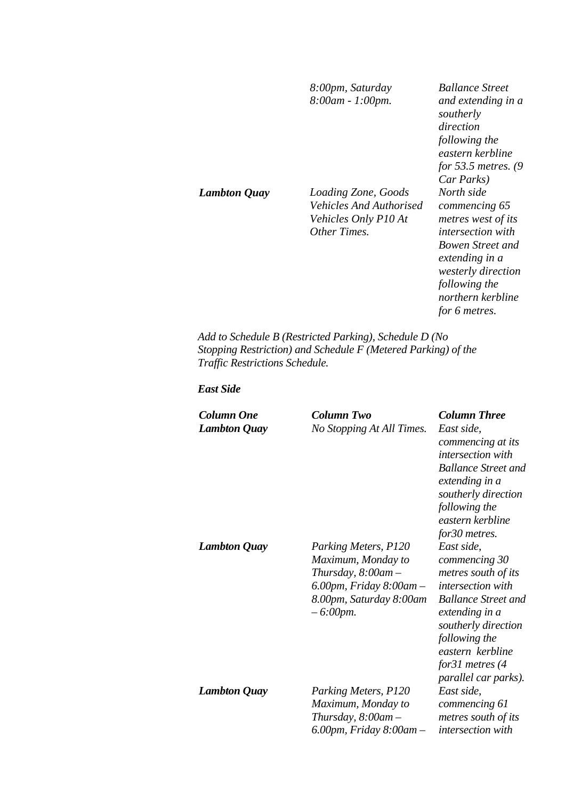|                     | 8:00pm, Saturday<br>8:00am - 1:00pm.                                                   | <b>Ballance Street</b><br>and extending in a<br>southerly<br>direction<br>following the<br>eastern kerbline<br>for 53.5 metres. $(9)$<br>Car Parks)                                                     |
|---------------------|----------------------------------------------------------------------------------------|---------------------------------------------------------------------------------------------------------------------------------------------------------------------------------------------------------|
| <b>Lambton Quay</b> | Loading Zone, Goods<br>Vehicles And Authorised<br>Vehicles Only P10 At<br>Other Times. | North side<br>commencing 65<br>metres west of its<br><i>intersection with</i><br>Bowen Street and<br>extending in a<br><i>westerly direction</i><br>following the<br>northern kerbline<br>for 6 metres. |

*Add to Schedule B (Restricted Parking), Schedule D (No Stopping Restriction) and Schedule F (Metered Parking) of the Traffic Restrictions Schedule.* 

*East Side* 

| Column One<br><b>Lambton Quay</b> | Column Two<br>No Stopping At All Times.                                                                                                            | <b>Column Three</b><br>East side,<br>commencing at its<br><i>intersection with</i><br><b>Ballance Street and</b><br>extending in a<br>southerly direction<br>following the<br>eastern kerbline<br>for30 metres. |
|-----------------------------------|----------------------------------------------------------------------------------------------------------------------------------------------------|-----------------------------------------------------------------------------------------------------------------------------------------------------------------------------------------------------------------|
| <b>Lambton Quay</b>               | Parking Meters, P120<br>Maximum, Monday to<br>Thursday, $8:00$ am $-$<br>$6.00$ pm, Friday $8.00$ am $-$<br>8.00pm, Saturday 8:00am<br>$-6:00$ pm. | East side,<br>commencing 30<br>metres south of its<br>intersection with<br><b>Ballance Street and</b><br>extending in a<br>southerly direction<br>following the<br>eastern kerbline<br>for 31 metres $(4)$      |
| <b>Lambton Quay</b>               | Parking Meters, P120<br>Maximum, Monday to<br>Thursday, $8:00$ am $-$<br>$6.00$ pm, Friday $8.00$ am $-$                                           | parallel car parks).<br>East side,<br>commencing 61<br>metres south of its<br><i>intersection</i> with                                                                                                          |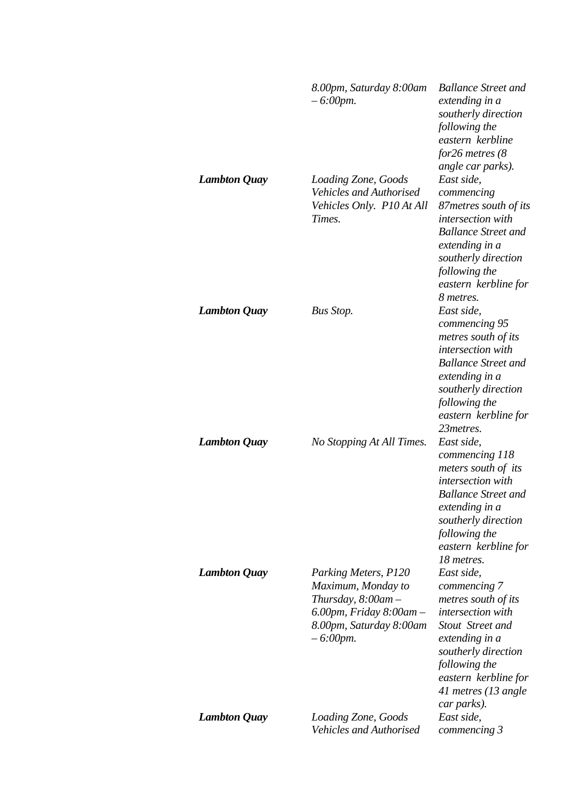|                     | 8.00pm, Saturday 8:00am<br>$-6:00$ pm.                                                                                                             | <b>Ballance Street and</b><br>extending in a<br>southerly direction<br>following the<br>eastern kerbline<br>for $26$ metres ( $8$<br>angle car parks).                                                 |
|---------------------|----------------------------------------------------------------------------------------------------------------------------------------------------|--------------------------------------------------------------------------------------------------------------------------------------------------------------------------------------------------------|
| <b>Lambton Quay</b> | Loading Zone, Goods<br><b>Vehicles and Authorised</b><br>Vehicles Only. P10 At All<br>Times.                                                       | East side,<br>commencing<br>87 metres south of its<br>intersection with<br><b>Ballance Street and</b><br>extending in a<br>southerly direction<br>following the<br>eastern kerbline for<br>8 metres.   |
| <b>Lambton Quay</b> | Bus Stop.                                                                                                                                          | East side,<br>commencing 95<br>metres south of its<br>intersection with<br><b>Ballance Street and</b><br>extending in a<br>southerly direction<br>following the<br>eastern kerbline for<br>23 metres.  |
| <b>Lambton Quay</b> | No Stopping At All Times.                                                                                                                          | East side,<br>commencing 118<br>meters south of its<br>intersection with<br><b>Ballance Street and</b><br>extending in a<br>southerly direction<br>following the<br>eastern kerbline for<br>18 metres. |
| <b>Lambton Quay</b> | Parking Meters, P120<br>Maximum, Monday to<br>Thursday, $8:00$ am $-$<br>$6.00$ pm, Friday $8.00$ am $-$<br>8.00pm, Saturday 8:00am<br>$-6:00$ pm. | East side,<br>commencing 7<br>metres south of its<br>intersection with<br>Stout Street and<br>extending in a<br>southerly direction<br>following the<br>eastern kerbline for<br>41 metres (13 angle    |
| <b>Lambton Quay</b> | Loading Zone, Goods<br><b>Vehicles and Authorised</b>                                                                                              | car parks).<br>East side,<br>commencing 3                                                                                                                                                              |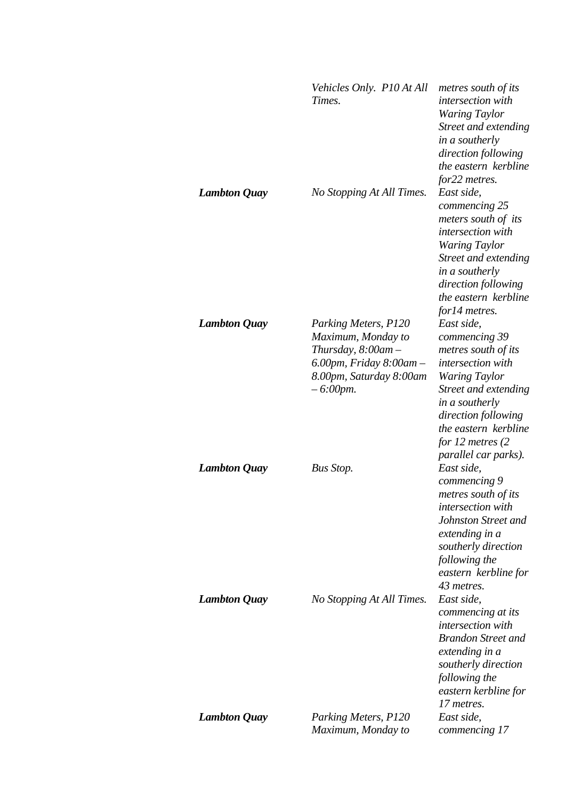|                     | Vehicles Only. P10 At All<br>Times.                                                                                                                | metres south of its<br>intersection with<br><b>Waring Taylor</b><br>Street and extending<br>in a southerly<br>direction following<br>the eastern kerbline<br>for22 metres.                                            |
|---------------------|----------------------------------------------------------------------------------------------------------------------------------------------------|-----------------------------------------------------------------------------------------------------------------------------------------------------------------------------------------------------------------------|
| <b>Lambton Quay</b> | No Stopping At All Times.                                                                                                                          | East side,<br>commencing 25<br>meters south of its<br>intersection with<br><b>Waring Taylor</b><br>Street and extending<br>in a southerly<br>direction following<br>the eastern kerbline<br>for14 metres.             |
| <b>Lambton Quay</b> | Parking Meters, P120<br>Maximum, Monday to<br>Thursday, $8:00$ am $-$<br>$6.00$ pm, Friday $8.00$ am $-$<br>8.00pm, Saturday 8:00am<br>$-6:00$ pm. | East side,<br>commencing 39<br>metres south of its<br>intersection with<br><b>Waring Taylor</b><br>Street and extending<br>in a southerly<br>direction following<br>the eastern kerbline<br>for 12 metres $(2)$       |
| <b>Lambton Quay</b> | <b>Bus Stop.</b>                                                                                                                                   | parallel car parks).<br>East side,<br>commencing 9<br>metres south of its<br>intersection with<br>Johnston Street and<br>extending in a<br>southerly direction<br>following the<br>eastern kerbline for<br>43 metres. |
| <b>Lambton Quay</b> | No Stopping At All Times.                                                                                                                          | East side,<br>commencing at its<br>intersection with<br><b>Brandon Street and</b><br>extending in a<br>southerly direction<br>following the<br>eastern kerbline for<br>17 metres.                                     |
| <b>Lambton Quay</b> | Parking Meters, P120<br>Maximum, Monday to                                                                                                         | East side,<br>commencing 17                                                                                                                                                                                           |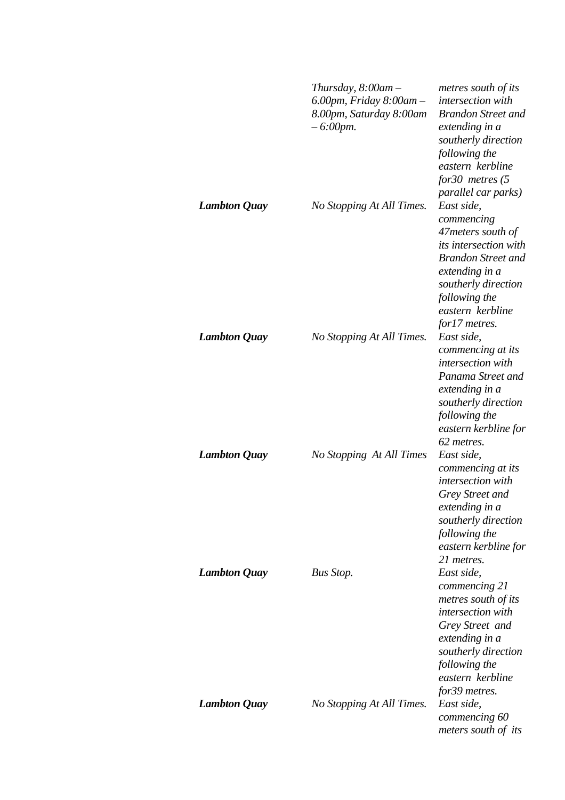|                     | Thursday, $8:00$ am $-$<br>$6.00$ pm, Friday $8.00$ am $-$<br>8.00pm, Saturday 8:00am<br>$-6:00$ pm. | metres south of its<br>intersection with<br><b>Brandon Street and</b><br>extending in a<br>southerly direction<br>following the<br>eastern kerbline<br>for 30 metres $(5)$<br>parallel car parks)          |
|---------------------|------------------------------------------------------------------------------------------------------|------------------------------------------------------------------------------------------------------------------------------------------------------------------------------------------------------------|
| <b>Lambton Quay</b> | No Stopping At All Times.                                                                            | East side,<br>commencing<br>47 meters south of<br><i>its intersection with</i><br><b>Brandon Street and</b><br>extending in a<br>southerly direction<br>following the<br>eastern kerbline<br>for17 metres. |
| <b>Lambton Quay</b> | No Stopping At All Times.                                                                            | East side,<br>commencing at its<br>intersection with<br>Panama Street and<br>extending in a<br>southerly direction<br>following the<br>eastern kerbline for<br>62 metres.                                  |
| <b>Lambton Quay</b> | No Stopping At All Times                                                                             | East side,<br>commencing at its<br>intersection with<br>Grey Street and<br>extending in a<br>southerly direction<br>following the<br>eastern kerbline for<br>21 metres.                                    |
| <b>Lambton Quay</b> | <b>Bus Stop.</b>                                                                                     | East side,<br>commencing 21<br>metres south of its<br>intersection with<br>Grey Street and<br>extending in a<br>southerly direction<br>following the<br>eastern kerbline<br>for39 metres.                  |
| <b>Lambton Quay</b> | No Stopping At All Times.                                                                            | East side,<br>commencing 60<br>meters south of its                                                                                                                                                         |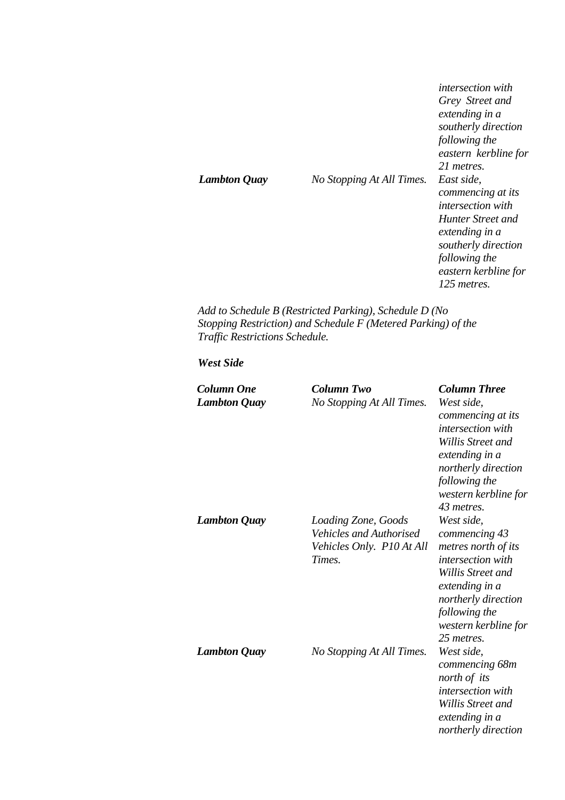*intersection with Grey Street and extending in a southerly direction following the eastern kerbline for 21 metres. Lambton Quay No Stopping At All Times. East side, commencing at its intersection with Hunter Street and extending in a southerly direction following the eastern kerbline for 125 metres.* 

*Add to Schedule B (Restricted Parking), Schedule D (No Stopping Restriction) and Schedule F (Metered Parking) of the Traffic Restrictions Schedule.* 

## *West Side*

| <b>Column One</b>   | <b>Column Two</b>              | <b>Column Three</b>  |
|---------------------|--------------------------------|----------------------|
| <b>Lambton Quay</b> | No Stopping At All Times.      | West side,           |
|                     |                                | commencing at its    |
|                     |                                | intersection with    |
|                     |                                | Willis Street and    |
|                     |                                | extending in a       |
|                     |                                | northerly direction  |
|                     |                                | following the        |
|                     |                                | western kerbline for |
|                     |                                | 43 metres.           |
| <b>Lambton Quay</b> | Loading Zone, Goods            | West side,           |
|                     | <b>Vehicles and Authorised</b> | commencing 43        |
|                     | Vehicles Only. P10 At All      | metres north of its  |
|                     | Times.                         | intersection with    |
|                     |                                | Willis Street and    |
|                     |                                | extending in a       |
|                     |                                | northerly direction  |
|                     |                                | following the        |
|                     |                                | western kerbline for |
|                     |                                | 25 metres.           |
| <b>Lambton Quay</b> | No Stopping At All Times.      | West side,           |
|                     |                                | commencing 68m       |
|                     |                                | north of its         |
|                     |                                | intersection with    |
|                     |                                | Willis Street and    |
|                     |                                | extending in a       |
|                     |                                | northerly direction  |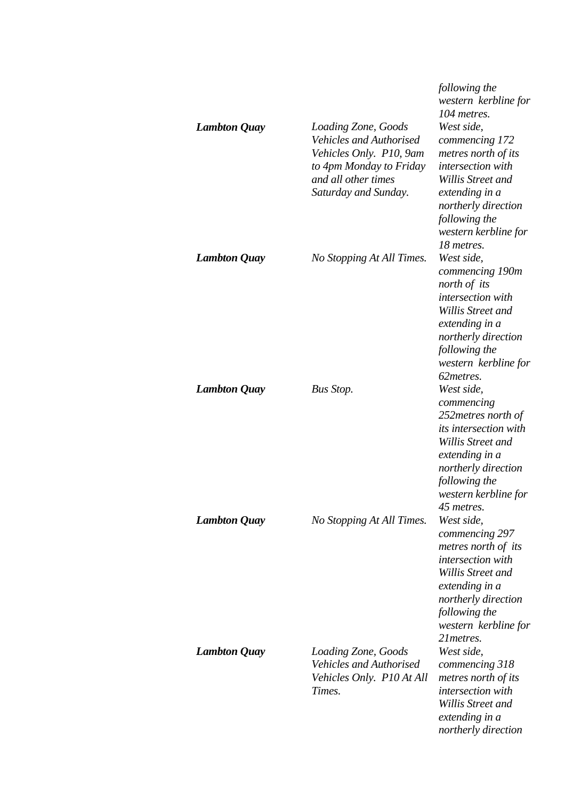| <b>Lambton Quay</b> | Loading Zone, Goods<br><b>Vehicles and Authorised</b><br>Vehicles Only. P10, 9am<br>to 4pm Monday to Friday<br>and all other times<br>Saturday and Sunday. | following the<br>western kerbline for<br>104 metres.<br>West side,<br>commencing 172<br>metres north of its<br>intersection with<br>Willis Street and<br>extending in a<br>northerly direction<br>following the<br>western kerbline for |
|---------------------|------------------------------------------------------------------------------------------------------------------------------------------------------------|-----------------------------------------------------------------------------------------------------------------------------------------------------------------------------------------------------------------------------------------|
| <b>Lambton Quay</b> | No Stopping At All Times.                                                                                                                                  | 18 metres.<br>West side,<br>commencing 190m<br>north of its<br>intersection with<br>Willis Street and<br>extending in a<br>northerly direction<br>following the<br>western kerbline for<br>62 metres.                                   |
| <b>Lambton Quay</b> | <b>Bus Stop.</b>                                                                                                                                           | West side,<br>commencing<br>252 metres north of<br><i>its intersection with</i><br>Willis Street and<br>extending in a<br>northerly direction<br>following the<br>western kerbline for<br>45 metres.                                    |
| <b>Lambton Quay</b> | No Stopping At All Times.                                                                                                                                  | West side,<br>commencing 297<br>metres north of its<br>intersection with<br>Willis Street and<br>extending in a<br>northerly direction<br>following the<br>western kerbline for<br>21 metres.                                           |
| <b>Lambton Quay</b> | Loading Zone, Goods<br><b>Vehicles and Authorised</b><br>Vehicles Only. P10 At All<br>Times.                                                               | West side,<br>commencing 318<br>metres north of its<br>intersection with<br>Willis Street and<br>extending in a<br>northerly direction                                                                                                  |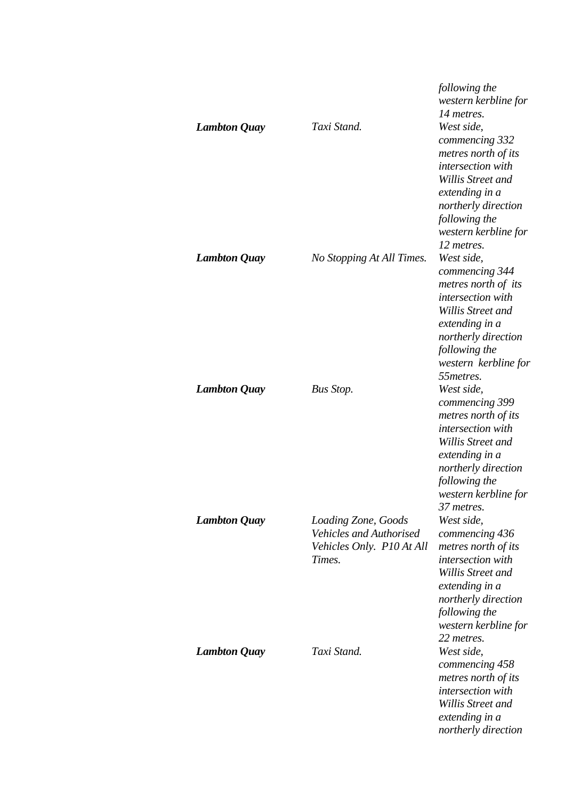|                     |                                                                                              | following the<br>western kerbline for<br>14 metres.                                                                                                                                           |
|---------------------|----------------------------------------------------------------------------------------------|-----------------------------------------------------------------------------------------------------------------------------------------------------------------------------------------------|
| <b>Lambton Quay</b> | Taxi Stand.                                                                                  | West side,<br>commencing 332<br>metres north of its<br>intersection with<br>Willis Street and<br>extending in a<br>northerly direction<br>following the<br>western kerbline for<br>12 metres. |
| <b>Lambton Quay</b> | No Stopping At All Times.                                                                    | West side,<br>commencing 344<br>metres north of its<br>intersection with<br>Willis Street and<br>extending in a<br>northerly direction<br>following the<br>western kerbline for<br>55 metres. |
| <b>Lambton Quay</b> | <b>Bus Stop.</b>                                                                             | West side,<br>commencing 399<br>metres north of its<br>intersection with<br>Willis Street and<br>extending in a<br>northerly direction<br>following the<br>western kerbline for<br>37 metres. |
| <b>Lambton Quay</b> | Loading Zone, Goods<br><b>Vehicles and Authorised</b><br>Vehicles Only. P10 At All<br>Times. | West side,<br>commencing 436<br>metres north of its<br>intersection with<br>Willis Street and<br>extending in a<br>northerly direction<br>following the<br>western kerbline for<br>22 metres. |
| <b>Lambton Quay</b> | Taxi Stand.                                                                                  | West side,<br>commencing 458<br>metres north of its<br>intersection with<br>Willis Street and<br>extending in a<br>northerly direction                                                        |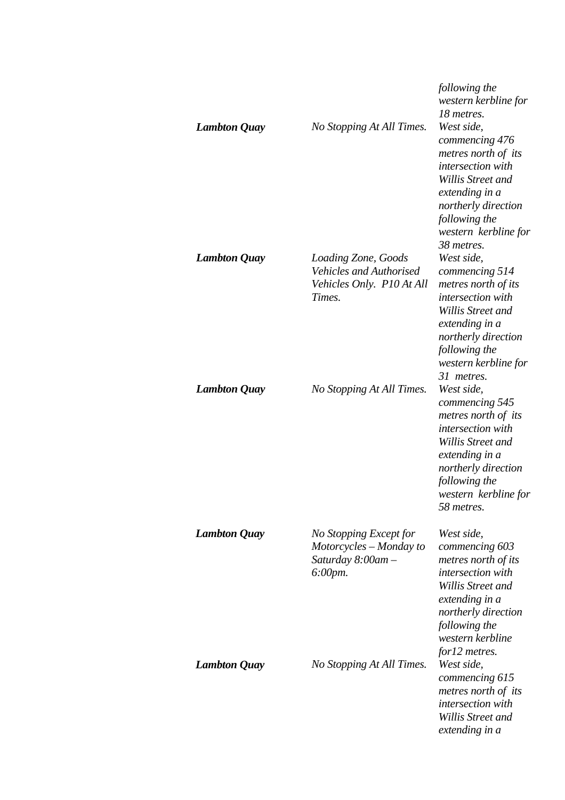|                     |                                                                                              | following the<br>western kerbline for<br>18 metres.                                                                                                                                           |
|---------------------|----------------------------------------------------------------------------------------------|-----------------------------------------------------------------------------------------------------------------------------------------------------------------------------------------------|
| <b>Lambton Quay</b> | No Stopping At All Times.                                                                    | West side,<br>commencing 476<br>metres north of its<br>intersection with<br>Willis Street and<br>extending in a<br>northerly direction<br>following the<br>western kerbline for<br>38 metres. |
| <b>Lambton Quay</b> | Loading Zone, Goods<br><b>Vehicles and Authorised</b><br>Vehicles Only. P10 At All<br>Times. | West side,<br>commencing 514<br>metres north of its<br>intersection with<br>Willis Street and<br>extending in a<br>northerly direction<br>following the<br>western kerbline for<br>31 metres. |
| <b>Lambton Quay</b> | No Stopping At All Times.                                                                    | West side,<br>commencing 545<br>metres north of its<br>intersection with<br>Willis Street and<br>extending in a<br>northerly direction<br>following the<br>western kerbline for<br>58 metres. |
| <b>Lambton Quay</b> | No Stopping Except for<br>Motorcycles - Monday to<br>Saturday 8:00am -<br>$6:00$ pm.         | West side,<br>commencing 603<br>metres north of its<br>intersection with<br>Willis Street and<br>extending in a<br>northerly direction<br>following the<br>western kerbline<br>for12 metres.  |
| <b>Lambton Quay</b> | No Stopping At All Times.                                                                    | West side,<br>commencing 615<br>metres north of its<br>intersection with<br>Willis Street and<br>extending in a                                                                               |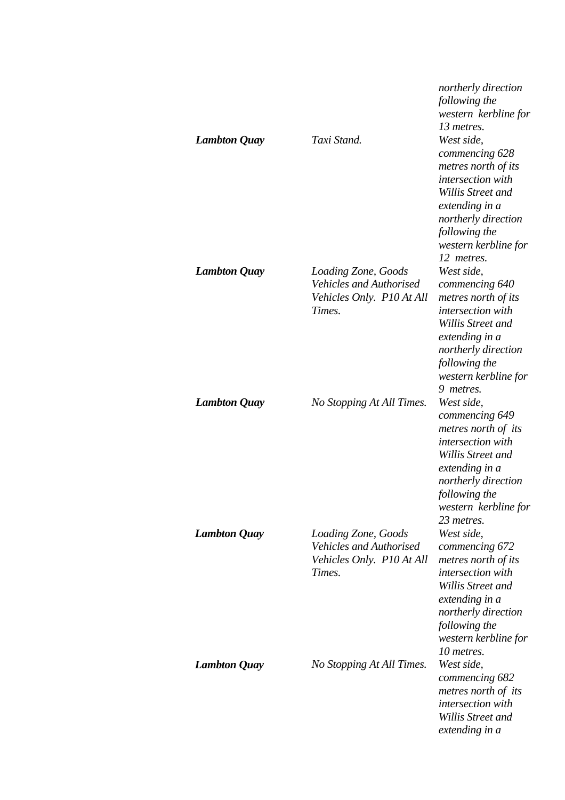| <b>Lambton Quay</b> | Taxi Stand.                                                                                  | northerly direction<br>following the<br>western kerbline for<br>13 metres.<br>West side,<br>commencing 628<br>metres north of its<br>intersection with<br>Willis Street and<br>extending in a<br>northerly direction<br>following the |
|---------------------|----------------------------------------------------------------------------------------------|---------------------------------------------------------------------------------------------------------------------------------------------------------------------------------------------------------------------------------------|
| <b>Lambton Quay</b> | Loading Zone, Goods<br><b>Vehicles and Authorised</b><br>Vehicles Only. P10 At All<br>Times. | western kerbline for<br>12 metres.<br>West side,<br>commencing 640<br>metres north of its<br>intersection with<br>Willis Street and<br>extending in a<br>northerly direction<br>following the<br>western kerbline for                 |
| <b>Lambton Quay</b> | No Stopping At All Times.                                                                    | 9 metres.<br>West side,<br>commencing 649<br>metres north of its<br>intersection with<br>Willis Street and<br>extending in a<br>northerly direction<br>following the<br>western kerbline for                                          |
| <b>Lambton Quay</b> | Loading Zone, Goods<br><b>Vehicles and Authorised</b><br>Vehicles Only. P10 At All<br>Times. | 23 metres.<br>West side,<br>commencing 672<br>metres north of its<br>intersection with<br>Willis Street and<br>extending in a<br>northerly direction<br>following the<br>western kerbline for<br>10 metres.                           |
| <b>Lambton Quay</b> | No Stopping At All Times.                                                                    | West side,<br>commencing 682<br>metres north of its<br>intersection with<br>Willis Street and<br>extending in a                                                                                                                       |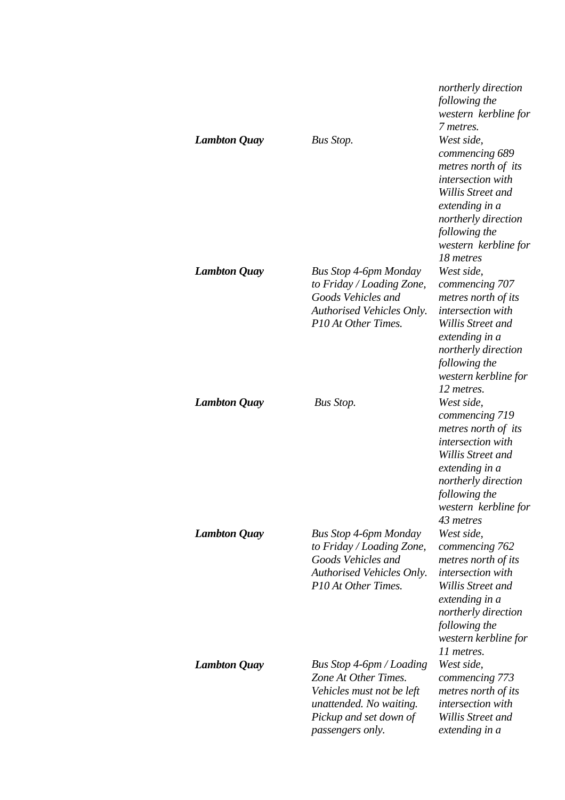| <b>Lambton Quay</b> | <b>Bus Stop.</b>                                                                                                                                       | northerly direction<br>following the<br>western kerbline for<br>7 metres.<br>West side,<br>commencing 689<br>metres north of its<br>intersection with<br>Willis Street and<br>extending in a<br>northerly direction<br>following the<br>western kerbline for<br>18 metres |
|---------------------|--------------------------------------------------------------------------------------------------------------------------------------------------------|---------------------------------------------------------------------------------------------------------------------------------------------------------------------------------------------------------------------------------------------------------------------------|
| <b>Lambton Quay</b> | <b>Bus Stop 4-6pm Monday</b><br>to Friday / Loading Zone,<br>Goods Vehicles and<br>Authorised Vehicles Only.<br>P10 At Other Times.                    | West side,<br>commencing 707<br>metres north of its<br>intersection with<br><b>Willis Street and</b><br>extending in a<br>northerly direction<br>following the<br>western kerbline for<br>12 metres.                                                                      |
| <b>Lambton Quay</b> | <b>Bus Stop.</b>                                                                                                                                       | West side,<br>commencing 719<br>metres north of its<br>intersection with<br>Willis Street and<br>extending in a<br>northerly direction<br>following the<br>western kerbline for<br>43 metres                                                                              |
| <b>Lambton Quay</b> | <b>Bus Stop 4-6pm Monday</b><br>to Friday / Loading Zone,<br>Goods Vehicles and<br><b>Authorised Vehicles Only.</b><br>P10 At Other Times.             | West side,<br>commencing 762<br>metres north of its<br>intersection with<br>Willis Street and<br>extending in a<br>northerly direction<br>following the<br>western kerbline for<br>11 metres.                                                                             |
| <b>Lambton Quay</b> | Bus Stop 4-6pm / Loading<br>Zone At Other Times.<br>Vehicles must not be left<br>unattended. No waiting.<br>Pickup and set down of<br>passengers only. | West side,<br>commencing 773<br>metres north of its<br>intersection with<br>Willis Street and<br>extending in a                                                                                                                                                           |